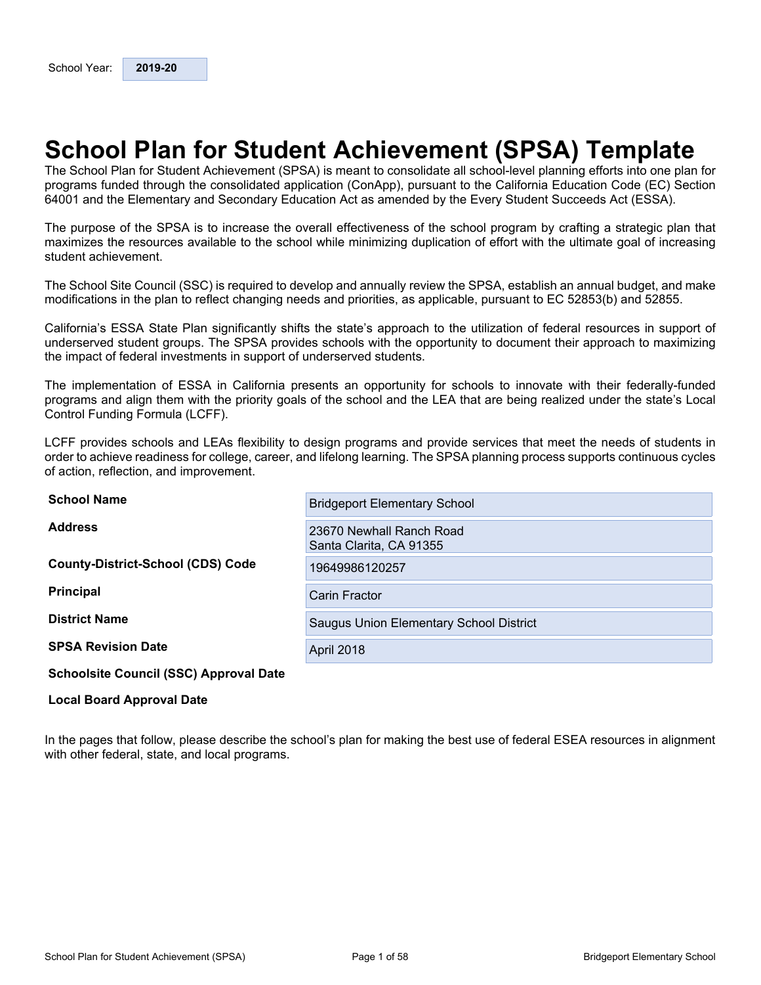# <span id="page-0-0"></span>**School Plan for Student Achievement (SPSA) Template**

The School Plan for Student Achievement (SPSA) is meant to consolidate all school-level planning efforts into one plan for programs funded through the consolidated application (ConApp), pursuant to the California Education Code (EC) Section 64001 and the Elementary and Secondary Education Act as amended by the Every Student Succeeds Act (ESSA).

The purpose of the SPSA is to increase the overall effectiveness of the school program by crafting a strategic plan that maximizes the resources available to the school while minimizing duplication of effort with the ultimate goal of increasing student achievement.

The School Site Council (SSC) is required to develop and annually review the SPSA, establish an annual budget, and make modifications in the plan to reflect changing needs and priorities, as applicable, pursuant to EC 52853(b) and 52855.

California's ESSA State Plan significantly shifts the state's approach to the utilization of federal resources in support of underserved student groups. The SPSA provides schools with the opportunity to document their approach to maximizing the impact of federal investments in support of underserved students.

The implementation of ESSA in California presents an opportunity for schools to innovate with their federally-funded programs and align them with the priority goals of the school and the LEA that are being realized under the state's Local Control Funding Formula (LCFF).

LCFF provides schools and LEAs flexibility to design programs and provide services that meet the needs of students in order to achieve readiness for college, career, and lifelong learning. The SPSA planning process supports continuous cycles of action, reflection, and improvement.

| <b>School Name</b>                            | <b>Bridgeport Elementary School</b>                 |
|-----------------------------------------------|-----------------------------------------------------|
| <b>Address</b>                                | 23670 Newhall Ranch Road<br>Santa Clarita, CA 91355 |
| <b>County-District-School (CDS) Code</b>      | 19649986120257                                      |
| <b>Principal</b>                              | <b>Carin Fractor</b>                                |
| <b>District Name</b>                          | Saugus Union Elementary School District             |
| <b>SPSA Revision Date</b>                     | <b>April 2018</b>                                   |
| <b>Schoolsite Council (SSC) Approval Date</b> |                                                     |

#### **Local Board Approval Date**

In the pages that follow, please describe the school's plan for making the best use of federal ESEA resources in alignment with other federal, state, and local programs.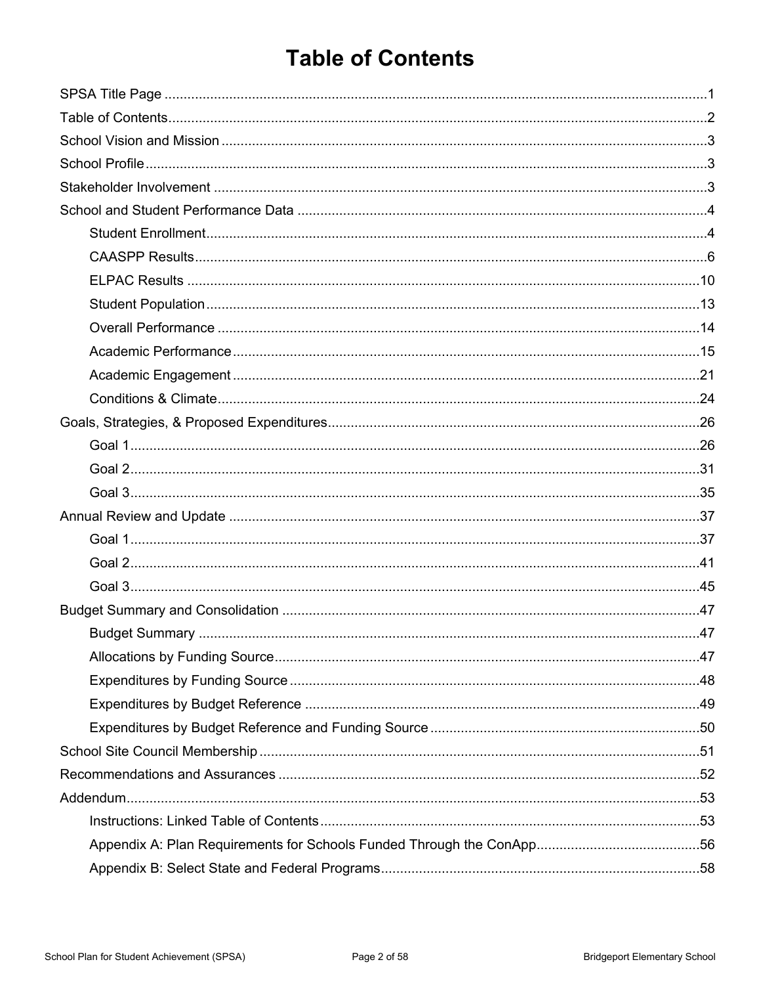# <span id="page-1-0"></span>**Table of Contents**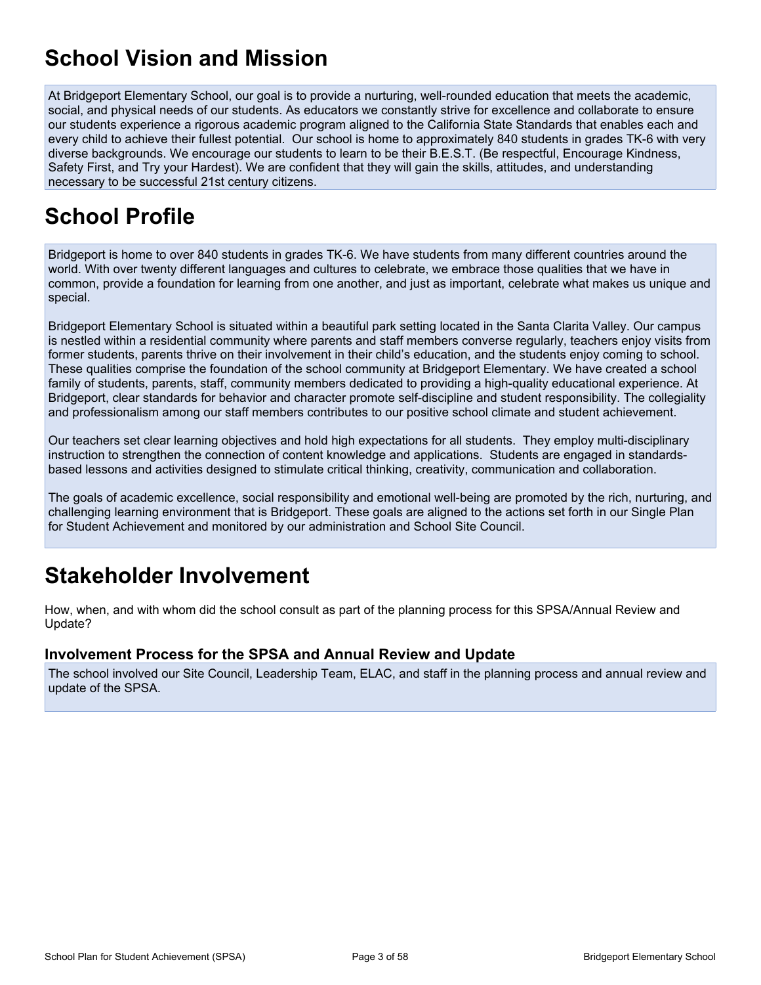# <span id="page-2-0"></span>**School Vision and Mission**

At Bridgeport Elementary School, our goal is to provide a nurturing, well-rounded education that meets the academic, social, and physical needs of our students. As educators we constantly strive for excellence and collaborate to ensure our students experience a rigorous academic program aligned to the California State Standards that enables each and every child to achieve their fullest potential. Our school is home to approximately 840 students in grades TK-6 with very diverse backgrounds. We encourage our students to learn to be their B.E.S.T. (Be respectful, Encourage Kindness, Safety First, and Try your Hardest). We are confident that they will gain the skills, attitudes, and understanding necessary to be successful 21st century citizens.

# <span id="page-2-1"></span>**School Profile**

Bridgeport is home to over 840 students in grades TK-6. We have students from many different countries around the world. With over twenty different languages and cultures to celebrate, we embrace those qualities that we have in common, provide a foundation for learning from one another, and just as important, celebrate what makes us unique and special.

Bridgeport Elementary School is situated within a beautiful park setting located in the Santa Clarita Valley. Our campus is nestled within a residential community where parents and staff members converse regularly, teachers enjoy visits from former students, parents thrive on their involvement in their child's education, and the students enjoy coming to school. These qualities comprise the foundation of the school community at Bridgeport Elementary. We have created a school family of students, parents, staff, community members dedicated to providing a high-quality educational experience. At Bridgeport, clear standards for behavior and character promote self-discipline and student responsibility. The collegiality and professionalism among our staff members contributes to our positive school climate and student achievement.

Our teachers set clear learning objectives and hold high expectations for all students. They employ multi-disciplinary instruction to strengthen the connection of content knowledge and applications. Students are engaged in standardsbased lessons and activities designed to stimulate critical thinking, creativity, communication and collaboration.

The goals of academic excellence, social responsibility and emotional well-being are promoted by the rich, nurturing, and challenging learning environment that is Bridgeport. These goals are aligned to the actions set forth in our Single Plan for Student Achievement and monitored by our administration and School Site Council.

# <span id="page-2-2"></span>**Stakeholder Involvement**

How, when, and with whom did the school consult as part of the planning process for this SPSA/Annual Review and Update?

#### **Involvement Process for the SPSA and Annual Review and Update**

The school involved our Site Council, Leadership Team, ELAC, and staff in the planning process and annual review and update of the SPSA.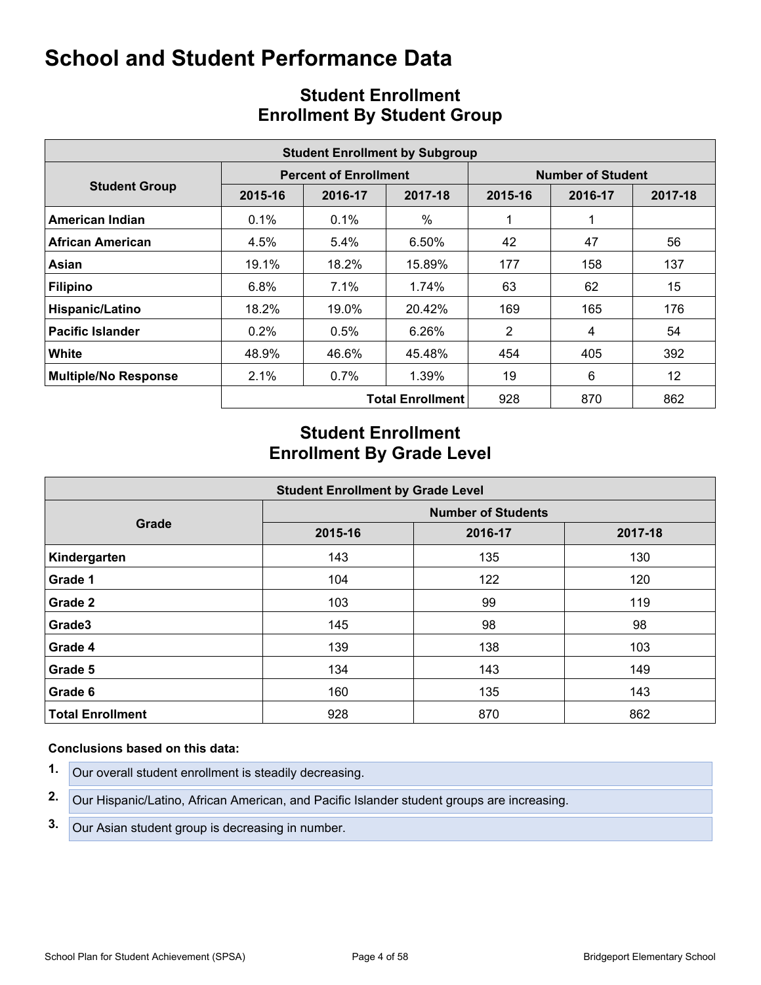<span id="page-3-0"></span>

|                             | <b>Student Enrollment by Subgroup</b> |                              |                         |                          |         |         |  |  |  |  |  |  |  |
|-----------------------------|---------------------------------------|------------------------------|-------------------------|--------------------------|---------|---------|--|--|--|--|--|--|--|
|                             |                                       | <b>Percent of Enrollment</b> |                         | <b>Number of Student</b> |         |         |  |  |  |  |  |  |  |
| <b>Student Group</b>        | 2015-16                               | 2016-17                      | 2017-18                 | 2015-16                  | 2016-17 | 2017-18 |  |  |  |  |  |  |  |
| American Indian             | 0.1%                                  | $0.1\%$                      | $\%$                    |                          |         |         |  |  |  |  |  |  |  |
| <b>African American</b>     | 4.5%                                  | 5.4%                         | 6.50%                   | 42                       | 47      | 56      |  |  |  |  |  |  |  |
| Asian                       | 19.1%                                 | 18.2%                        | 15.89%                  | 177                      | 158     | 137     |  |  |  |  |  |  |  |
| <b>Filipino</b>             | 6.8%                                  | $7.1\%$                      | 1.74%                   | 63                       | 62      | 15      |  |  |  |  |  |  |  |
| Hispanic/Latino             | 18.2%                                 | 19.0%                        | 20.42%                  | 169                      | 165     | 176     |  |  |  |  |  |  |  |
| <b>Pacific Islander</b>     | 0.2%                                  | 0.5%                         | 6.26%                   | 2                        | 4       | 54      |  |  |  |  |  |  |  |
| White                       | 48.9%                                 | 46.6%                        | 45.48%                  | 454                      | 405     | 392     |  |  |  |  |  |  |  |
| <b>Multiple/No Response</b> | 2.1%                                  | $0.7\%$                      | 1.39%                   | 19                       | 6       | 12      |  |  |  |  |  |  |  |
|                             |                                       |                              | <b>Total Enrollment</b> | 928                      | 870     | 862     |  |  |  |  |  |  |  |

# <span id="page-3-1"></span>**Student Enrollment Enrollment By Student Group**

# **Student Enrollment Enrollment By Grade Level**

| <b>Student Enrollment by Grade Level</b> |                           |         |         |  |  |  |  |  |  |  |
|------------------------------------------|---------------------------|---------|---------|--|--|--|--|--|--|--|
|                                          | <b>Number of Students</b> |         |         |  |  |  |  |  |  |  |
| Grade                                    | 2015-16                   | 2016-17 | 2017-18 |  |  |  |  |  |  |  |
| Kindergarten                             | 143                       | 135     | 130     |  |  |  |  |  |  |  |
| Grade 1                                  | 104                       | 122     | 120     |  |  |  |  |  |  |  |
| Grade 2                                  | 103                       | 99      | 119     |  |  |  |  |  |  |  |
| Grade3                                   | 145                       | 98      | 98      |  |  |  |  |  |  |  |
| Grade 4                                  | 139                       | 138     | 103     |  |  |  |  |  |  |  |
| Grade 5                                  | 134                       | 143     | 149     |  |  |  |  |  |  |  |
| Grade 6                                  | 160                       | 135     | 143     |  |  |  |  |  |  |  |
| <b>Total Enrollment</b>                  | 928                       | 870     | 862     |  |  |  |  |  |  |  |

- **1.** Our overall student enrollment is steadily decreasing.
- **2.** Our Hispanic/Latino, African American, and Pacific Islander student groups are increasing.
- **3.** Our Asian student group is decreasing in number.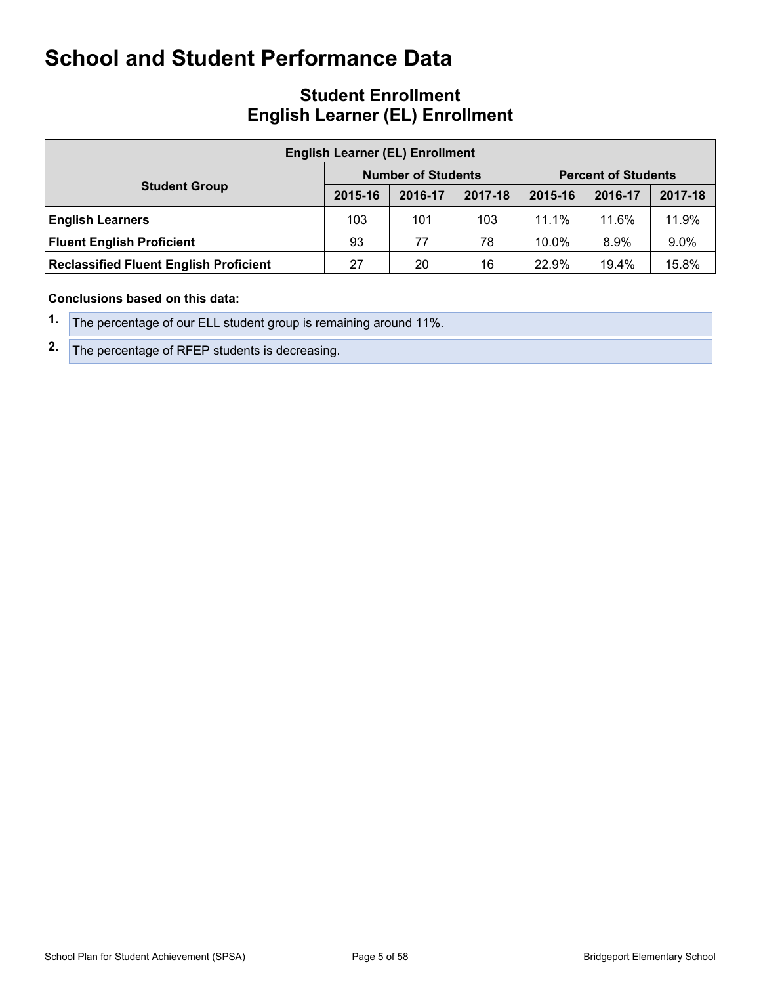### **Student Enrollment English Learner (EL) Enrollment**

| <b>English Learner (EL) Enrollment</b>        |         |                           |         |                            |         |         |  |  |  |  |
|-----------------------------------------------|---------|---------------------------|---------|----------------------------|---------|---------|--|--|--|--|
|                                               |         | <b>Number of Students</b> |         | <b>Percent of Students</b> |         |         |  |  |  |  |
| <b>Student Group</b>                          | 2015-16 | 2016-17                   | 2017-18 | 2015-16                    | 2016-17 | 2017-18 |  |  |  |  |
| <b>English Learners</b>                       | 103     | 101                       | 103     | 11.1%                      | 11.6%   | 11.9%   |  |  |  |  |
| <b>Fluent English Proficient</b>              | 93      | 77                        | 78      | 10.0%                      | 8.9%    | 9.0%    |  |  |  |  |
| <b>Reclassified Fluent English Proficient</b> | 27      | 20                        | 16      | 22.9%                      | 19.4%   | 15.8%   |  |  |  |  |

- **1.** The percentage of our ELL student group is remaining around 11%.
- **2.** The percentage of RFEP students is decreasing.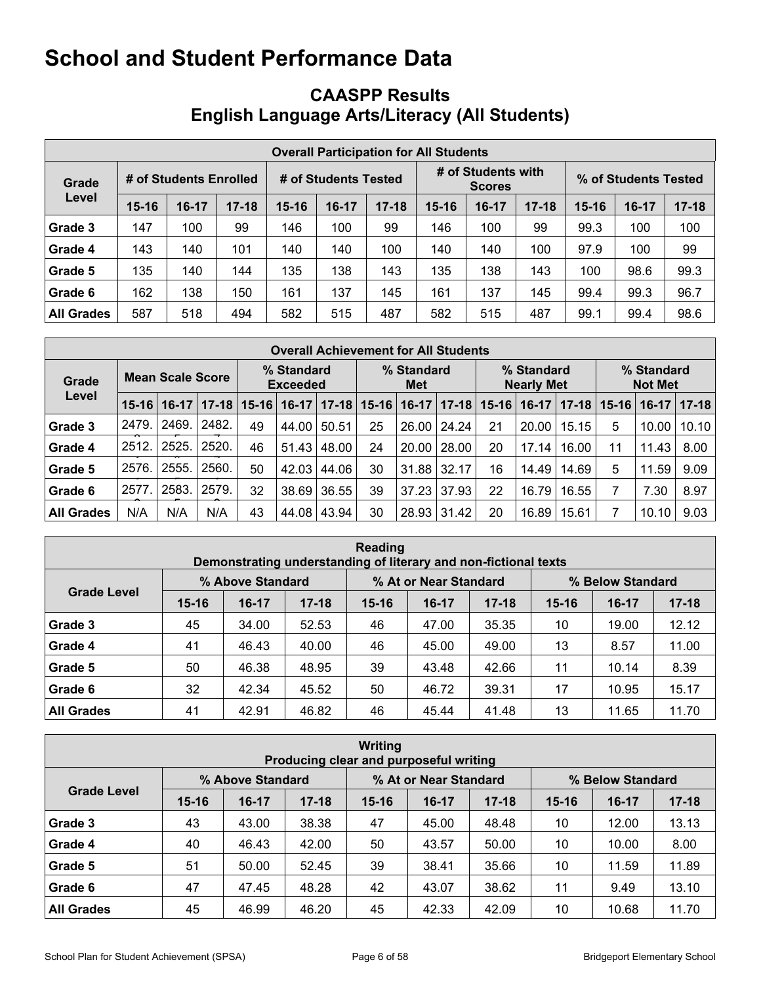# <span id="page-5-0"></span>**CAASPP Results English Language Arts/Literacy (All Students)**

|                   | <b>Overall Participation for All Students</b> |                        |           |                      |         |           |                                     |         |           |                      |       |           |  |
|-------------------|-----------------------------------------------|------------------------|-----------|----------------------|---------|-----------|-------------------------------------|---------|-----------|----------------------|-------|-----------|--|
| Grade             |                                               | # of Students Enrolled |           | # of Students Tested |         |           | # of Students with<br><b>Scores</b> |         |           | % of Students Tested |       |           |  |
| Level             | $15 - 16$                                     | $16-17$                | $17 - 18$ | $15 - 16$            | $16-17$ | $17 - 18$ | 15-16                               | $16-17$ | $17 - 18$ | $15 - 16$            | 16-17 | $17 - 18$ |  |
| Grade 3           | 147                                           | 100                    | 99        | 146                  | 100     | 99        | 146                                 | 100     | 99        | 99.3                 | 100   | 100       |  |
| Grade 4           | 143                                           | 140                    | 101       | 140                  | 140     | 100       | 140                                 | 140     | 100       | 97.9                 | 100   | 99        |  |
| Grade 5           | 135                                           | 140                    | 144       | 135                  | 138     | 143       | 135                                 | 138     | 143       | 100                  | 98.6  | 99.3      |  |
| Grade 6           | 162                                           | 138                    | 150       | 161                  | 137     | 145       | 161                                 | 137     | 145       | 99.4                 | 99.3  | 96.7      |  |
| <b>All Grades</b> | 587                                           | 518                    | 494       | 582                  | 515     | 487       | 582                                 | 515     | 487       | 99.1                 | 99.4  | 98.6      |  |

|                   | <b>Overall Achievement for All Students</b> |         |           |                               |         |           |                   |         |           |                                 |         |           |                              |         |          |
|-------------------|---------------------------------------------|---------|-----------|-------------------------------|---------|-----------|-------------------|---------|-----------|---------------------------------|---------|-----------|------------------------------|---------|----------|
| Grade             | <b>Mean Scale Score</b>                     |         |           | % Standard<br><b>Exceeded</b> |         |           | % Standard<br>Met |         |           | % Standard<br><b>Nearly Met</b> |         |           | % Standard<br><b>Not Met</b> |         |          |
| Level             | $15 - 16$                                   | $16-17$ | $17 - 18$ | $15 - 16$                     | $16-17$ | $17 - 18$ | $15 - 16$         | $16-17$ | $17 - 18$ | $15 - 16$                       | $16-17$ | $17 - 18$ | $15 - 16$                    | $16-17$ | $ 17-18$ |
| Grade 3           | 2479.                                       | 2469.   | 2482.     | 49                            | 44.00   | 50.51     | 25                | 26.00   | 24.24     | 21                              | 20.00   | 15.15     | 5                            | 10.00   | 10.10    |
| Grade 4           | 2512.                                       | 2525.   | 2520.     | 46                            | 51.43   | 48.00     | 24                | 20.00   | 28.00     | 20                              | 17.14   | 16.00     | 11                           | 11.43   | 8.00     |
| Grade 5           | 2576.                                       | 2555.   | 2560.     | 50                            | 42.03   | 44.06     | 30                | 31.88   | 32.17     | 16                              | 14.49   | 14.69     | 5                            | 11.59   | 9.09     |
| Grade 6           | 2577.                                       | 2583.   | 2579.     | 32                            | 38.69   | 36.55     | 39                | 37.23   | 37.93     | 22                              | 16.79   | 16.55     |                              | 7.30    | 8.97     |
| <b>All Grades</b> | N/A                                         | N/A     | N/A       | 43                            | 44.08   | 43.94     | 30                | 28.93   | 31.42     | 20                              | 16.89   | 15.61     |                              | 10.10   | 9.03     |

| Reading<br>Demonstrating understanding of literary and non-fictional texts |           |                  |           |           |                       |           |                  |         |           |  |  |  |
|----------------------------------------------------------------------------|-----------|------------------|-----------|-----------|-----------------------|-----------|------------------|---------|-----------|--|--|--|
|                                                                            |           | % Above Standard |           |           | % At or Near Standard |           | % Below Standard |         |           |  |  |  |
| <b>Grade Level</b>                                                         | $15 - 16$ | $16-17$          | $17 - 18$ | $15 - 16$ | $16-17$               | $17 - 18$ | $15 - 16$        | $16-17$ | $17 - 18$ |  |  |  |
| Grade 3                                                                    | 45        | 34.00            | 52.53     | 46        | 47.00                 | 35.35     | 10               | 19.00   | 12.12     |  |  |  |
| Grade 4                                                                    | 41        | 46.43            | 40.00     | 46        | 45.00                 | 49.00     | 13               | 8.57    | 11.00     |  |  |  |
| Grade 5                                                                    | 50        | 46.38            | 48.95     | 39        | 43.48                 | 42.66     | 11               | 10.14   | 8.39      |  |  |  |
| Grade 6                                                                    | 32        | 42.34            | 45.52     | 50        | 46.72                 | 39.31     | 17               | 10.95   | 15.17     |  |  |  |
| <b>All Grades</b>                                                          | 41        | 42.91            | 46.82     | 46        | 45.44                 | 41.48     | 13               | 11.65   | 11.70     |  |  |  |

| <b>Writing</b><br>Producing clear and purposeful writing |           |                  |           |           |                       |           |                  |           |           |  |  |  |
|----------------------------------------------------------|-----------|------------------|-----------|-----------|-----------------------|-----------|------------------|-----------|-----------|--|--|--|
|                                                          |           | % Above Standard |           |           | % At or Near Standard |           | % Below Standard |           |           |  |  |  |
| <b>Grade Level</b>                                       | $15 - 16$ | $16-17$          | $17 - 18$ | $15 - 16$ | $16-17$               | $17 - 18$ | $15 - 16$        | $16 - 17$ | $17 - 18$ |  |  |  |
| Grade 3                                                  | 43        | 43.00            | 38.38     | 47        | 45.00                 | 48.48     | 10               | 12.00     | 13.13     |  |  |  |
| Grade 4                                                  | 40        | 46.43            | 42.00     | 50        | 43.57                 | 50.00     | 10               | 10.00     | 8.00      |  |  |  |
| Grade 5                                                  | 51        | 50.00            | 52.45     | 39        | 38.41                 | 35.66     | 10               | 11.59     | 11.89     |  |  |  |
| Grade 6                                                  | 47        | 47.45            | 48.28     | 42        | 43.07                 | 38.62     | 11               | 9.49      | 13.10     |  |  |  |
| <b>All Grades</b>                                        | 45        | 46.99            | 46.20     | 45        | 42.33                 | 42.09     | 10               | 10.68     | 11.70     |  |  |  |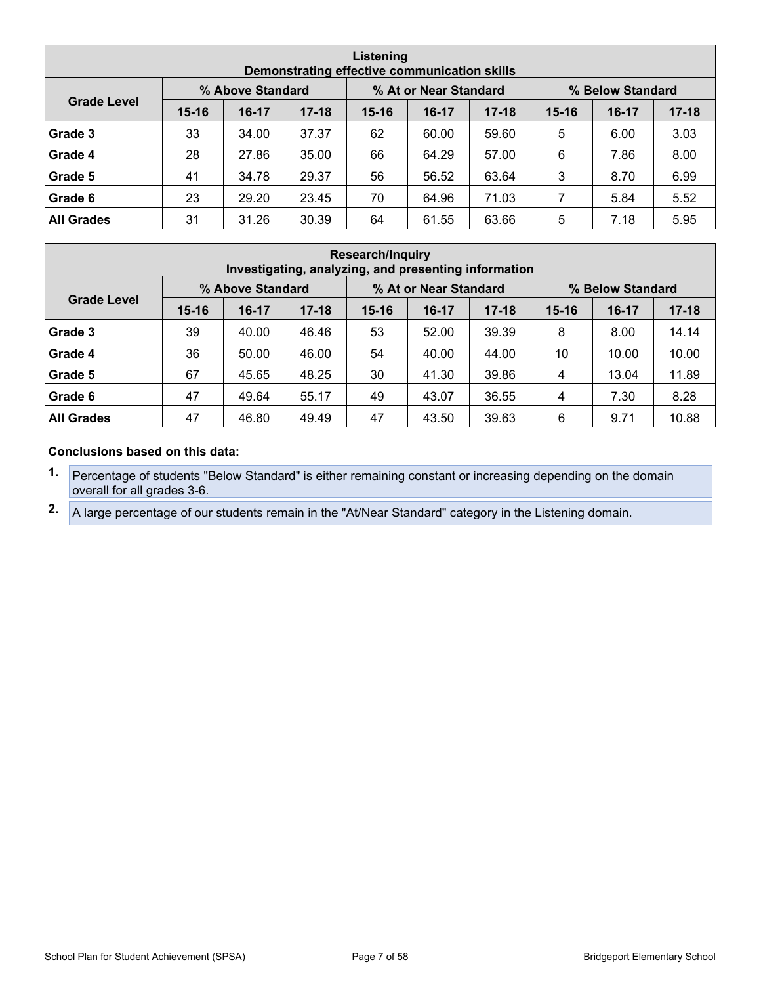| Listening<br>Demonstrating effective communication skills |           |                  |           |           |                       |           |           |                  |           |  |  |  |
|-----------------------------------------------------------|-----------|------------------|-----------|-----------|-----------------------|-----------|-----------|------------------|-----------|--|--|--|
|                                                           |           | % Above Standard |           |           | % At or Near Standard |           |           | % Below Standard |           |  |  |  |
| <b>Grade Level</b>                                        | $15 - 16$ | $16-17$          | $17 - 18$ | $15 - 16$ | $16-17$               | $17 - 18$ | $15 - 16$ | $16-17$          | $17 - 18$ |  |  |  |
| Grade 3                                                   | 33        | 34.00            | 37.37     | 62        | 60.00                 | 59.60     | 5         | 6.00             | 3.03      |  |  |  |
| Grade 4                                                   | 28        | 27.86            | 35.00     | 66        | 64.29                 | 57.00     | 6         | 7.86             | 8.00      |  |  |  |
| Grade 5                                                   | 41        | 34.78            | 29.37     | 56        | 56.52                 | 63.64     | 3         | 8.70             | 6.99      |  |  |  |
| Grade 6                                                   | 23        | 29.20            | 23.45     | 70        | 64.96                 | 71.03     | 7         | 5.84             | 5.52      |  |  |  |
| <b>All Grades</b>                                         | 31        | 31.26            | 30.39     | 64        | 61.55                 | 63.66     | 5         | 7.18             | 5.95      |  |  |  |

| <b>Research/Inquiry</b><br>Investigating, analyzing, and presenting information |           |                  |           |           |                       |           |                  |           |           |  |  |  |
|---------------------------------------------------------------------------------|-----------|------------------|-----------|-----------|-----------------------|-----------|------------------|-----------|-----------|--|--|--|
|                                                                                 |           | % Above Standard |           |           | % At or Near Standard |           | % Below Standard |           |           |  |  |  |
| <b>Grade Level</b>                                                              | $15 - 16$ | $16-17$          | $17 - 18$ | $15 - 16$ | $16-17$               | $17 - 18$ | $15 - 16$        | $16 - 17$ | $17 - 18$ |  |  |  |
| Grade 3                                                                         | 39        | 40.00            | 46.46     | 53        | 52.00                 | 39.39     | 8                | 8.00      | 14.14     |  |  |  |
| Grade 4                                                                         | 36        | 50.00            | 46.00     | 54        | 40.00                 | 44.00     | 10               | 10.00     | 10.00     |  |  |  |
| Grade 5                                                                         | 67        | 45.65            | 48.25     | 30        | 41.30                 | 39.86     | 4                | 13.04     | 11.89     |  |  |  |
| Grade 6                                                                         | 47        | 49.64            | 55.17     | 49        | 43.07                 | 36.55     | 4                | 7.30      | 8.28      |  |  |  |
| <b>All Grades</b>                                                               | 47        | 46.80            | 49.49     | 47        | 43.50                 | 39.63     | 6                | 9.71      | 10.88     |  |  |  |

#### **Conclusions based on this data:**

**1.** Percentage of students "Below Standard" is either remaining constant or increasing depending on the domain overall for all grades 3-6.

**2.** A large percentage of our students remain in the "At/Near Standard" category in the Listening domain.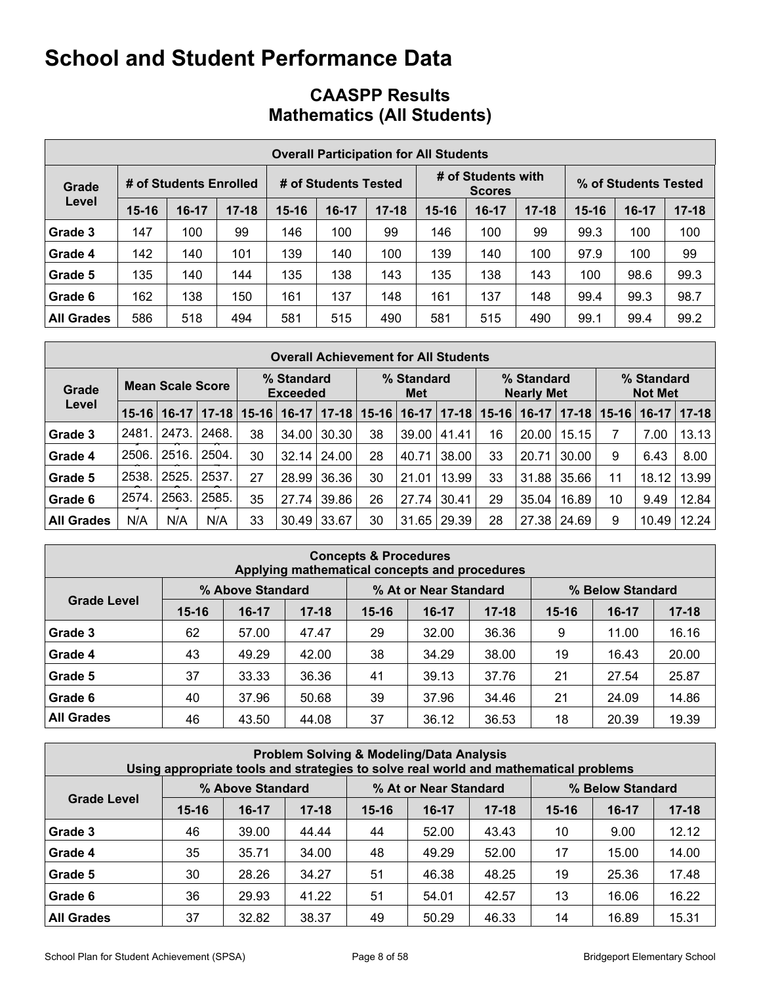# **CAASPP Results Mathematics (All Students)**

|                   | <b>Overall Participation for All Students</b> |                        |           |                      |         |           |                                     |         |           |                      |       |           |  |
|-------------------|-----------------------------------------------|------------------------|-----------|----------------------|---------|-----------|-------------------------------------|---------|-----------|----------------------|-------|-----------|--|
| Grade             |                                               | # of Students Enrolled |           | # of Students Tested |         |           | # of Students with<br><b>Scores</b> |         |           | % of Students Tested |       |           |  |
| Level             | $15 - 16$                                     | $16-17$                | $17 - 18$ | $15 - 16$            | $16-17$ | $17 - 18$ | $15 - 16$                           | $16-17$ | $17 - 18$ | $15 - 16$            | 16-17 | $17 - 18$ |  |
| Grade 3           | 147                                           | 100                    | 99        | 146                  | 100     | 99        | 146                                 | 100     | 99        | 99.3                 | 100   | 100       |  |
| Grade 4           | 142                                           | 140                    | 101       | 139                  | 140     | 100       | 139                                 | 140     | 100       | 97.9                 | 100   | 99        |  |
| Grade 5           | 135                                           | 140                    | 144       | 135                  | 138     | 143       | 135                                 | 138     | 143       | 100                  | 98.6  | 99.3      |  |
| Grade 6           | 162                                           | 138                    | 150       | 161                  | 137     | 148       | 161                                 | 137     | 148       | 99.4                 | 99.3  | 98.7      |  |
| <b>All Grades</b> | 586                                           | 518                    | 494       | 581                  | 515     | 490       | 581                                 | 515     | 490       | 99.1                 | 99.4  | 99.2      |  |

|                   | <b>Overall Achievement for All Students</b> |                         |           |                                                           |         |           |    |                                 |           |           |                              |             |           |         |         |
|-------------------|---------------------------------------------|-------------------------|-----------|-----------------------------------------------------------|---------|-----------|----|---------------------------------|-----------|-----------|------------------------------|-------------|-----------|---------|---------|
| Grade             |                                             | <b>Mean Scale Score</b> |           | % Standard<br>% Standard<br><b>Exceeded</b><br><b>Met</b> |         |           |    | % Standard<br><b>Nearly Met</b> |           |           | % Standard<br><b>Not Met</b> |             |           |         |         |
| Level             | $15-16$                                     | $16-17$                 | $17 - 18$ | $15 - 16$                                                 | $16-17$ | $17 - 18$ |    | $15 - 16$   16-17               | $17 - 18$ | $15 - 16$ | $16-17$                      | $17 - 18$   | $15 - 16$ | $16-17$ | $17-18$ |
| Grade 3           | 2481.                                       | 2473.                   | 2468.     | 38                                                        | 34.00   | 30.30     | 38 | 39.00                           | 41.41     | 16        | 20.00                        | 15.15       |           | 7.00    | 13.13   |
| Grade 4           | 2506.                                       | 2516.                   | 2504.     | 30                                                        | 32.14   | 24.00     | 28 | 40.71                           | 38.00     | 33        | 20.71                        | 30.00       | 9         | 6.43    | 8.00    |
| Grade 5           | 2538.                                       | 2525.                   | 2537.     | 27                                                        | 28.99   | 36.36     | 30 | 21.01                           | 13.99     | 33        | 31.88                        | 35.66       | 11        | 18.12   | 13.99   |
| Grade 6           | 2574.                                       | 2563.                   | 2585.     | 35                                                        | 27.74   | 39.86     | 26 | 27.74                           | 30.41     | 29        | 35.04                        | 16.89       | 10        | 9.49    | 12.84   |
| <b>All Grades</b> | N/A                                         | N/A                     | N/A       | 33                                                        | 30.49   | 33.67     | 30 | 31.65                           | 29.39     | 28        |                              | 27.38 24.69 | 9         | 10.49   | 12.24   |

| <b>Concepts &amp; Procedures</b><br>Applying mathematical concepts and procedures |           |                  |           |                       |         |           |                  |           |           |  |  |  |
|-----------------------------------------------------------------------------------|-----------|------------------|-----------|-----------------------|---------|-----------|------------------|-----------|-----------|--|--|--|
|                                                                                   |           | % Above Standard |           | % At or Near Standard |         |           | % Below Standard |           |           |  |  |  |
| <b>Grade Level</b>                                                                | $15 - 16$ | $16-17$          | $17 - 18$ | $15 - 16$             | $16-17$ | $17 - 18$ | $15 - 16$        | $16 - 17$ | $17 - 18$ |  |  |  |
| Grade 3                                                                           | 62        | 57.00            | 47.47     | 29                    | 32.00   | 36.36     | 9                | 11.00     | 16.16     |  |  |  |
| Grade 4                                                                           | 43        | 49.29            | 42.00     | 38                    | 34.29   | 38.00     | 19               | 16.43     | 20.00     |  |  |  |
| Grade 5                                                                           | 37        | 33.33            | 36.36     | 41                    | 39.13   | 37.76     | 21               | 27.54     | 25.87     |  |  |  |
| Grade 6                                                                           | 40        | 37.96            | 50.68     | 39                    | 37.96   | 34.46     | 21               | 24.09     | 14.86     |  |  |  |
| <b>All Grades</b>                                                                 | 46        | 43.50            | 44.08     | 37                    | 36.12   | 36.53     | 18               | 20.39     | 19.39     |  |  |  |

| <b>Problem Solving &amp; Modeling/Data Analysis</b><br>Using appropriate tools and strategies to solve real world and mathematical problems |           |                  |           |                                           |         |         |           |           |           |  |  |
|---------------------------------------------------------------------------------------------------------------------------------------------|-----------|------------------|-----------|-------------------------------------------|---------|---------|-----------|-----------|-----------|--|--|
|                                                                                                                                             |           | % Above Standard |           | % At or Near Standard<br>% Below Standard |         |         |           |           |           |  |  |
| <b>Grade Level</b>                                                                                                                          | $15 - 16$ | $16-17$          | $17 - 18$ | $15 - 16$                                 | $16-17$ | $17-18$ | $15 - 16$ | $16 - 17$ | $17 - 18$ |  |  |
| Grade 3                                                                                                                                     | 46        | 39.00            | 44.44     | 44                                        | 52.00   | 43.43   | 10        | 9.00      | 12.12     |  |  |
| Grade 4                                                                                                                                     | 35        | 35.71            | 34.00     | 48                                        | 49.29   | 52.00   | 17        | 15.00     | 14.00     |  |  |
| Grade 5                                                                                                                                     | 30        | 28.26            | 34.27     | 51                                        | 46.38   | 48.25   | 19        | 25.36     | 17.48     |  |  |
| Grade 6                                                                                                                                     | 36        | 29.93            | 41.22     | 51                                        | 54.01   | 42.57   | 13        | 16.06     | 16.22     |  |  |
| <b>All Grades</b>                                                                                                                           | 37        | 32.82            | 38.37     | 49                                        | 50.29   | 46.33   | 14        | 16.89     | 15.31     |  |  |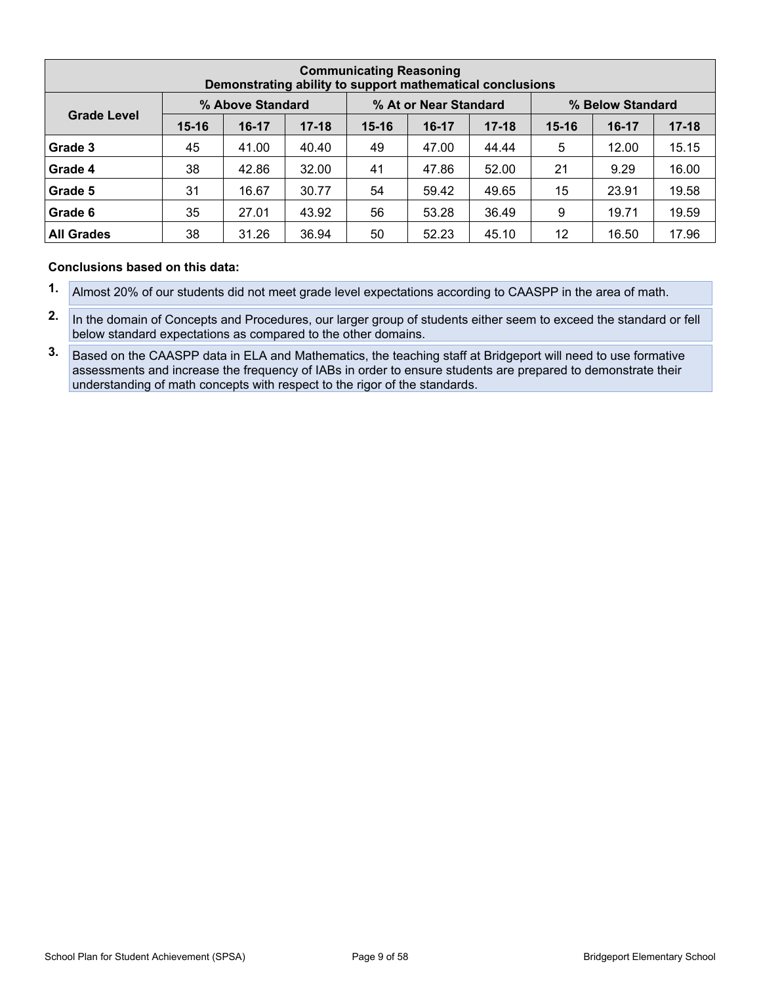| <b>Communicating Reasoning</b><br>Demonstrating ability to support mathematical conclusions |           |         |                                           |           |         |           |           |                  |           |  |  |
|---------------------------------------------------------------------------------------------|-----------|---------|-------------------------------------------|-----------|---------|-----------|-----------|------------------|-----------|--|--|
|                                                                                             |           |         | % Above Standard<br>% At or Near Standard |           |         |           |           | % Below Standard |           |  |  |
| <b>Grade Level</b>                                                                          | $15 - 16$ | $16-17$ | $17 - 18$                                 | $15 - 16$ | $16-17$ | $17 - 18$ | $15 - 16$ | $16-17$          | $17 - 18$ |  |  |
| Grade 3                                                                                     | 45        | 41.00   | 40.40                                     | 49        | 47.00   | 44.44     | 5         | 12.00            | 15.15     |  |  |
| Grade 4                                                                                     | 38        | 42.86   | 32.00                                     | 41        | 47.86   | 52.00     | 21        | 9.29             | 16.00     |  |  |
| Grade 5                                                                                     | 31        | 16.67   | 30.77                                     | 54        | 59.42   | 49.65     | 15        | 23.91            | 19.58     |  |  |
| Grade 6                                                                                     | 35        | 27.01   | 43.92                                     | 56        | 53.28   | 36.49     | 9         | 19.71            | 19.59     |  |  |
| <b>All Grades</b>                                                                           | 38        | 31.26   | 36.94                                     | 50        | 52.23   | 45.10     | 12        | 16.50            | 17.96     |  |  |

- **1.** Almost 20% of our students did not meet grade level expectations according to CAASPP in the area of math.
- **2.** In the domain of Concepts and Procedures, our larger group of students either seem to exceed the standard or fell below standard expectations as compared to the other domains.
- **3.** Based on the CAASPP data in ELA and Mathematics, the teaching staff at Bridgeport will need to use formative assessments and increase the frequency of IABs in order to ensure students are prepared to demonstrate their understanding of math concepts with respect to the rigor of the standards.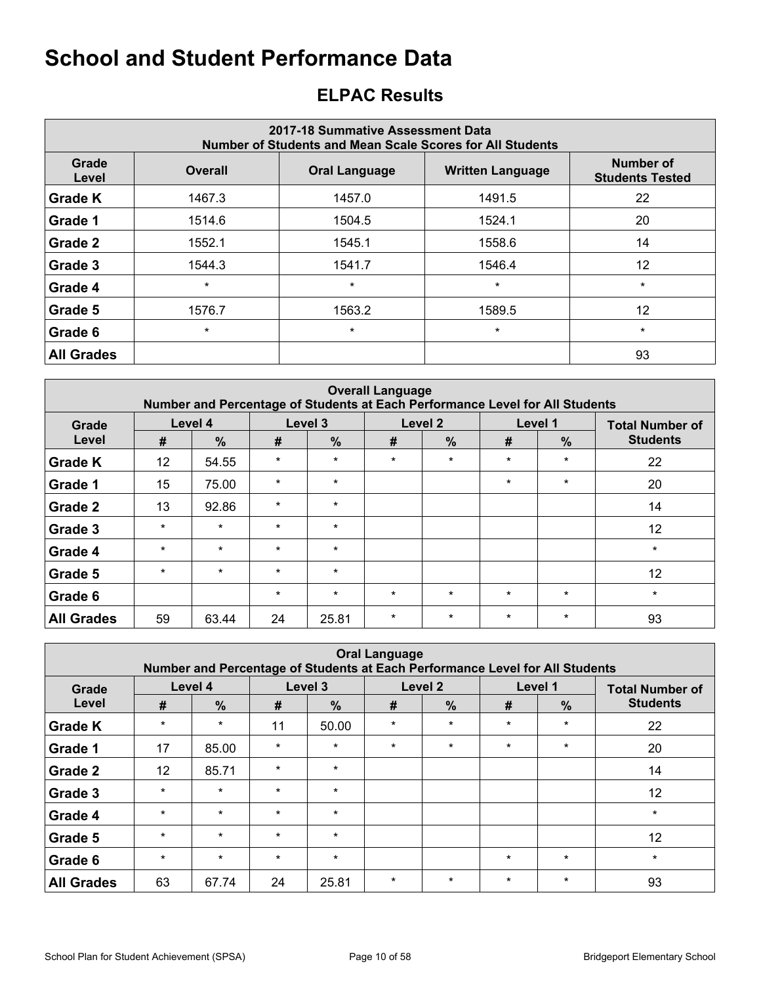# <span id="page-9-0"></span>**ELPAC Results**

| 2017-18 Summative Assessment Data<br><b>Number of Students and Mean Scale Scores for All Students</b> |                |                      |                         |                                     |  |  |  |  |  |  |  |
|-------------------------------------------------------------------------------------------------------|----------------|----------------------|-------------------------|-------------------------------------|--|--|--|--|--|--|--|
| Grade<br>Level                                                                                        | <b>Overall</b> | <b>Oral Language</b> | <b>Written Language</b> | Number of<br><b>Students Tested</b> |  |  |  |  |  |  |  |
| <b>Grade K</b>                                                                                        | 1467.3         | 1457.0               | 1491.5                  | 22                                  |  |  |  |  |  |  |  |
| Grade 1                                                                                               | 1514.6         | 1504.5               | 1524.1                  | 20                                  |  |  |  |  |  |  |  |
| Grade 2                                                                                               | 1552.1         | 1545.1               | 1558.6                  | 14                                  |  |  |  |  |  |  |  |
| Grade 3                                                                                               | 1544.3         | 1541.7               | 1546.4                  | 12                                  |  |  |  |  |  |  |  |
| Grade 4                                                                                               | $\star$        | $\star$              | $\star$                 | $\star$                             |  |  |  |  |  |  |  |
| Grade 5                                                                                               | 1576.7         | 1563.2               | 1589.5                  | 12                                  |  |  |  |  |  |  |  |
| Grade 6                                                                                               | $\star$        | $\star$              | $\star$                 | $\star$                             |  |  |  |  |  |  |  |
| <b>All Grades</b>                                                                                     |                |                      |                         | 93                                  |  |  |  |  |  |  |  |

| <b>Overall Language</b><br>Number and Percentage of Students at Each Performance Level for All Students |         |               |         |               |         |         |         |         |                        |  |  |  |
|---------------------------------------------------------------------------------------------------------|---------|---------------|---------|---------------|---------|---------|---------|---------|------------------------|--|--|--|
| Grade                                                                                                   |         | Level 4       |         | Level 3       |         | Level 2 |         | Level 1 | <b>Total Number of</b> |  |  |  |
| Level                                                                                                   | #       | $\frac{9}{6}$ | #       | $\frac{0}{0}$ | #       | $\%$    | #       | $\%$    | <b>Students</b>        |  |  |  |
| <b>Grade K</b>                                                                                          | 12      | 54.55         | $\star$ | $\star$       | $\star$ | $\star$ | $\star$ | $\star$ | 22                     |  |  |  |
| Grade 1                                                                                                 | 15      | 75.00         | $\star$ | $\star$       |         |         | $\star$ | $\star$ | 20                     |  |  |  |
| <b>Grade 2</b>                                                                                          | 13      | 92.86         | $\star$ | $\star$       |         |         |         |         | 14                     |  |  |  |
| Grade 3                                                                                                 | $\star$ | $\star$       | $\star$ | $\star$       |         |         |         |         | 12                     |  |  |  |
| Grade 4                                                                                                 | $\star$ | $\star$       | $\star$ | $\star$       |         |         |         |         | $\star$                |  |  |  |
| Grade 5                                                                                                 | $\star$ | $\star$       | $\star$ | $\star$       |         |         |         |         | 12                     |  |  |  |
| Grade 6                                                                                                 |         |               | $\star$ | $\star$       | $\star$ | $\star$ | $\star$ | $\star$ | $\star$                |  |  |  |
| <b>All Grades</b>                                                                                       | 59      | 63.44         | 24      | 25.81         | $\star$ | $\star$ | $\star$ | $\ast$  | 93                     |  |  |  |

| <b>Oral Language</b><br>Number and Percentage of Students at Each Performance Level for All Students |         |               |         |               |         |               |         |         |                        |  |  |
|------------------------------------------------------------------------------------------------------|---------|---------------|---------|---------------|---------|---------------|---------|---------|------------------------|--|--|
| Grade                                                                                                |         | Level 4       |         | Level 3       |         | Level 2       |         | Level 1 | <b>Total Number of</b> |  |  |
| Level                                                                                                | #       | $\frac{9}{6}$ | #       | $\frac{0}{0}$ | #       | $\frac{9}{6}$ | #       | $\%$    | <b>Students</b>        |  |  |
| <b>Grade K</b>                                                                                       | $\star$ | $\star$       | 11      | 50.00         | $\star$ | $\star$       | $\star$ | $\star$ | 22                     |  |  |
| Grade 1                                                                                              | 17      | 85.00         | $\star$ | $\star$       | $\star$ | $\star$       | $\star$ | $\star$ | 20                     |  |  |
| Grade 2                                                                                              | 12      | 85.71         | $\star$ | $\star$       |         |               |         |         | 14                     |  |  |
| Grade 3                                                                                              | $\star$ | $\star$       | $\star$ | $\star$       |         |               |         |         | 12                     |  |  |
| Grade 4                                                                                              | $\star$ | $\star$       | $\star$ | $\star$       |         |               |         |         | $\star$                |  |  |
| Grade 5                                                                                              | $\star$ | $\star$       | $\star$ | $\star$       |         |               |         |         | 12                     |  |  |
| Grade 6                                                                                              | $\star$ | $\star$       | $\star$ | $\star$       |         |               | $\star$ | $\star$ | $\star$                |  |  |
| <b>All Grades</b>                                                                                    | 63      | 67.74         | 24      | 25.81         | $\star$ | $\star$       | $\star$ | $\star$ | 93                     |  |  |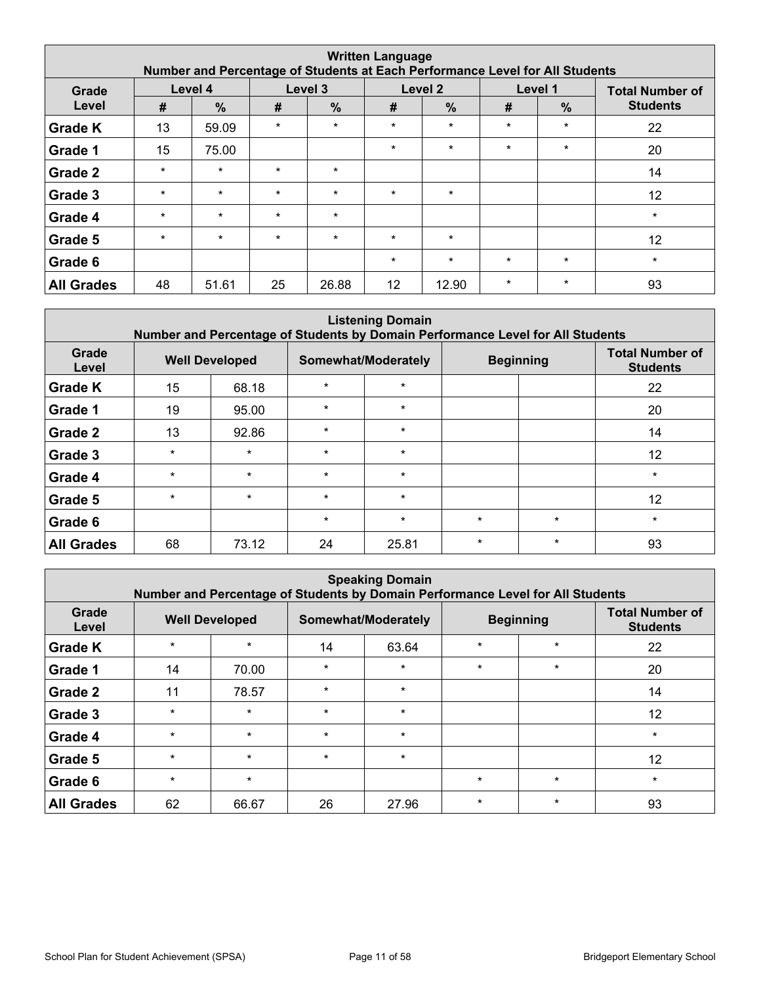| <b>Written Language</b><br>Number and Percentage of Students at Each Performance Level for All Students |         |               |         |               |         |                    |         |               |                        |  |  |  |
|---------------------------------------------------------------------------------------------------------|---------|---------------|---------|---------------|---------|--------------------|---------|---------------|------------------------|--|--|--|
| Grade                                                                                                   |         | Level 4       |         | Level 3       |         | Level <sub>2</sub> |         | Level 1       | <b>Total Number of</b> |  |  |  |
| Level                                                                                                   | #       | $\frac{0}{0}$ | #       | $\frac{9}{6}$ | #       | $\frac{0}{0}$      | #       | $\frac{9}{6}$ | <b>Students</b>        |  |  |  |
| <b>Grade K</b>                                                                                          | 13      | 59.09         | $\star$ | $\star$       | $\star$ | $\star$            | $\star$ | $\star$       | 22                     |  |  |  |
| Grade 1                                                                                                 | 15      | 75.00         |         |               | $\star$ | $\star$            | $\star$ | $\star$       | 20                     |  |  |  |
| Grade 2                                                                                                 | $\star$ | $\star$       | $\star$ | $\star$       |         |                    |         |               | 14                     |  |  |  |
| Grade 3                                                                                                 | $\star$ | $\star$       | $\star$ | $\star$       | $\star$ | $\star$            |         |               | 12                     |  |  |  |
| Grade 4                                                                                                 | $\star$ | $\star$       | $\star$ | $\star$       |         |                    |         |               | $\star$                |  |  |  |
| Grade 5                                                                                                 | $\star$ | $\star$       | $\star$ | $\star$       | $\star$ | $\star$            |         |               | 12                     |  |  |  |
| Grade 6                                                                                                 |         |               |         |               | $\star$ | $\star$            | $\star$ | $\star$       | $\star$                |  |  |  |
| <b>All Grades</b>                                                                                       | 48      | 51.61         | 25      | 26.88         | 12      | 12.90              | $\star$ | $\star$       | 93                     |  |  |  |

| <b>Listening Domain</b><br>Number and Percentage of Students by Domain Performance Level for All Students |                       |         |                     |         |                  |         |                                           |  |  |  |  |
|-----------------------------------------------------------------------------------------------------------|-----------------------|---------|---------------------|---------|------------------|---------|-------------------------------------------|--|--|--|--|
| Grade<br>Level                                                                                            | <b>Well Developed</b> |         | Somewhat/Moderately |         | <b>Beginning</b> |         | <b>Total Number of</b><br><b>Students</b> |  |  |  |  |
| <b>Grade K</b>                                                                                            | 15                    | 68.18   | $\star$             | $\star$ |                  |         | 22                                        |  |  |  |  |
| Grade 1                                                                                                   | 19                    | 95.00   | $\star$             | $\star$ |                  |         | 20                                        |  |  |  |  |
| Grade 2                                                                                                   | 13                    | 92.86   | $\star$             | $\star$ |                  |         | 14                                        |  |  |  |  |
| Grade 3                                                                                                   | $\star$               | $\star$ | $\star$             | $\star$ |                  |         | 12                                        |  |  |  |  |
| Grade 4                                                                                                   | $\star$               | $\star$ | $\star$             | $\star$ |                  |         | $\star$                                   |  |  |  |  |
| Grade 5                                                                                                   | $\star$               | $\star$ | $\star$             | $\star$ |                  |         | 12                                        |  |  |  |  |
| Grade 6                                                                                                   |                       |         | $\star$             | $\star$ | $\star$          | $\star$ | $\star$                                   |  |  |  |  |
| <b>All Grades</b>                                                                                         | 68                    | 73.12   | 24                  | 25.81   | $\star$          | $\star$ | 93                                        |  |  |  |  |

| <b>Speaking Domain</b><br>Number and Percentage of Students by Domain Performance Level for All Students |                       |         |                     |         |                    |                  |                                           |  |  |  |  |
|----------------------------------------------------------------------------------------------------------|-----------------------|---------|---------------------|---------|--------------------|------------------|-------------------------------------------|--|--|--|--|
| Grade<br>Level                                                                                           | <b>Well Developed</b> |         | Somewhat/Moderately |         |                    | <b>Beginning</b> | <b>Total Number of</b><br><b>Students</b> |  |  |  |  |
| <b>Grade K</b>                                                                                           | $\star$               | $\star$ | 14                  | 63.64   | $\star$<br>$\star$ |                  | 22                                        |  |  |  |  |
| Grade 1                                                                                                  | 14                    | 70.00   | $\star$             | $\star$ | $\star$            | $\star$          | 20                                        |  |  |  |  |
| Grade 2                                                                                                  | 11                    | 78.57   | $\star$             | $\star$ |                    |                  | 14                                        |  |  |  |  |
| Grade 3                                                                                                  | $\star$               | $\star$ | $\star$             | $\star$ |                    |                  | 12                                        |  |  |  |  |
| Grade 4                                                                                                  | $\star$               | $\star$ | $\star$             | $\star$ |                    |                  | $\star$                                   |  |  |  |  |
| Grade 5                                                                                                  | $\star$               | $\star$ | $\star$             | $\star$ |                    |                  | 12                                        |  |  |  |  |
| Grade 6                                                                                                  | $\star$               | $\star$ |                     |         | $\star$            | $\star$          | $\star$                                   |  |  |  |  |
| <b>All Grades</b>                                                                                        | 62                    | 66.67   | 26                  | 27.96   | $\star$            | $\star$          | 93                                        |  |  |  |  |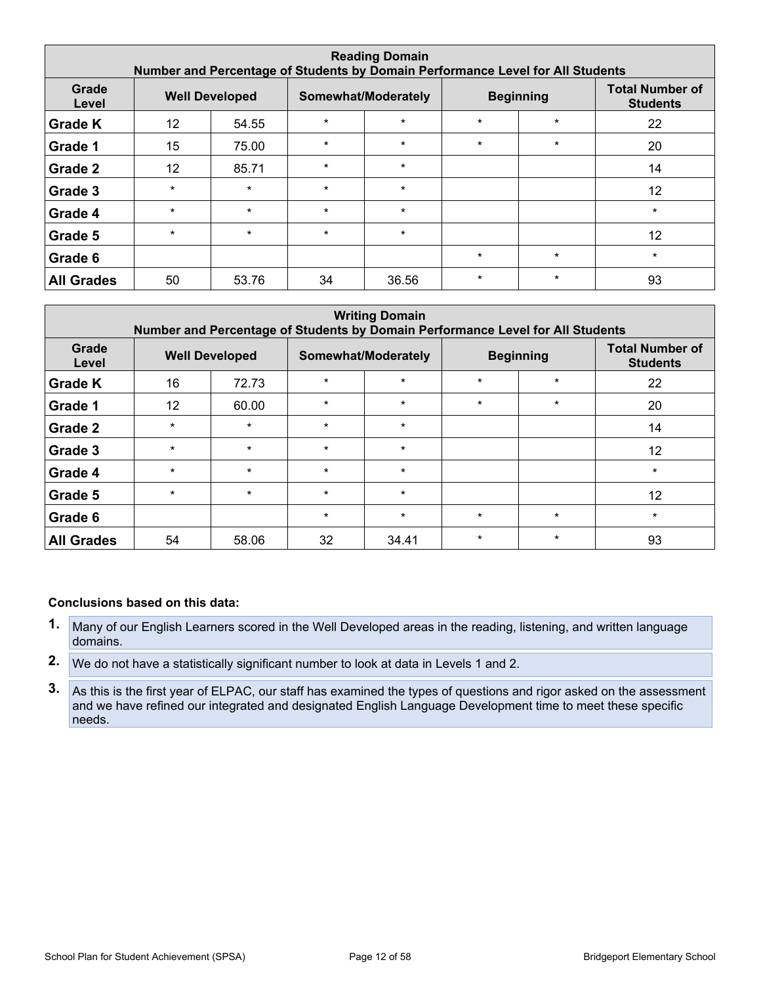| <b>Reading Domain</b><br>Number and Percentage of Students by Domain Performance Level for All Students |                       |         |         |                     |         |                  |                                           |  |  |  |  |
|---------------------------------------------------------------------------------------------------------|-----------------------|---------|---------|---------------------|---------|------------------|-------------------------------------------|--|--|--|--|
| Grade<br>Level                                                                                          | <b>Well Developed</b> |         |         | Somewhat/Moderately |         | <b>Beginning</b> | <b>Total Number of</b><br><b>Students</b> |  |  |  |  |
| <b>Grade K</b>                                                                                          | 12                    | 54.55   | $\star$ | $\star$             | $\star$ | $\star$          | 22                                        |  |  |  |  |
| Grade 1                                                                                                 | 15                    | 75.00   | $\star$ | $\star$             | $\star$ | $\star$          | 20                                        |  |  |  |  |
| Grade 2                                                                                                 | $12 \overline{ }$     | 85.71   | $\star$ | $\star$             |         |                  | 14                                        |  |  |  |  |
| Grade 3                                                                                                 | $\star$               | $\star$ | $\star$ | $\star$             |         |                  | 12                                        |  |  |  |  |
| Grade 4                                                                                                 | $\star$               | $\star$ | $\star$ | $\star$             |         |                  | $\star$                                   |  |  |  |  |
| Grade 5                                                                                                 | $\star$               | $\star$ | $\star$ | $\star$             |         |                  | 12                                        |  |  |  |  |
| Grade 6                                                                                                 |                       |         |         |                     | $\star$ | $\star$          | $\star$                                   |  |  |  |  |
| <b>All Grades</b>                                                                                       | 50                    | 53.76   | 34      | 36.56               | $\star$ | $\star$          | 93                                        |  |  |  |  |

| <b>Writing Domain</b><br>Number and Percentage of Students by Domain Performance Level for All Students |         |                       |         |                     |         |                  |                                           |  |  |  |  |
|---------------------------------------------------------------------------------------------------------|---------|-----------------------|---------|---------------------|---------|------------------|-------------------------------------------|--|--|--|--|
| Grade<br>Level                                                                                          |         | <b>Well Developed</b> |         | Somewhat/Moderately |         | <b>Beginning</b> | <b>Total Number of</b><br><b>Students</b> |  |  |  |  |
| <b>Grade K</b>                                                                                          | 16      | 72.73                 | $\star$ | $\star$             | $\star$ | $\star$          | 22                                        |  |  |  |  |
| Grade 1                                                                                                 | 12      | 60.00                 | $\star$ | $\star$             | $\star$ | $\star$          | 20                                        |  |  |  |  |
| Grade 2                                                                                                 | $\star$ | $\star$               | $\star$ | $\star$             |         |                  | 14                                        |  |  |  |  |
| Grade 3                                                                                                 | $\star$ | $\star$               | $\star$ | $\star$             |         |                  | 12                                        |  |  |  |  |
| Grade 4                                                                                                 | $\star$ | $\star$               | $\star$ | $\star$             |         |                  | $\star$                                   |  |  |  |  |
| Grade 5                                                                                                 | $\star$ | $\star$               | $\star$ | $\star$             |         |                  | 12                                        |  |  |  |  |
| Grade 6                                                                                                 |         |                       | $\star$ | $\star$             | $\star$ | $\star$          | $\star$                                   |  |  |  |  |
| <b>All Grades</b>                                                                                       | 54      | 58.06                 | 32      | 34.41               | $\star$ | $\star$          | 93                                        |  |  |  |  |

- **1.** Many of our English Learners scored in the Well Developed areas in the reading, listening, and written language domains.
- **2.** We do not have a statistically significant number to look at data in Levels 1 and 2.
- **3.** As this is the first year of ELPAC, our staff has examined the types of questions and rigor asked on the assessment and we have refined our integrated and designated English Language Development time to meet these specific needs.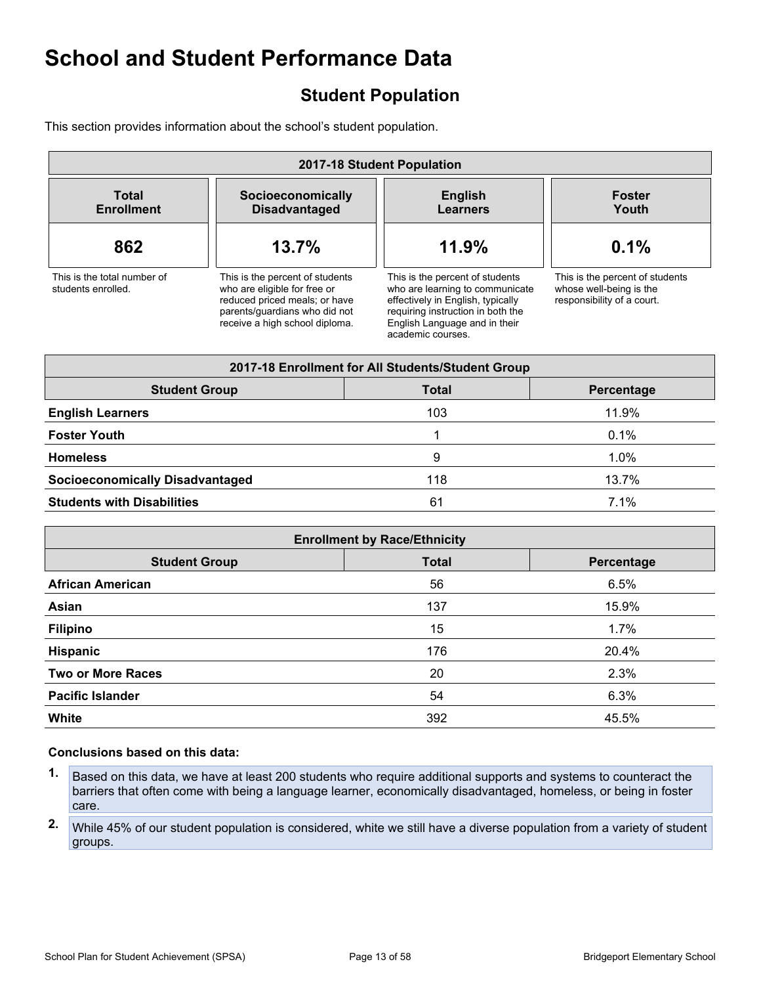# <span id="page-12-0"></span>**Student Population**

This section provides information about the school's student population.

| 2017-18 Student Population                        |                                                                                                                                                                     |                                                                                                                                                                                                    |                                                                                          |  |
|---------------------------------------------------|---------------------------------------------------------------------------------------------------------------------------------------------------------------------|----------------------------------------------------------------------------------------------------------------------------------------------------------------------------------------------------|------------------------------------------------------------------------------------------|--|
| <b>Total</b><br><b>Enrollment</b>                 | Socioeconomically<br><b>Disadvantaged</b>                                                                                                                           | <b>English</b><br><b>Learners</b>                                                                                                                                                                  | <b>Foster</b><br>Youth                                                                   |  |
| 862                                               | 13.7%                                                                                                                                                               | 11.9%                                                                                                                                                                                              | 0.1%                                                                                     |  |
| This is the total number of<br>students enrolled. | This is the percent of students<br>who are eligible for free or<br>reduced priced meals; or have<br>parents/quardians who did not<br>receive a high school diploma. | This is the percent of students<br>who are learning to communicate<br>effectively in English, typically<br>requiring instruction in both the<br>English Language and in their<br>academic courses. | This is the percent of students<br>whose well-being is the<br>responsibility of a court. |  |

| 2017-18 Enrollment for All Students/Student Group  |     |       |  |  |  |
|----------------------------------------------------|-----|-------|--|--|--|
| <b>Student Group</b><br><b>Total</b><br>Percentage |     |       |  |  |  |
| <b>English Learners</b>                            | 103 | 11.9% |  |  |  |
| <b>Foster Youth</b>                                |     | 0.1%  |  |  |  |
| <b>Homeless</b>                                    | 9   | 1.0%  |  |  |  |
| <b>Socioeconomically Disadvantaged</b>             | 118 | 13.7% |  |  |  |
| <b>Students with Disabilities</b>                  | 61  | 7.1%  |  |  |  |

| <b>Enrollment by Race/Ethnicity</b>                |     |       |  |  |  |
|----------------------------------------------------|-----|-------|--|--|--|
| <b>Total</b><br><b>Student Group</b><br>Percentage |     |       |  |  |  |
| <b>African American</b>                            | 56  | 6.5%  |  |  |  |
| Asian                                              | 137 | 15.9% |  |  |  |
| <b>Filipino</b>                                    | 15  | 1.7%  |  |  |  |
| Hispanic                                           | 176 | 20.4% |  |  |  |
| <b>Two or More Races</b>                           | 20  | 2.3%  |  |  |  |
| <b>Pacific Islander</b>                            | 54  | 6.3%  |  |  |  |
| <b>White</b>                                       | 392 | 45.5% |  |  |  |

- **1.** Based on this data, we have at least 200 students who require additional supports and systems to counteract the barriers that often come with being a language learner, economically disadvantaged, homeless, or being in foster care.
- **2.** While 45% of our student population is considered, white we still have a diverse population from a variety of student groups.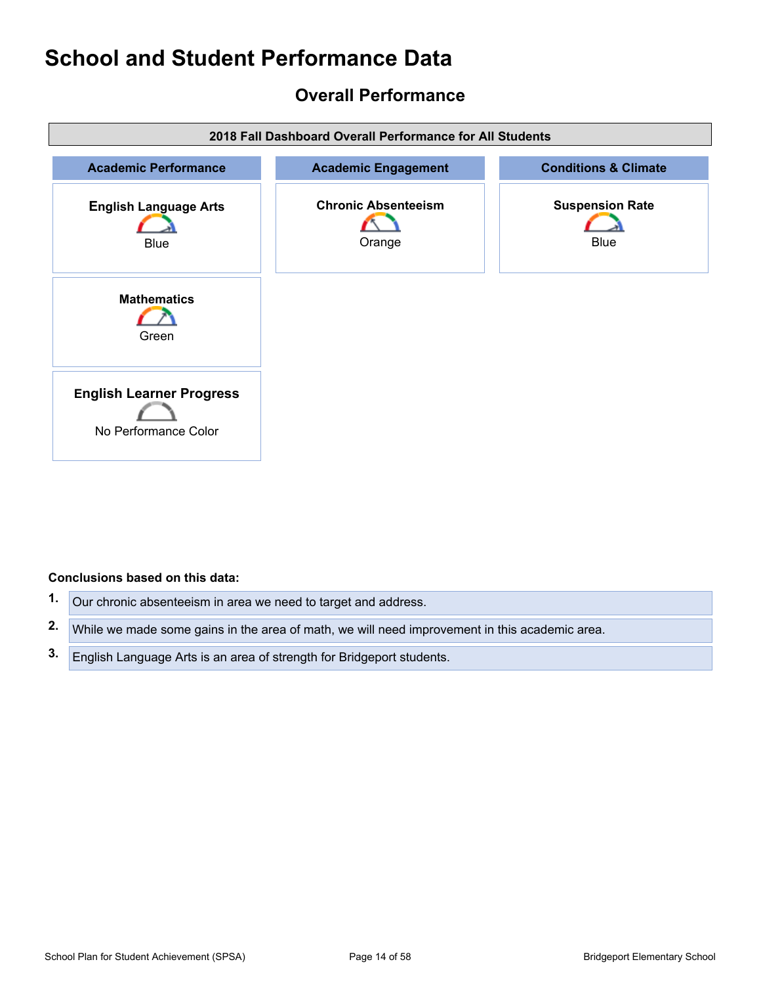# <span id="page-13-0"></span>**Overall Performance**



- **1.** Our chronic absenteeism in area we need to target and address.
- **2.** While we made some gains in the area of math, we will need improvement in this academic area.
- **3.** English Language Arts is an area of strength for Bridgeport students.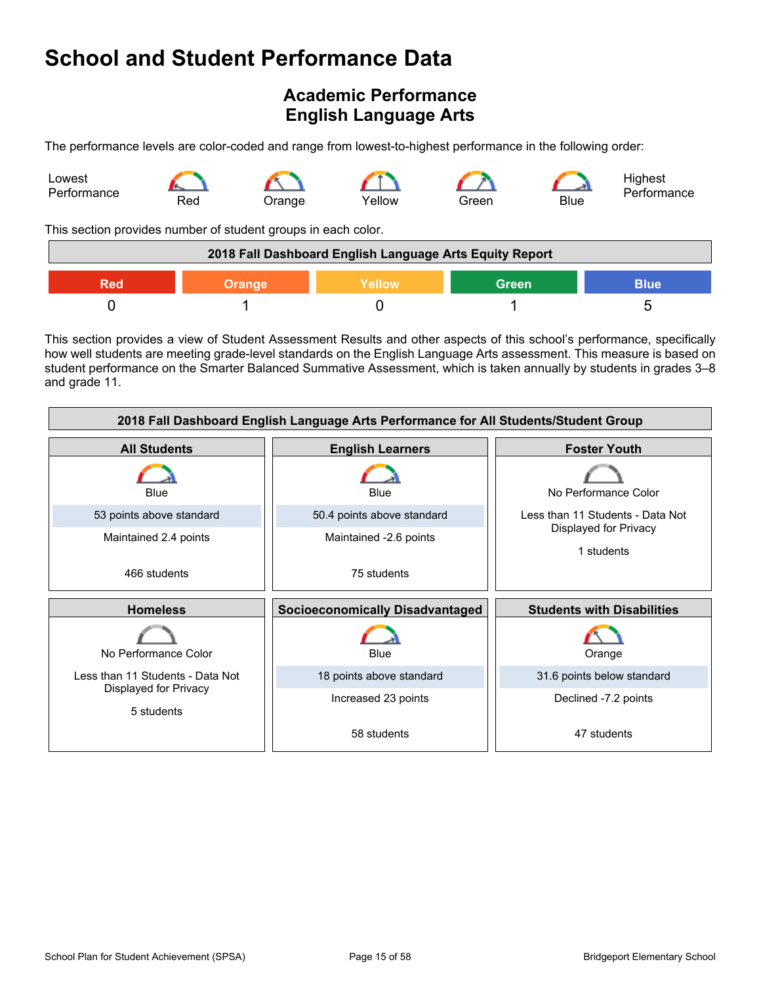# <span id="page-14-0"></span>**Academic Performance English Language Arts**

The performance levels are color-coded and range from lowest-to-highest performance in the following order:



This section provides number of student groups in each color.

| 2018 Fall Dashboard English Language Arts Equity Report              |  |  |  |  |
|----------------------------------------------------------------------|--|--|--|--|
| <b>Yellow</b><br><b>Green</b><br><b>Blue</b><br>Red<br><b>Orange</b> |  |  |  |  |
|                                                                      |  |  |  |  |

This section provides a view of Student Assessment Results and other aspects of this school's performance, specifically how well students are meeting grade-level standards on the English Language Arts assessment. This measure is based on student performance on the Smarter Balanced Summative Assessment, which is taken annually by students in grades 3–8 and grade 11.

| 2018 Fall Dashboard English Language Arts Performance for All Students/Student Group |                            |                                     |  |  |  |
|--------------------------------------------------------------------------------------|----------------------------|-------------------------------------|--|--|--|
| <b>All Students</b>                                                                  | <b>English Learners</b>    | <b>Foster Youth</b>                 |  |  |  |
| Blue                                                                                 | Blue                       | No Performance Color                |  |  |  |
| 53 points above standard                                                             | 50.4 points above standard | Less than 11 Students - Data Not    |  |  |  |
| Maintained 2.4 points                                                                | Maintained -2.6 points     | Displayed for Privacy<br>1 students |  |  |  |
| 466 students                                                                         | 75 students                |                                     |  |  |  |
| <b>Homeless</b><br><b>Socioeconomically Disadvantaged</b>                            |                            | <b>Students with Disabilities</b>   |  |  |  |
| No Performance Color                                                                 |                            |                                     |  |  |  |
|                                                                                      | Blue                       | Orange                              |  |  |  |
| Less than 11 Students - Data Not                                                     | 18 points above standard   | 31.6 points below standard          |  |  |  |
| Displayed for Privacy<br>5 students                                                  | Increased 23 points        | Declined -7.2 points                |  |  |  |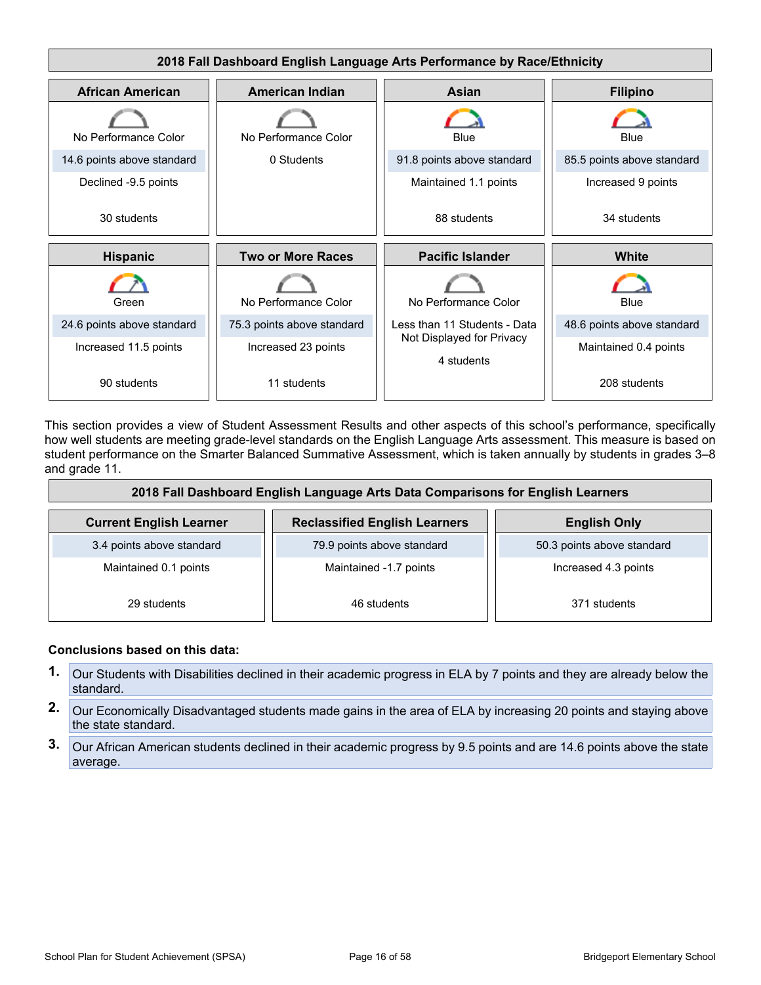

This section provides a view of Student Assessment Results and other aspects of this school's performance, specifically how well students are meeting grade-level standards on the English Language Arts assessment. This measure is based on student performance on the Smarter Balanced Summative Assessment, which is taken annually by students in grades 3–8 and grade 11.

| 2018 Fall Dashboard English Language Arts Data Comparisons for English Learners |                                      |                            |  |  |  |
|---------------------------------------------------------------------------------|--------------------------------------|----------------------------|--|--|--|
| <b>Current English Learner</b>                                                  | <b>Reclassified English Learners</b> | <b>English Only</b>        |  |  |  |
| 3.4 points above standard                                                       | 79.9 points above standard           | 50.3 points above standard |  |  |  |
| Maintained 0.1 points                                                           | Maintained -1.7 points               | Increased 4.3 points       |  |  |  |
| 29 students                                                                     | 46 students                          | 371 students               |  |  |  |

- **1.** Our Students with Disabilities declined in their academic progress in ELA by 7 points and they are already below the standard.
- **2.** Our Economically Disadvantaged students made gains in the area of ELA by increasing 20 points and staying above the state standard.
- **3.** Our African American students declined in their academic progress by 9.5 points and are 14.6 points above the state average.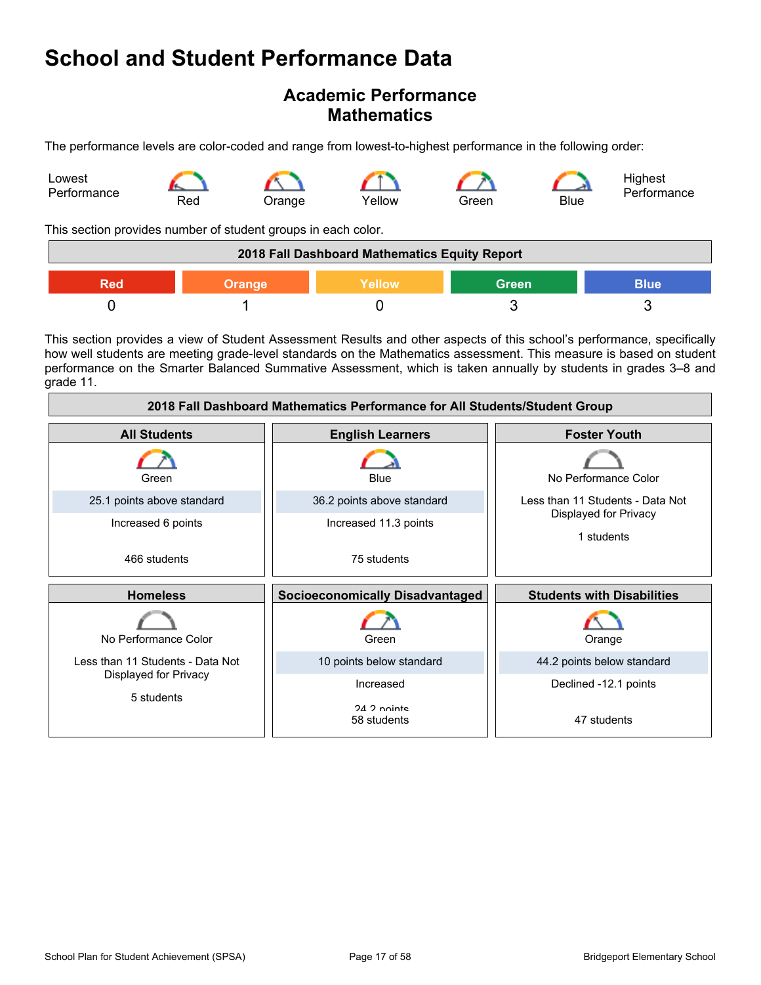### **Academic Performance Mathematics**

The performance levels are color-coded and range from lowest-to-highest performance in the following order:



This section provides number of student groups in each color.

| 2018 Fall Dashboard Mathematics Equity Report |               |        |              |             |
|-----------------------------------------------|---------------|--------|--------------|-------------|
| Red                                           | <b>Orange</b> | Yellow | <b>Green</b> | <b>Blue</b> |
|                                               |               |        |              |             |

This section provides a view of Student Assessment Results and other aspects of this school's performance, specifically how well students are meeting grade-level standards on the Mathematics assessment. This measure is based on student performance on the Smarter Balanced Summative Assessment, which is taken annually by students in grades 3–8 and grade 11.

| 2018 Fall Dashboard Mathematics Performance for All Students/Student Group |                                        |                                     |  |  |  |
|----------------------------------------------------------------------------|----------------------------------------|-------------------------------------|--|--|--|
| <b>All Students</b>                                                        | <b>English Learners</b>                | <b>Foster Youth</b>                 |  |  |  |
| Green                                                                      | Blue                                   | No Performance Color                |  |  |  |
| 25.1 points above standard                                                 | 36.2 points above standard             | Less than 11 Students - Data Not    |  |  |  |
| Increased 6 points                                                         | Increased 11.3 points                  | Displayed for Privacy<br>1 students |  |  |  |
| 466 students                                                               | 75 students                            |                                     |  |  |  |
| <b>Homeless</b>                                                            | <b>Socioeconomically Disadvantaged</b> | <b>Students with Disabilities</b>   |  |  |  |
| No Performance Color                                                       | Green                                  | Orange                              |  |  |  |
| Less than 11 Students - Data Not                                           | 10 points below standard               | 44.2 points below standard          |  |  |  |
| Displayed for Privacy                                                      | Increased                              | Declined -12.1 points               |  |  |  |
| 5 students                                                                 | $24.2$ nointe<br>58 students           | 47 students                         |  |  |  |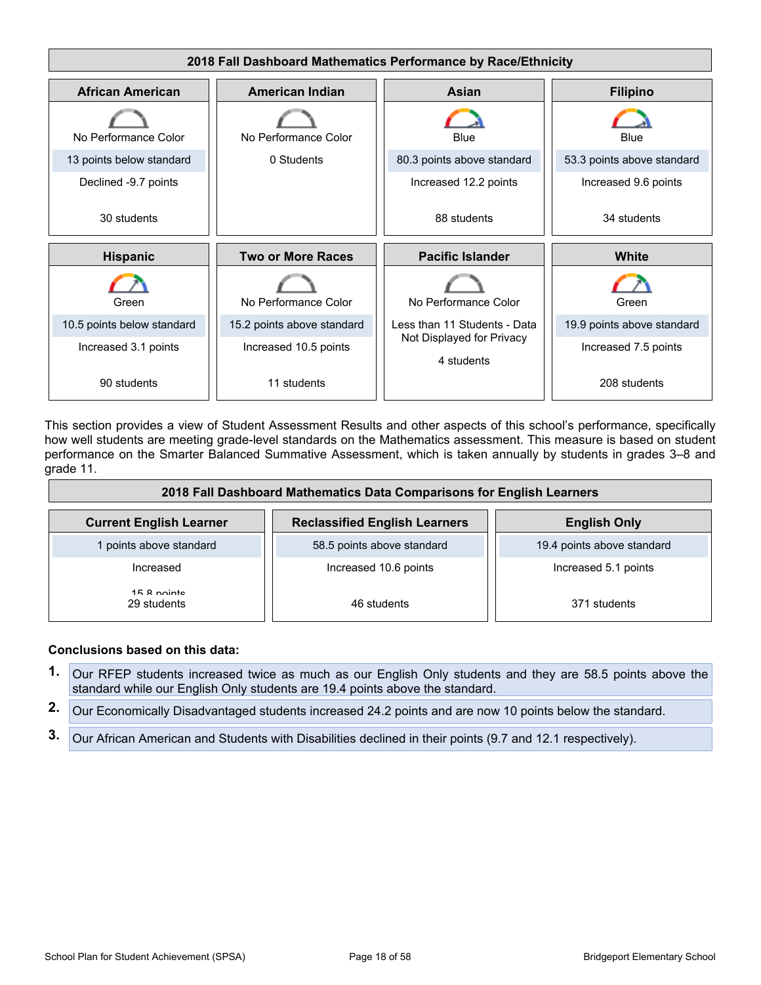

This section provides a view of Student Assessment Results and other aspects of this school's performance, specifically how well students are meeting grade-level standards on the Mathematics assessment. This measure is based on student performance on the Smarter Balanced Summative Assessment, which is taken annually by students in grades 3–8 and grade 11.

| 2018 Fall Dashboard Mathematics Data Comparisons for English Learners |                                      |                            |  |  |  |
|-----------------------------------------------------------------------|--------------------------------------|----------------------------|--|--|--|
| <b>Current English Learner</b>                                        | <b>Reclassified English Learners</b> | <b>English Only</b>        |  |  |  |
| 1 points above standard                                               | 58.5 points above standard           | 19.4 points above standard |  |  |  |
| Increased                                                             | Increased 10.6 points                | Increased 5.1 points       |  |  |  |
| 15.8 nointe<br>29 students                                            | 46 students                          | 371 students               |  |  |  |

- **1.** Our RFEP students increased twice as much as our English Only students and they are 58.5 points above the standard while our English Only students are 19.4 points above the standard.
- **2.** Our Economically Disadvantaged students increased 24.2 points and are now 10 points below the standard.
- **3.** Our African American and Students with Disabilities declined in their points (9.7 and 12.1 respectively).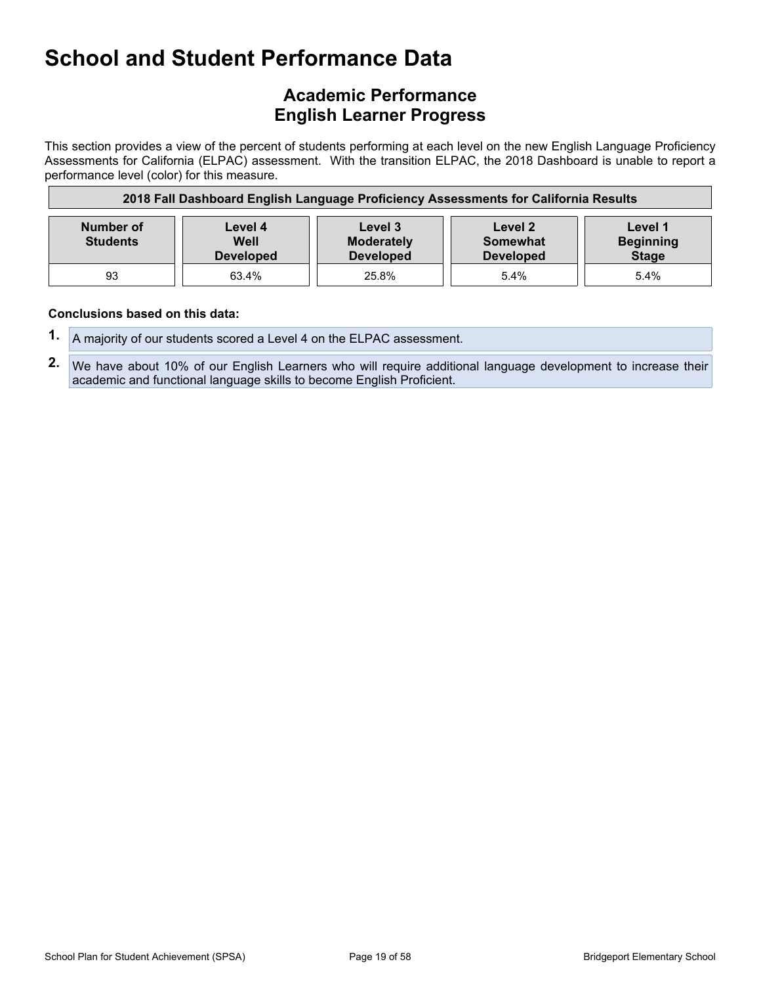### **Academic Performance English Learner Progress**

This section provides a view of the percent of students performing at each level on the new English Language Proficiency Assessments for California (ELPAC) assessment. With the transition ELPAC, the 2018 Dashboard is unable to report a performance level (color) for this measure.

| 2018 Fall Dashboard English Language Proficiency Assessments for California Results |                                     |                                                  |                                                |                                             |
|-------------------------------------------------------------------------------------|-------------------------------------|--------------------------------------------------|------------------------------------------------|---------------------------------------------|
| Number of<br><b>Students</b>                                                        | Level 4<br>Well<br><b>Developed</b> | Level 3<br><b>Moderately</b><br><b>Developed</b> | Level 2<br><b>Somewhat</b><br><b>Developed</b> | Level 1<br><b>Beginning</b><br><b>Stage</b> |
| 93                                                                                  | 63.4%                               | 25.8%                                            | 5.4%                                           | 5.4%                                        |

- **1.** A majority of our students scored a Level 4 on the ELPAC assessment.
- **2.** We have about 10% of our English Learners who will require additional language development to increase their academic and functional language skills to become English Proficient.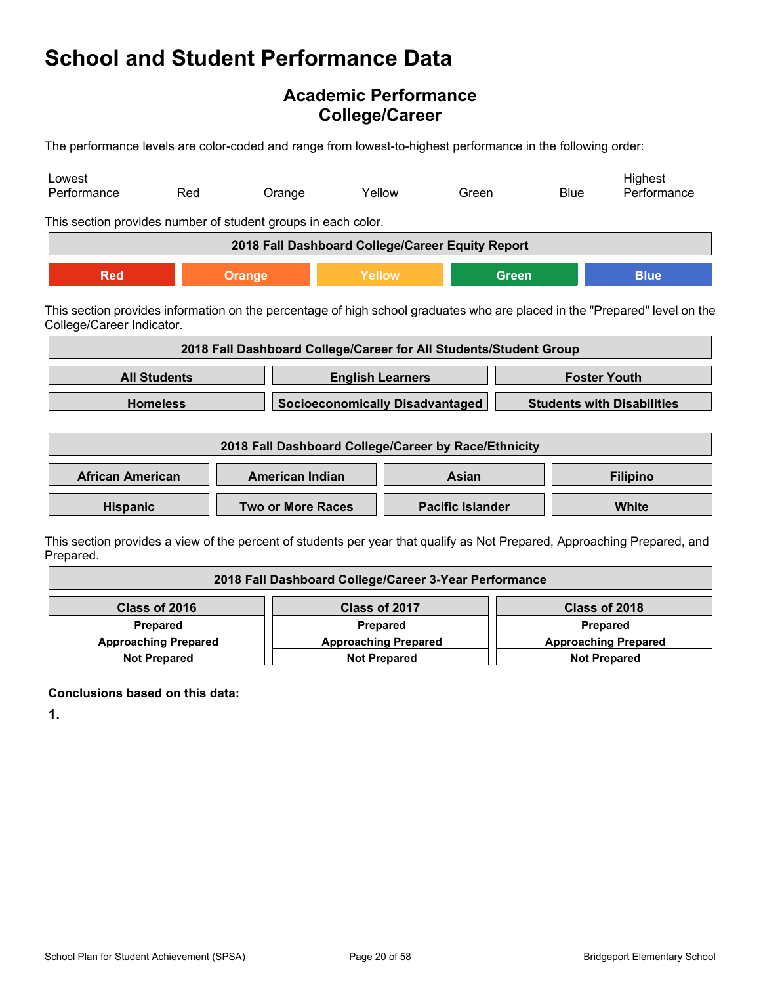### **Academic Performance College/Career**

The performance levels are color-coded and range from lowest-to-highest performance in the following order:

| Lowest<br>Performance                                                                                                                                   | Red                 | Orange                                                            | Yellow                                 | Green |              | <b>Blue</b>                       | Highest<br>Performance                                                                                                   |
|---------------------------------------------------------------------------------------------------------------------------------------------------------|---------------------|-------------------------------------------------------------------|----------------------------------------|-------|--------------|-----------------------------------|--------------------------------------------------------------------------------------------------------------------------|
| This section provides number of student groups in each color.                                                                                           |                     |                                                                   |                                        |       |              |                                   |                                                                                                                          |
|                                                                                                                                                         |                     | 2018 Fall Dashboard College/Career Equity Report                  |                                        |       |              |                                   |                                                                                                                          |
| <b>Red</b>                                                                                                                                              |                     | Orange                                                            | Yellow                                 |       | <b>Green</b> |                                   | <b>Blue</b>                                                                                                              |
| This section provides information on the percentage of high school graduates who are placed in the "Prepared" level on the<br>College/Career Indicator. |                     |                                                                   |                                        |       |              |                                   |                                                                                                                          |
|                                                                                                                                                         |                     | 2018 Fall Dashboard College/Career for All Students/Student Group |                                        |       |              |                                   |                                                                                                                          |
|                                                                                                                                                         | <b>All Students</b> |                                                                   | <b>English Learners</b>                |       |              |                                   | <b>Foster Youth</b>                                                                                                      |
|                                                                                                                                                         | <b>Homeless</b>     |                                                                   | <b>Socioeconomically Disadvantaged</b> |       |              | <b>Students with Disabilities</b> |                                                                                                                          |
| 2018 Fall Dashboard College/Career by Race/Ethnicity                                                                                                    |                     |                                                                   |                                        |       |              |                                   |                                                                                                                          |
| <b>African American</b>                                                                                                                                 |                     | <b>American Indian</b><br>Asian                                   |                                        |       |              | <b>Filipino</b>                   |                                                                                                                          |
| <b>Hispanic</b>                                                                                                                                         |                     | <b>Two or More Races</b>                                          | <b>Pacific Islander</b>                |       |              |                                   | <b>White</b>                                                                                                             |
|                                                                                                                                                         |                     |                                                                   |                                        |       |              |                                   | This section provides a view of the percent of students per vear that qualify as Not Prepared. Approaching Prepared, and |

ection provides a view of the percent of students per year that qualify as Not Prepared, Approaching Prepared, and Prepared.

| 2018 Fall Dashboard College/Career 3-Year Performance      |                     |                             |  |  |  |
|------------------------------------------------------------|---------------------|-----------------------------|--|--|--|
| Class of 2016                                              | Class of 2017       | Class of 2018               |  |  |  |
| Prepared<br><b>Prepared</b>                                |                     | <b>Prepared</b>             |  |  |  |
| <b>Approaching Prepared</b><br><b>Approaching Prepared</b> |                     | <b>Approaching Prepared</b> |  |  |  |
| <b>Not Prepared</b>                                        | <b>Not Prepared</b> |                             |  |  |  |

**Conclusions based on this data:**

**1.**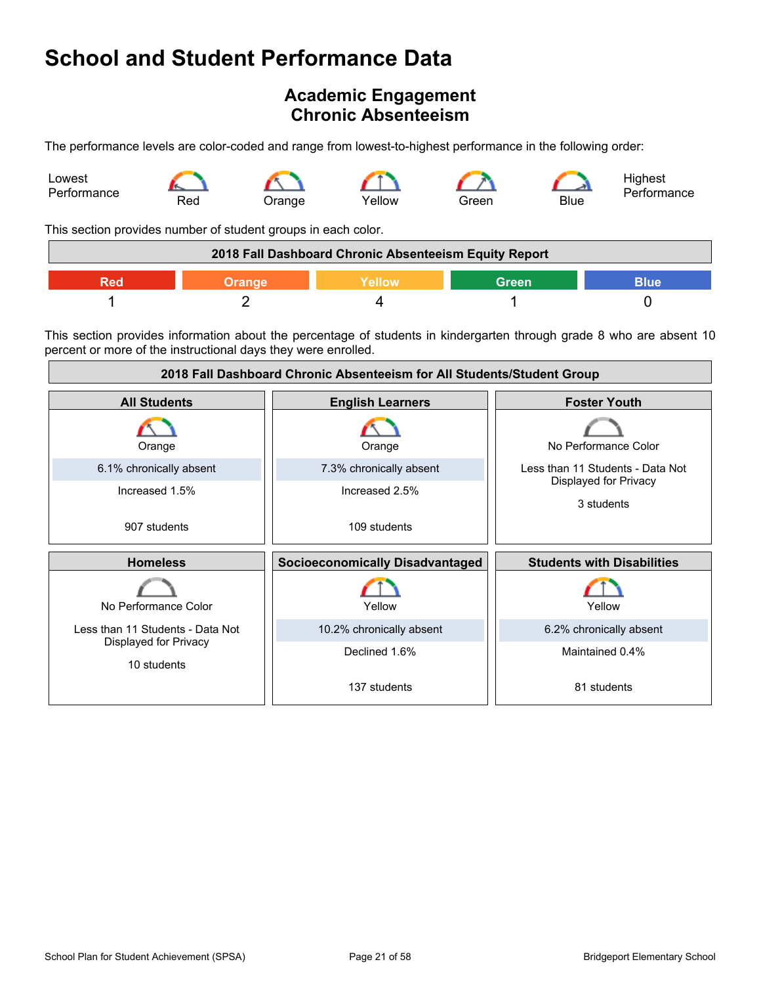# <span id="page-20-0"></span>**Academic Engagement Chronic Absenteeism**

The performance levels are color-coded and range from lowest-to-highest performance in the following order:



This section provides number of student groups in each color.

|  | 2018 Fall Dashboard Chronic Absenteeism Equity Report |       |      |
|--|-------------------------------------------------------|-------|------|
|  | <b>Nellow</b>                                         | Green | 3lue |
|  |                                                       |       |      |

This section provides information about the percentage of students in kindergarten through grade 8 who are absent 10 percent or more of the instructional days they were enrolled.

| 2018 Fall Dashboard Chronic Absenteeism for All Students/Student Group |                                        |                                     |  |
|------------------------------------------------------------------------|----------------------------------------|-------------------------------------|--|
| <b>All Students</b>                                                    | <b>English Learners</b>                | <b>Foster Youth</b>                 |  |
| Orange                                                                 | Orange                                 | No Performance Color                |  |
| 6.1% chronically absent                                                | 7.3% chronically absent                | Less than 11 Students - Data Not    |  |
| Increased 1.5%                                                         | Increased 2.5%                         | Displayed for Privacy<br>3 students |  |
| 907 students                                                           | 109 students                           |                                     |  |
| <b>Homeless</b>                                                        | <b>Socioeconomically Disadvantaged</b> | <b>Students with Disabilities</b>   |  |
| No Performance Color                                                   | Yellow                                 | Yellow                              |  |
| Less than 11 Students - Data Not                                       | 10.2% chronically absent               | 6.2% chronically absent             |  |
| Displayed for Privacy<br>10 students                                   | Declined 1.6%                          | Maintained 0.4%                     |  |
|                                                                        | 137 students                           | 81 students                         |  |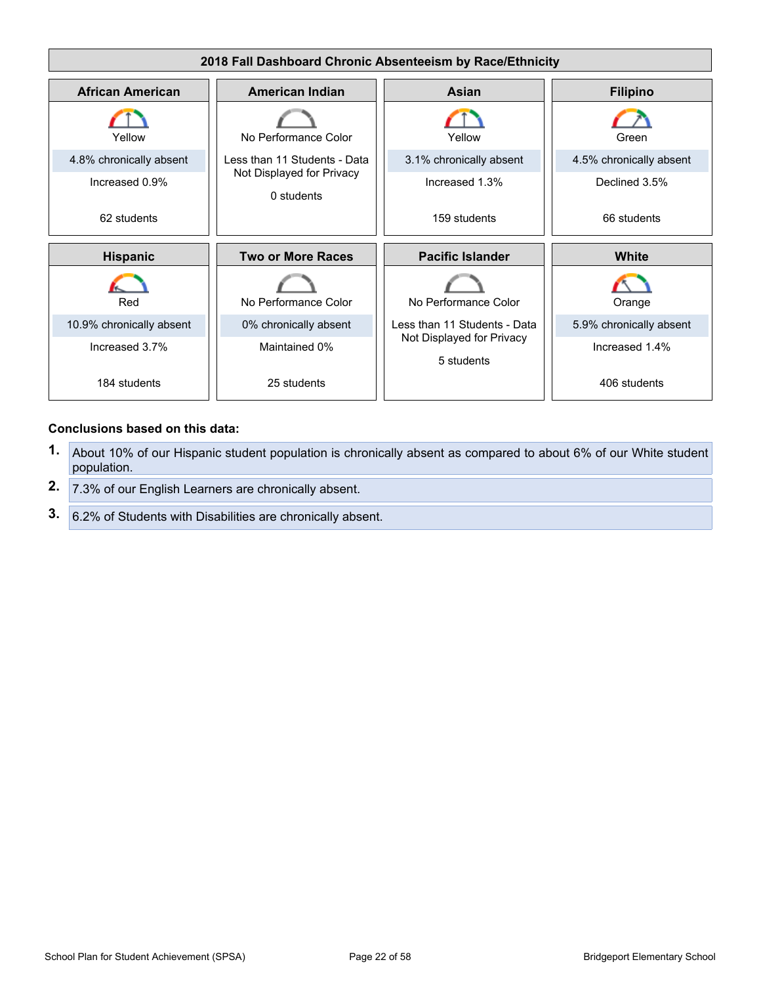

- **1.** About 10% of our Hispanic student population is chronically absent as compared to about 6% of our White student population.
- **2.** 7.3% of our English Learners are chronically absent.
- **3.** 6.2% of Students with Disabilities are chronically absent.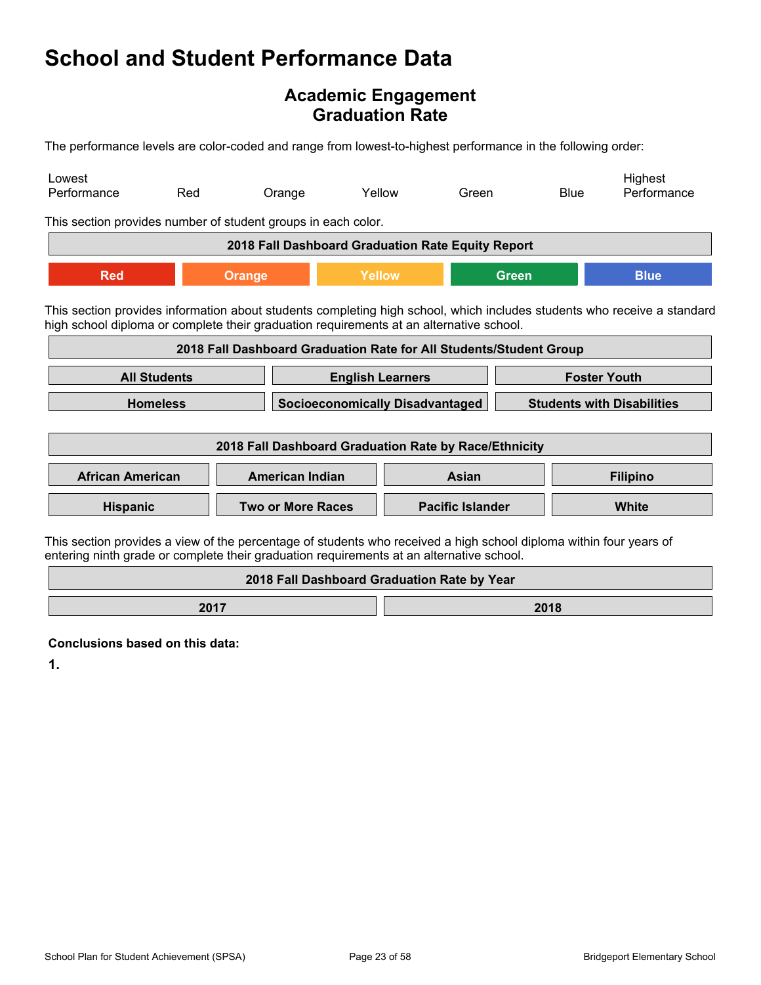### **Academic Engagement Graduation Rate**

The performance levels are color-coded and range from lowest-to-highest performance in the following order:

| Lowest<br>Performance                                                                                                                                                                                          | Red                                                                                            | Orange                                                             |                                             | Yellow | Green |              | <b>Blue</b> | Highest<br>Performance                                                                                                  |
|----------------------------------------------------------------------------------------------------------------------------------------------------------------------------------------------------------------|------------------------------------------------------------------------------------------------|--------------------------------------------------------------------|---------------------------------------------|--------|-------|--------------|-------------|-------------------------------------------------------------------------------------------------------------------------|
| This section provides number of student groups in each color.                                                                                                                                                  |                                                                                                |                                                                    |                                             |        |       |              |             |                                                                                                                         |
|                                                                                                                                                                                                                |                                                                                                | 2018 Fall Dashboard Graduation Rate Equity Report                  |                                             |        |       |              |             |                                                                                                                         |
| <b>Red</b>                                                                                                                                                                                                     |                                                                                                | <b>Orange</b>                                                      | Yellow                                      |        |       | <b>Green</b> |             | <b>Blue</b>                                                                                                             |
| high school diploma or complete their graduation requirements at an alternative school.                                                                                                                        |                                                                                                |                                                                    |                                             |        |       |              |             | This section provides information about students completing high school, which includes students who receive a standard |
|                                                                                                                                                                                                                |                                                                                                | 2018 Fall Dashboard Graduation Rate for All Students/Student Group |                                             |        |       |              |             |                                                                                                                         |
|                                                                                                                                                                                                                | <b>All Students</b><br><b>Foster Youth</b><br><b>English Learners</b>                          |                                                                    |                                             |        |       |              |             |                                                                                                                         |
|                                                                                                                                                                                                                | <b>Homeless</b><br><b>Socioeconomically Disadvantaged</b><br><b>Students with Disabilities</b> |                                                                    |                                             |        |       |              |             |                                                                                                                         |
| 2018 Fall Dashboard Graduation Rate by Race/Ethnicity                                                                                                                                                          |                                                                                                |                                                                    |                                             |        |       |              |             |                                                                                                                         |
| <b>African American</b>                                                                                                                                                                                        |                                                                                                | <b>American Indian</b>                                             |                                             |        | Asian |              |             | <b>Filipino</b>                                                                                                         |
|                                                                                                                                                                                                                | <b>Pacific Islander</b><br>Hispanic<br><b>Two or More Races</b>                                |                                                                    | White                                       |        |       |              |             |                                                                                                                         |
| This section provides a view of the percentage of students who received a high school diploma within four years of<br>entering ninth grade or complete their graduation requirements at an alternative school. |                                                                                                |                                                                    |                                             |        |       |              |             |                                                                                                                         |
|                                                                                                                                                                                                                |                                                                                                |                                                                    | 2018 Fall Dashboard Graduation Rate by Year |        |       |              |             |                                                                                                                         |

**2017 2018** 

**Conclusions based on this data:**

**1.**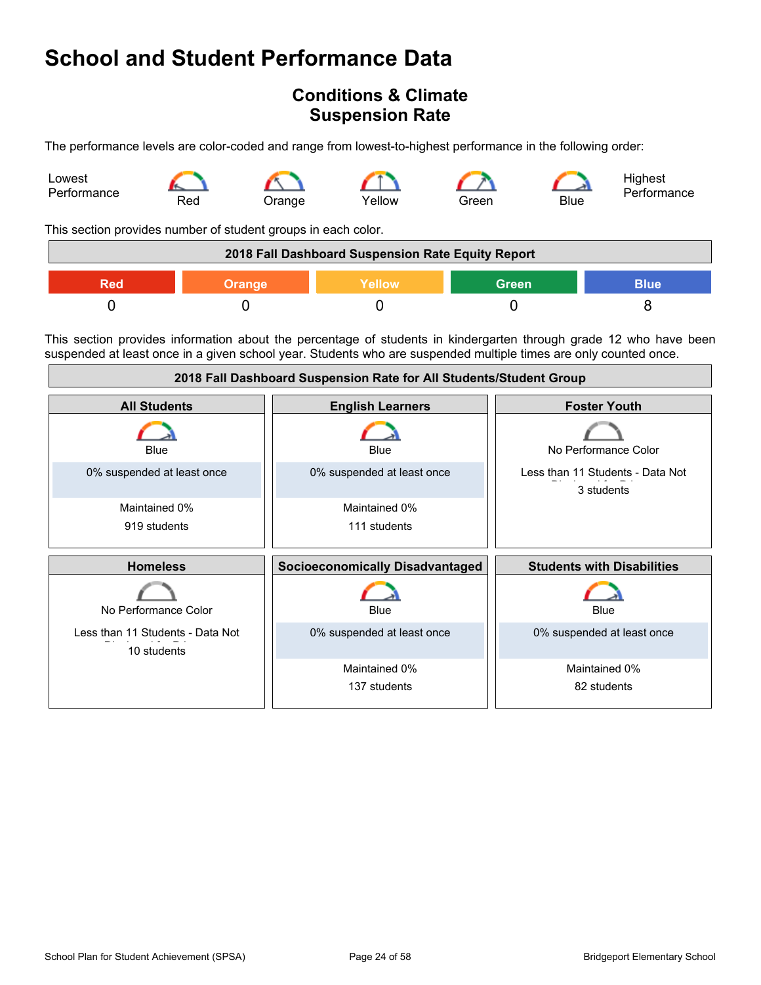### <span id="page-23-0"></span>**Conditions & Climate Suspension Rate**

The performance levels are color-coded and range from lowest-to-highest performance in the following order:



This section provides number of student groups in each color.

|     |               | 2018 Fall Dashboard Suspension Rate Equity Report |              |             |
|-----|---------------|---------------------------------------------------|--------------|-------------|
| Red | <b>Orange</b> | Yellow                                            | <b>Green</b> | <b>Blue</b> |
|     |               |                                                   |              |             |

This section provides information about the percentage of students in kindergarten through grade 12 who have been suspended at least once in a given school year. Students who are suspended multiple times are only counted once.

| 2018 Fall Dashboard Suspension Rate for All Students/Student Group |                                        |                                                |  |
|--------------------------------------------------------------------|----------------------------------------|------------------------------------------------|--|
| <b>All Students</b>                                                | <b>English Learners</b>                | <b>Foster Youth</b>                            |  |
| Blue                                                               | Blue                                   | No Performance Color                           |  |
| 0% suspended at least once                                         | 0% suspended at least once             | Less than 11 Students - Data Not<br>3 students |  |
| Maintained 0%                                                      | Maintained 0%                          |                                                |  |
| 919 students                                                       | 111 students                           |                                                |  |
|                                                                    |                                        |                                                |  |
| <b>Homeless</b>                                                    | <b>Socioeconomically Disadvantaged</b> | <b>Students with Disabilities</b>              |  |
| No Performance Color                                               | Blue                                   | <b>Blue</b>                                    |  |
| Less than 11 Students - Data Not<br>10 students                    | 0% suspended at least once             | 0% suspended at least once                     |  |
|                                                                    | Maintained 0%                          | Maintained 0%                                  |  |
|                                                                    | 137 students                           | 82 students                                    |  |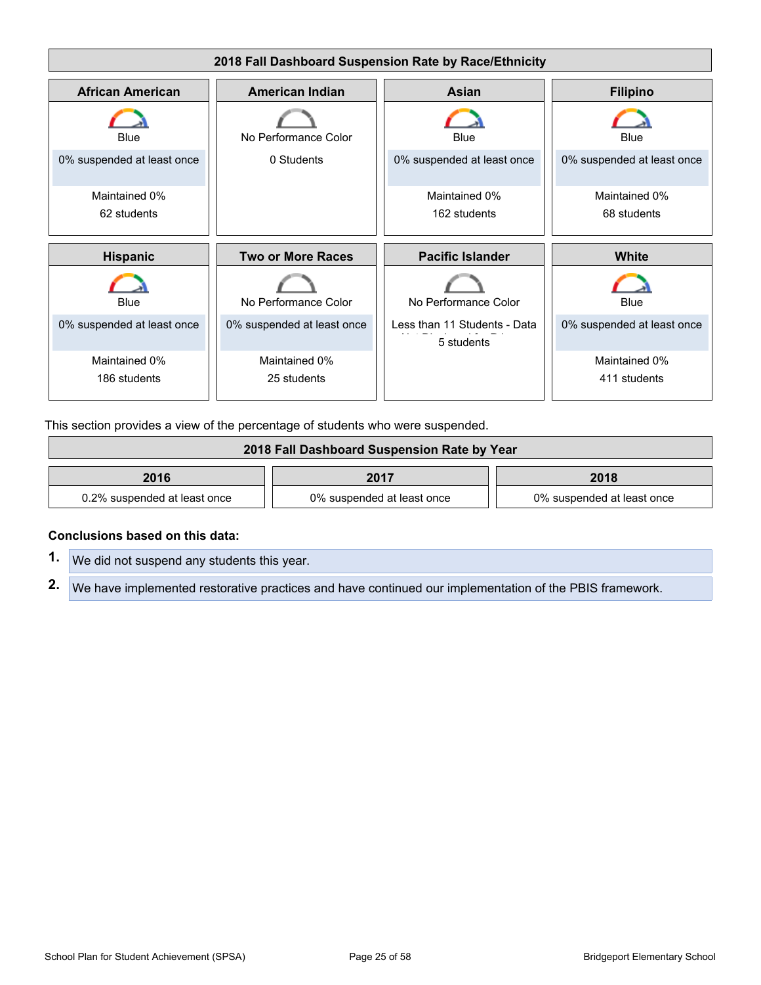

This section provides a view of the percentage of students who were suspended.

| 2018 Fall Dashboard Suspension Rate by Year |                            |                            |  |
|---------------------------------------------|----------------------------|----------------------------|--|
| 2016                                        | 2017                       | 2018                       |  |
| 0.2% suspended at least once                | 0% suspended at least once | 0% suspended at least once |  |

#### **Conclusions based on this data:**

**1.** We did not suspend any students this year.

**2.** We have implemented restorative practices and have continued our implementation of the PBIS framework.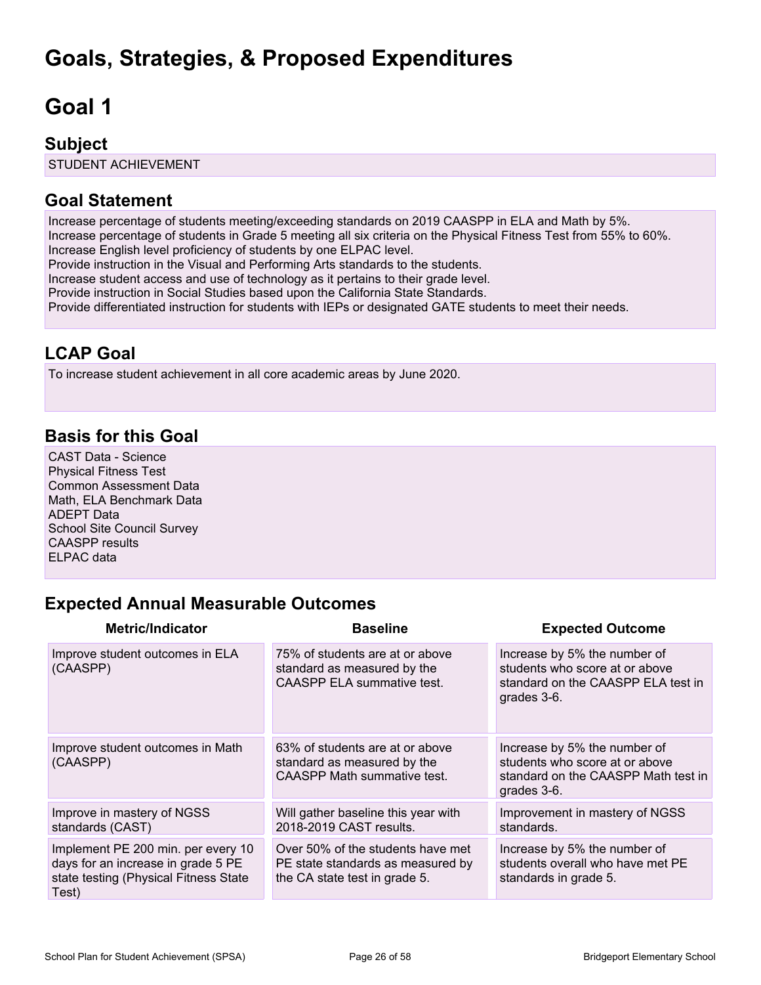# <span id="page-25-0"></span>**Goals, Strategies, & Proposed Expenditures**

# <span id="page-25-1"></span>**Goal 1**

### **Subject**

STUDENT ACHIEVEMENT

### **Goal Statement**

Increase percentage of students meeting/exceeding standards on 2019 CAASPP in ELA and Math by 5%. Increase percentage of students in Grade 5 meeting all six criteria on the Physical Fitness Test from 55% to 60%. Increase English level proficiency of students by one ELPAC level. Provide instruction in the Visual and Performing Arts standards to the students. Increase student access and use of technology as it pertains to their grade level. Provide instruction in Social Studies based upon the California State Standards. Provide differentiated instruction for students with IEPs or designated GATE students to meet their needs.

# **LCAP Goal**

To increase student achievement in all core academic areas by June 2020.

# **Basis for this Goal**

CAST Data - Science Physical Fitness Test Common Assessment Data Math, ELA Benchmark Data ADEPT Data School Site Council Survey CAASPP results ELPAC data

# **Expected Annual Measurable Outcomes**

| <b>Metric/Indicator</b>                                                                                                    | <b>Baseline</b>                                                                                         | <b>Expected Outcome</b>                                                                                              |
|----------------------------------------------------------------------------------------------------------------------------|---------------------------------------------------------------------------------------------------------|----------------------------------------------------------------------------------------------------------------------|
| Improve student outcomes in ELA<br>(CAASPP)                                                                                | 75% of students are at or above<br>standard as measured by the<br>CAASPP ELA summative test.            | Increase by 5% the number of<br>students who score at or above<br>standard on the CAASPP ELA test in<br>grades 3-6.  |
| Improve student outcomes in Math<br>(CAASPP)                                                                               | 63% of students are at or above<br>standard as measured by the<br><b>CAASPP Math summative test.</b>    | Increase by 5% the number of<br>students who score at or above<br>standard on the CAASPP Math test in<br>grades 3-6. |
| Improve in mastery of NGSS<br>standards (CAST)                                                                             | Will gather baseline this year with<br>2018-2019 CAST results.                                          | Improvement in mastery of NGSS<br>standards.                                                                         |
| Implement PE 200 min. per every 10<br>days for an increase in grade 5 PE<br>state testing (Physical Fitness State<br>Test) | Over 50% of the students have met<br>PE state standards as measured by<br>the CA state test in grade 5. | Increase by 5% the number of<br>students overall who have met PE<br>standards in grade 5.                            |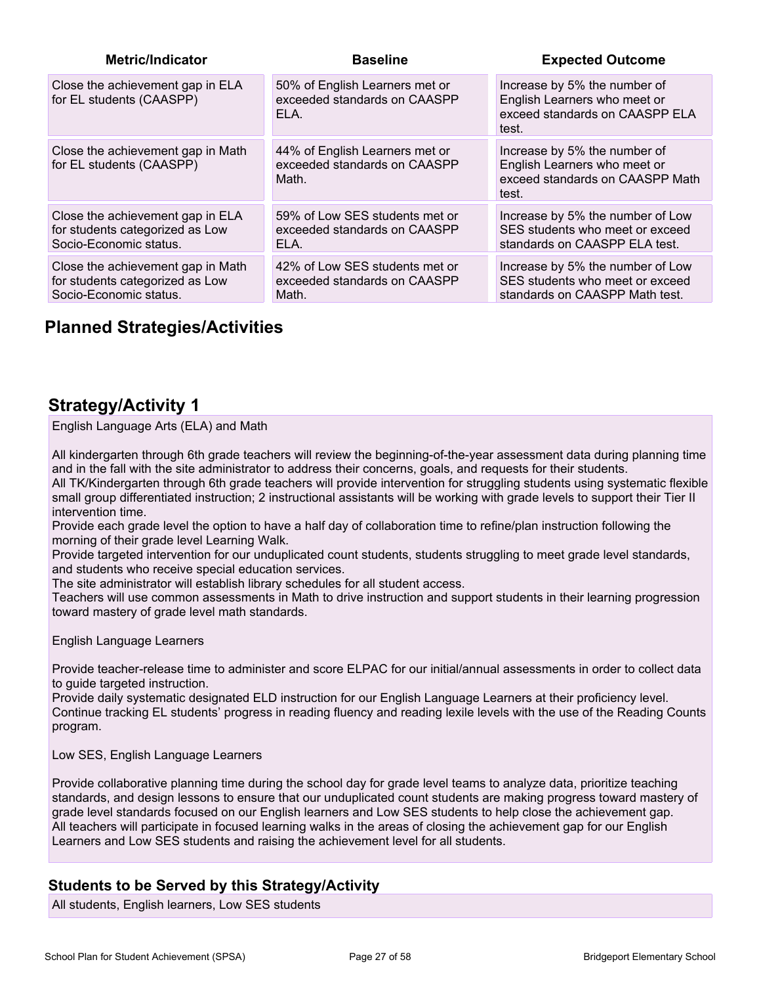| <b>Metric/Indicator</b>                                                                        | <b>Baseline</b>                                                         | <b>Expected Outcome</b>                                                                                  |
|------------------------------------------------------------------------------------------------|-------------------------------------------------------------------------|----------------------------------------------------------------------------------------------------------|
| Close the achievement gap in ELA<br>for EL students (CAASPP)                                   | 50% of English Learners met or<br>exceeded standards on CAASPP<br>ELA.  | Increase by 5% the number of<br>English Learners who meet or<br>exceed standards on CAASPP ELA<br>test.  |
| Close the achievement gap in Math<br>for EL students (CAASPP)                                  | 44% of English Learners met or<br>exceeded standards on CAASPP<br>Math. | Increase by 5% the number of<br>English Learners who meet or<br>exceed standards on CAASPP Math<br>test. |
| Close the achievement gap in ELA<br>for students categorized as Low<br>Socio-Economic status.  | 59% of Low SES students met or<br>exceeded standards on CAASPP<br>ELA.  | Increase by 5% the number of Low<br>SES students who meet or exceed<br>standards on CAASPP ELA test.     |
| Close the achievement gap in Math<br>for students categorized as Low<br>Socio-Economic status. | 42% of Low SES students met or<br>exceeded standards on CAASPP<br>Math. | Increase by 5% the number of Low<br>SES students who meet or exceed<br>standards on CAASPP Math test.    |

# **Planned Strategies/Activities**

### **Strategy/Activity 1**

English Language Arts (ELA) and Math

All kindergarten through 6th grade teachers will review the beginning-of-the-year assessment data during planning time and in the fall with the site administrator to address their concerns, goals, and requests for their students. All TK/Kindergarten through 6th grade teachers will provide intervention for struggling students using systematic flexible

small group differentiated instruction; 2 instructional assistants will be working with grade levels to support their Tier II intervention time.

Provide each grade level the option to have a half day of collaboration time to refine/plan instruction following the morning of their grade level Learning Walk.

Provide targeted intervention for our unduplicated count students, students struggling to meet grade level standards, and students who receive special education services.

The site administrator will establish library schedules for all student access.

Teachers will use common assessments in Math to drive instruction and support students in their learning progression toward mastery of grade level math standards.

English Language Learners

Provide teacher-release time to administer and score ELPAC for our initial/annual assessments in order to collect data to guide targeted instruction.

Provide daily systematic designated ELD instruction for our English Language Learners at their proficiency level. Continue tracking EL students' progress in reading fluency and reading lexile levels with the use of the Reading Counts program.

Low SES, English Language Learners

Provide collaborative planning time during the school day for grade level teams to analyze data, prioritize teaching standards, and design lessons to ensure that our unduplicated count students are making progress toward mastery of grade level standards focused on our English learners and Low SES students to help close the achievement gap. All teachers will participate in focused learning walks in the areas of closing the achievement gap for our English Learners and Low SES students and raising the achievement level for all students.

#### **Students to be Served by this Strategy/Activity**

All students, English learners, Low SES students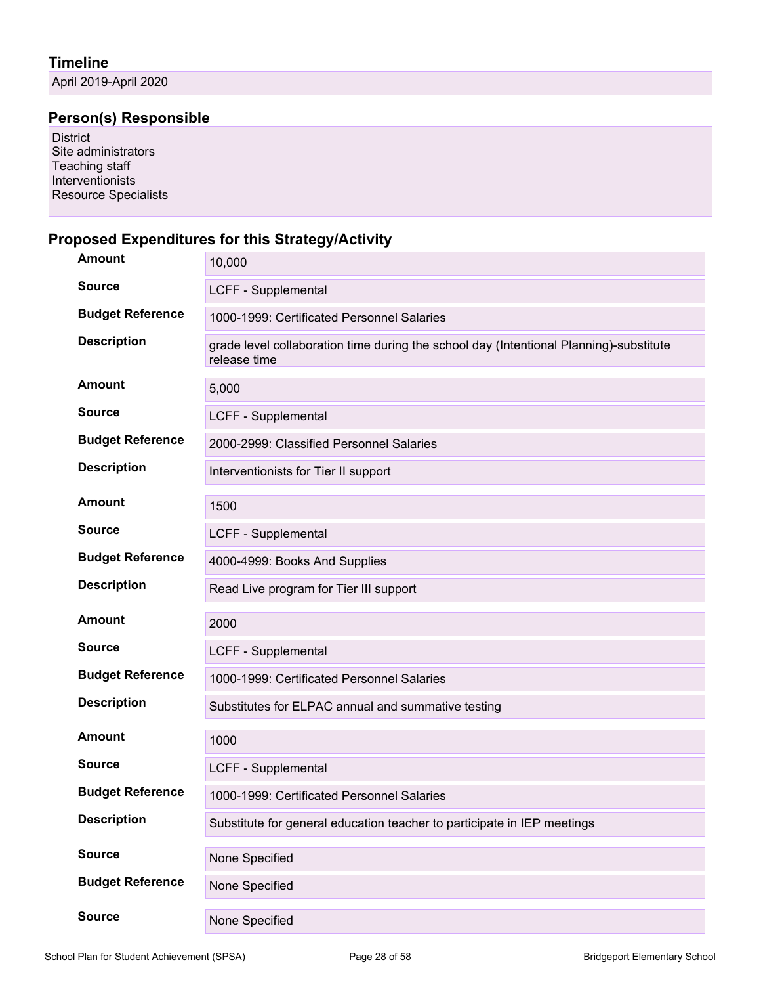April 2019-April 2020

# **Person(s) Responsible**

District Site administrators Teaching staff Interventionists Resource Specialists

#### **Proposed Expenditures for this Strategy/Activity**

| <b>Amount</b>           | 10,000                                                                                                 |
|-------------------------|--------------------------------------------------------------------------------------------------------|
| <b>Source</b>           | LCFF - Supplemental                                                                                    |
| <b>Budget Reference</b> | 1000-1999: Certificated Personnel Salaries                                                             |
| <b>Description</b>      | grade level collaboration time during the school day (Intentional Planning)-substitute<br>release time |
| <b>Amount</b>           | 5,000                                                                                                  |
| <b>Source</b>           | LCFF - Supplemental                                                                                    |
| <b>Budget Reference</b> | 2000-2999: Classified Personnel Salaries                                                               |
| <b>Description</b>      | Interventionists for Tier II support                                                                   |
| Amount                  | 1500                                                                                                   |
| <b>Source</b>           | LCFF - Supplemental                                                                                    |
| <b>Budget Reference</b> | 4000-4999: Books And Supplies                                                                          |
| <b>Description</b>      | Read Live program for Tier III support                                                                 |
| <b>Amount</b>           | 2000                                                                                                   |
| <b>Source</b>           | LCFF - Supplemental                                                                                    |
| <b>Budget Reference</b> | 1000-1999: Certificated Personnel Salaries                                                             |
| <b>Description</b>      | Substitutes for ELPAC annual and summative testing                                                     |
| <b>Amount</b>           | 1000                                                                                                   |
| <b>Source</b>           | LCFF - Supplemental                                                                                    |
| <b>Budget Reference</b> | 1000-1999: Certificated Personnel Salaries                                                             |
| <b>Description</b>      | Substitute for general education teacher to participate in IEP meetings                                |
| <b>Source</b>           | None Specified                                                                                         |
| <b>Budget Reference</b> | None Specified                                                                                         |
| <b>Source</b>           | None Specified                                                                                         |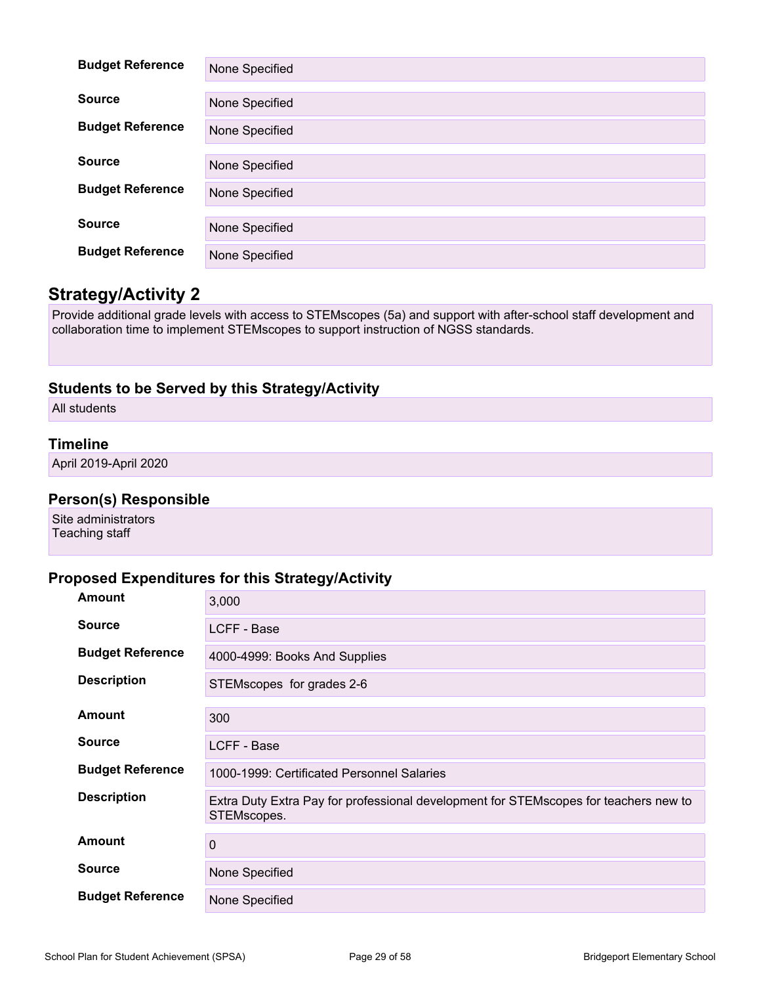| <b>Budget Reference</b> | None Specified |
|-------------------------|----------------|
|                         |                |
| <b>Source</b>           | None Specified |
| <b>Budget Reference</b> | None Specified |
|                         |                |
| <b>Source</b>           |                |
|                         | None Specified |
| <b>Budget Reference</b> |                |
|                         | None Specified |
|                         |                |
| <b>Source</b>           | None Specified |
|                         |                |
| <b>Budget Reference</b> | None Specified |

### **Strategy/Activity 2**

Provide additional grade levels with access to STEMscopes (5a) and support with after-school staff development and collaboration time to implement STEMscopes to support instruction of NGSS standards.

#### **Students to be Served by this Strategy/Activity**

All students

#### **Timeline**

April 2019-April 2020

#### **Person(s) Responsible**

Site administrators Teaching staff

#### **Proposed Expenditures for this Strategy/Activity**

| <b>Amount</b>           | 3,000                                                                                               |
|-------------------------|-----------------------------------------------------------------------------------------------------|
| <b>Source</b>           | LCFF - Base                                                                                         |
| <b>Budget Reference</b> | 4000-4999: Books And Supplies                                                                       |
| <b>Description</b>      | STEMscopes for grades 2-6                                                                           |
| <b>Amount</b>           | 300                                                                                                 |
| <b>Source</b>           | LCFF - Base                                                                                         |
| <b>Budget Reference</b> | 1000-1999: Certificated Personnel Salaries                                                          |
| <b>Description</b>      | Extra Duty Extra Pay for professional development for STEMscopes for teachers new to<br>STEMscopes. |
| <b>Amount</b>           | $\mathbf 0$                                                                                         |
| <b>Source</b>           | None Specified                                                                                      |
| <b>Budget Reference</b> | None Specified                                                                                      |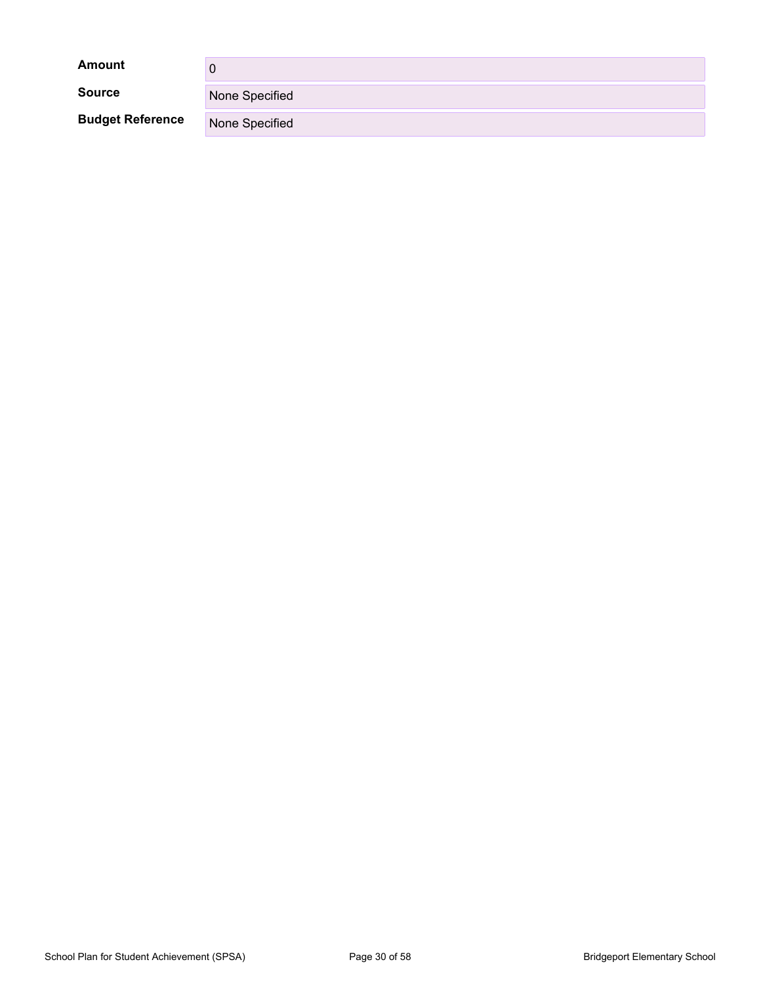| <b>Amount</b>           |                |
|-------------------------|----------------|
| <b>Source</b>           | None Specified |
| <b>Budget Reference</b> | None Specified |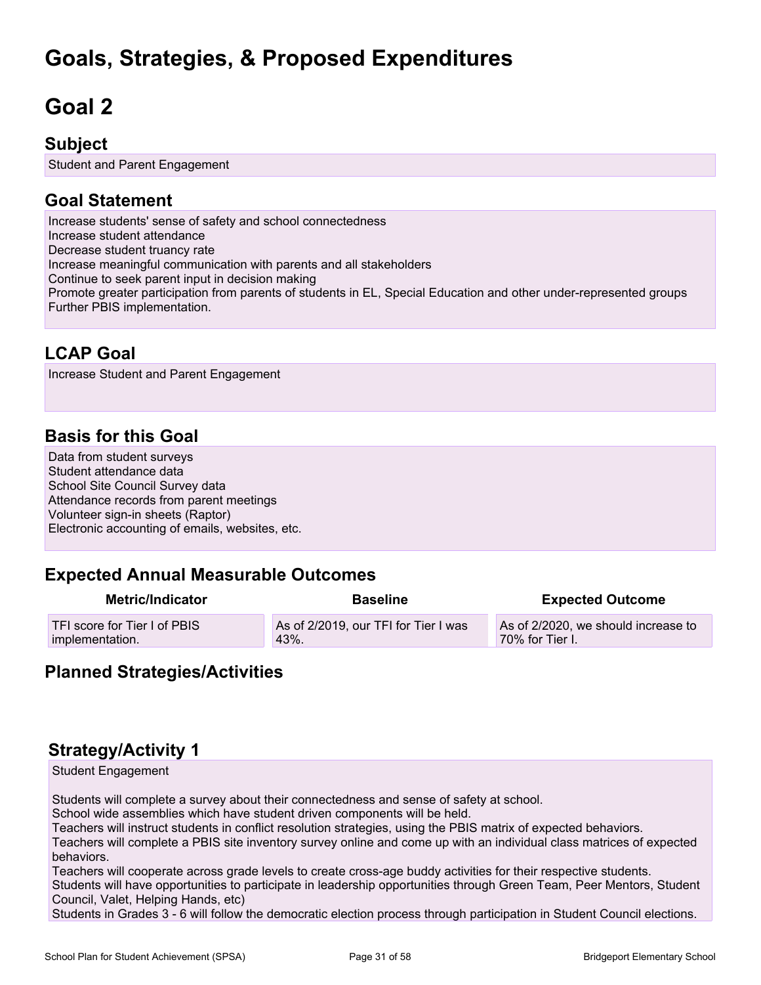# **Goals, Strategies, & Proposed Expenditures**

# <span id="page-30-0"></span>**Goal 2**

### **Subject**

Student and Parent Engagement

### **Goal Statement**

Increase students' sense of safety and school connectedness Increase student attendance Decrease student truancy rate Increase meaningful communication with parents and all stakeholders Continue to seek parent input in decision making Promote greater participation from parents of students in EL, Special Education and other under-represented groups Further PBIS implementation.

# **LCAP Goal**

Increase Student and Parent Engagement

# **Basis for this Goal**

Data from student surveys Student attendance data School Site Council Survey data Attendance records from parent meetings Volunteer sign-in sheets (Raptor) Electronic accounting of emails, websites, etc.

### **Expected Annual Measurable Outcomes**

| <b>Metric/Indicator</b>      | <b>Baseline</b>                      | <b>Expected Outcome</b>             |
|------------------------------|--------------------------------------|-------------------------------------|
| TFI score for Tier I of PBIS | As of 2/2019, our TFI for Tier I was | As of 2/2020, we should increase to |
| implementation.              | 43%.                                 | 70% for Tier I.                     |

### **Planned Strategies/Activities**

# **Strategy/Activity 1**

Student Engagement

Students will complete a survey about their connectedness and sense of safety at school.

School wide assemblies which have student driven components will be held.

Teachers will instruct students in conflict resolution strategies, using the PBIS matrix of expected behaviors.

Teachers will complete a PBIS site inventory survey online and come up with an individual class matrices of expected behaviors.

Teachers will cooperate across grade levels to create cross-age buddy activities for their respective students. Students will have opportunities to participate in leadership opportunities through Green Team, Peer Mentors, Student Council, Valet, Helping Hands, etc)

Students in Grades 3 - 6 will follow the democratic election process through participation in Student Council elections.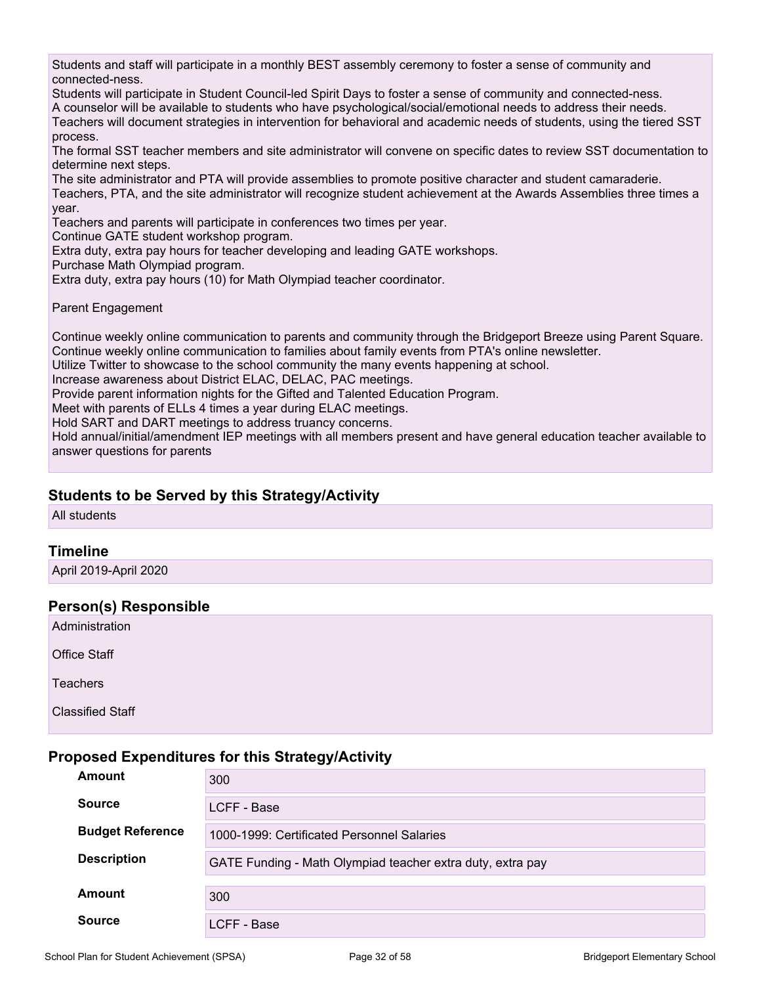Students and staff will participate in a monthly BEST assembly ceremony to foster a sense of community and connected-ness.

Students will participate in Student Council-led Spirit Days to foster a sense of community and connected-ness. A counselor will be available to students who have psychological/social/emotional needs to address their needs. Teachers will document strategies in intervention for behavioral and academic needs of students, using the tiered SST process.

The formal SST teacher members and site administrator will convene on specific dates to review SST documentation to determine next steps.

The site administrator and PTA will provide assemblies to promote positive character and student camaraderie.

Teachers, PTA, and the site administrator will recognize student achievement at the Awards Assemblies three times a year.

Teachers and parents will participate in conferences two times per year.

Continue GATE student workshop program.

Extra duty, extra pay hours for teacher developing and leading GATE workshops.

Purchase Math Olympiad program.

Extra duty, extra pay hours (10) for Math Olympiad teacher coordinator.

Parent Engagement

Continue weekly online communication to parents and community through the Bridgeport Breeze using Parent Square. Continue weekly online communication to families about family events from PTA's online newsletter.

Utilize Twitter to showcase to the school community the many events happening at school.

Increase awareness about District ELAC, DELAC, PAC meetings.

Provide parent information nights for the Gifted and Talented Education Program.

Meet with parents of ELLs 4 times a year during ELAC meetings.

Hold SART and DART meetings to address truancy concerns.

Hold annual/initial/amendment IEP meetings with all members present and have general education teacher available to answer questions for parents

#### **Students to be Served by this Strategy/Activity**

All students

#### **Timeline**

April 2019-April 2020

#### **Person(s) Responsible**

Administration

Office Staff

Teachers

Classified Staff

#### **Proposed Expenditures for this Strategy/Activity**

| Amount                  | 300                                                        |
|-------------------------|------------------------------------------------------------|
| <b>Source</b>           | LCFF - Base                                                |
| <b>Budget Reference</b> | 1000-1999: Certificated Personnel Salaries                 |
| <b>Description</b>      | GATE Funding - Math Olympiad teacher extra duty, extra pay |
| Amount                  | 300                                                        |
| <b>Source</b>           | LCFF - Base                                                |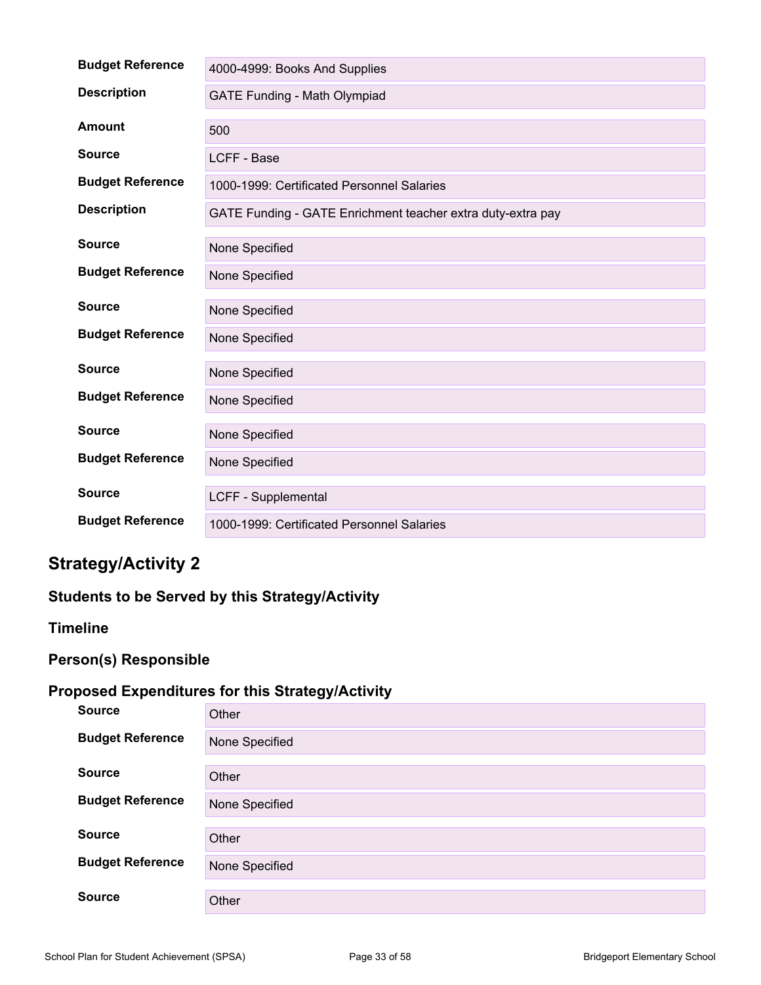| <b>Budget Reference</b> | 4000-4999: Books And Supplies                               |
|-------------------------|-------------------------------------------------------------|
| <b>Description</b>      | GATE Funding - Math Olympiad                                |
| <b>Amount</b>           | 500                                                         |
| <b>Source</b>           | LCFF - Base                                                 |
| <b>Budget Reference</b> | 1000-1999: Certificated Personnel Salaries                  |
| <b>Description</b>      | GATE Funding - GATE Enrichment teacher extra duty-extra pay |
| <b>Source</b>           | None Specified                                              |
| <b>Budget Reference</b> | None Specified                                              |
| <b>Source</b>           | None Specified                                              |
| <b>Budget Reference</b> | None Specified                                              |
| <b>Source</b>           | None Specified                                              |
| <b>Budget Reference</b> | None Specified                                              |
| <b>Source</b>           | None Specified                                              |
| <b>Budget Reference</b> | None Specified                                              |
| <b>Source</b>           | LCFF - Supplemental                                         |
| <b>Budget Reference</b> | 1000-1999: Certificated Personnel Salaries                  |

# **Strategy/Activity 2**

### **Students to be Served by this Strategy/Activity**

#### **Timeline**

# **Person(s) Responsible**

### **Proposed Expenditures for this Strategy/Activity**

| <b>Source</b>           | Other          |
|-------------------------|----------------|
| <b>Budget Reference</b> | None Specified |
| <b>Source</b>           | Other          |
| <b>Budget Reference</b> | None Specified |
| <b>Source</b>           | Other          |
| <b>Budget Reference</b> | None Specified |
| <b>Source</b>           | Other          |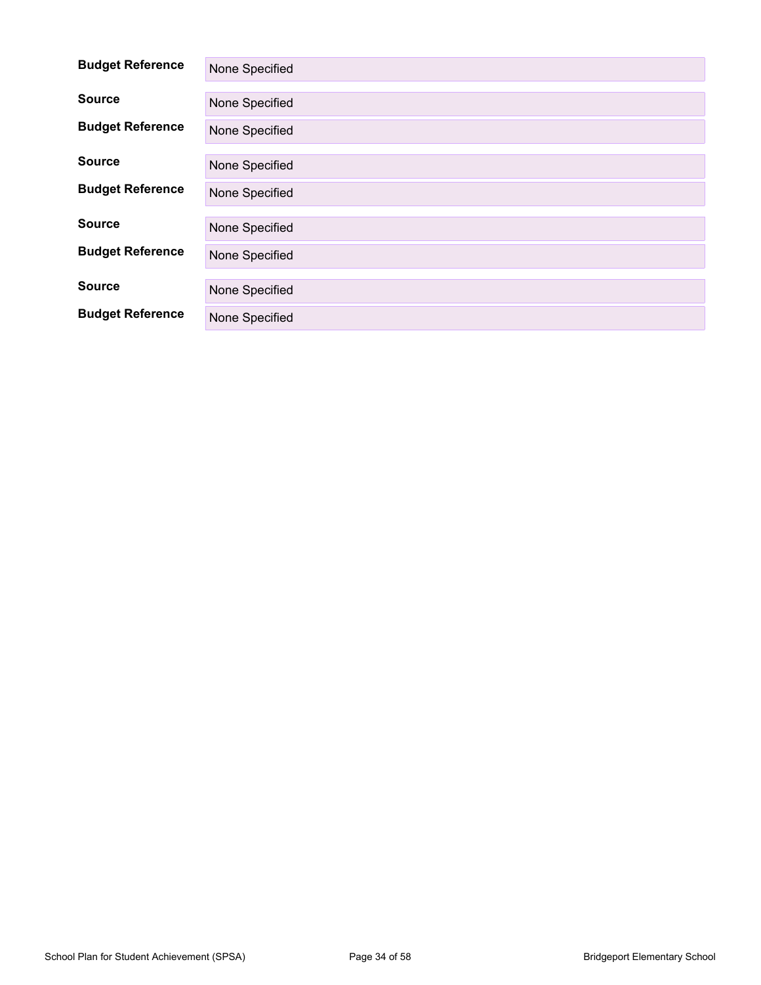| <b>Budget Reference</b> | None Specified |
|-------------------------|----------------|
| <b>Source</b>           | None Specified |
| <b>Budget Reference</b> | None Specified |
| <b>Source</b>           | None Specified |
| <b>Budget Reference</b> | None Specified |
| <b>Source</b>           | None Specified |
| <b>Budget Reference</b> | None Specified |
| <b>Source</b>           | None Specified |
| <b>Budget Reference</b> | None Specified |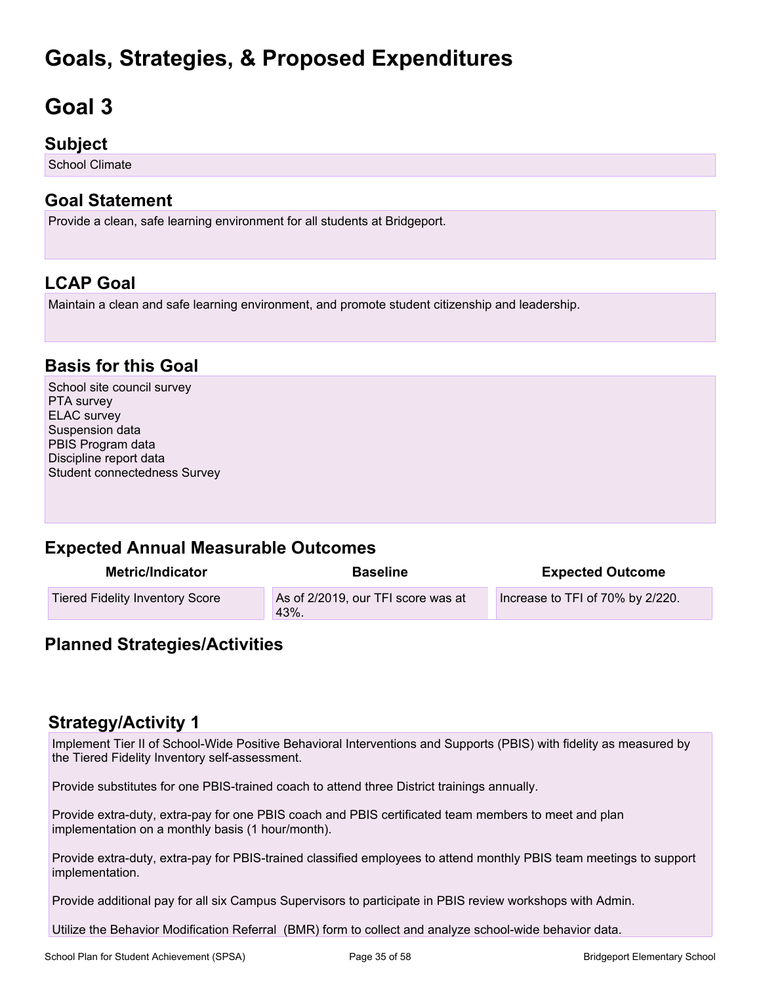# **Goals, Strategies, & Proposed Expenditures**

# <span id="page-34-0"></span>**Goal 3**

### **Subject**

School Climate

### **Goal Statement**

Provide a clean, safe learning environment for all students at Bridgeport.

# **LCAP Goal**

Maintain a clean and safe learning environment, and promote student citizenship and leadership.

### **Basis for this Goal**

School site council survey PTA survey ELAC survey Suspension data PBIS Program data Discipline report data Student connectedness Survey

### **Expected Annual Measurable Outcomes**

| Metric/Indicator                | <b>Baseline</b>                            | <b>Expected Outcome</b>          |
|---------------------------------|--------------------------------------------|----------------------------------|
| Tiered Fidelity Inventory Score | As of 2/2019, our TFI score was at<br>43%. | Increase to TFI of 70% by 2/220. |

### **Planned Strategies/Activities**

### **Strategy/Activity 1**

Implement Tier II of School-Wide Positive Behavioral Interventions and Supports (PBIS) with fidelity as measured by the Tiered Fidelity Inventory self-assessment.

Provide substitutes for one PBIS-trained coach to attend three District trainings annually.

Provide extra-duty, extra-pay for one PBIS coach and PBIS certificated team members to meet and plan implementation on a monthly basis (1 hour/month).

Provide extra-duty, extra-pay for PBIS-trained classified employees to attend monthly PBIS team meetings to support implementation.

Provide additional pay for all six Campus Supervisors to participate in PBIS review workshops with Admin.

Utilize the Behavior Modification Referral (BMR) form to collect and analyze school-wide behavior data.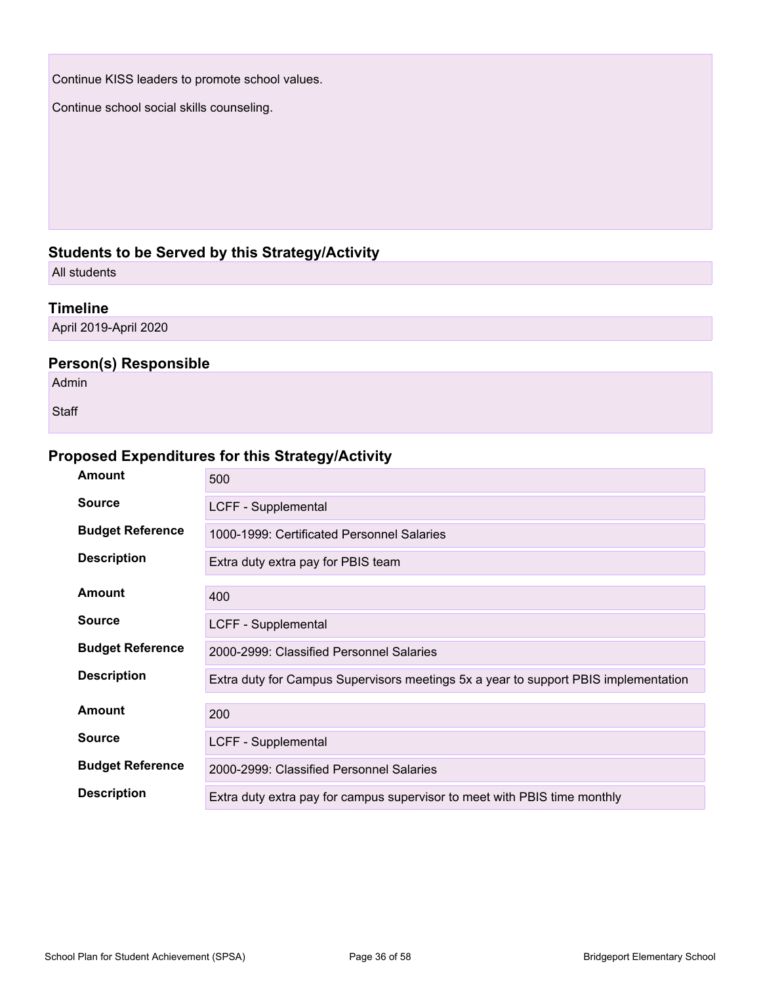Continue KISS leaders to promote school values.

Continue school social skills counseling.

### **Students to be Served by this Strategy/Activity**

All students

#### **Timeline**

April 2019-April 2020

#### **Person(s) Responsible**

Admin

**Staff** 

### **Proposed Expenditures for this Strategy/Activity**

| <b>Amount</b>           | 500                                                                                 |
|-------------------------|-------------------------------------------------------------------------------------|
| <b>Source</b>           | LCFF - Supplemental                                                                 |
| <b>Budget Reference</b> | 1000-1999: Certificated Personnel Salaries                                          |
| <b>Description</b>      | Extra duty extra pay for PBIS team                                                  |
| <b>Amount</b>           | 400                                                                                 |
| <b>Source</b>           | LCFF - Supplemental                                                                 |
| <b>Budget Reference</b> | 2000-2999: Classified Personnel Salaries                                            |
| <b>Description</b>      | Extra duty for Campus Supervisors meetings 5x a year to support PBIS implementation |
| Amount                  | 200                                                                                 |
| <b>Source</b>           | LCFF - Supplemental                                                                 |
| <b>Budget Reference</b> | 2000-2999: Classified Personnel Salaries                                            |
| <b>Description</b>      | Extra duty extra pay for campus supervisor to meet with PBIS time monthly           |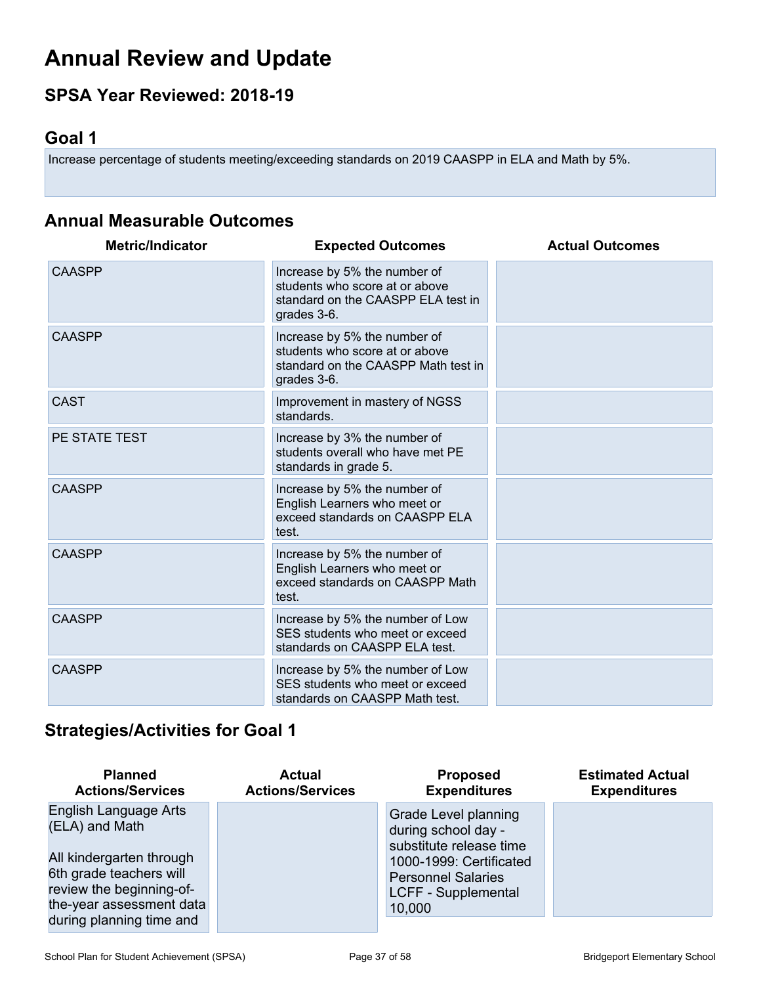# <span id="page-36-0"></span>**Annual Review and Update**

# **SPSA Year Reviewed: 2018-19**

# <span id="page-36-1"></span>**Goal 1**

Increase percentage of students meeting/exceeding standards on 2019 CAASPP in ELA and Math by 5%.

# **Annual Measurable Outcomes**

| <b>Metric/Indicator</b> | <b>Expected Outcomes</b>                                                                                             | <b>Actual Outcomes</b> |
|-------------------------|----------------------------------------------------------------------------------------------------------------------|------------------------|
| <b>CAASPP</b>           | Increase by 5% the number of<br>students who score at or above<br>standard on the CAASPP ELA test in<br>grades 3-6.  |                        |
| <b>CAASPP</b>           | Increase by 5% the number of<br>students who score at or above<br>standard on the CAASPP Math test in<br>grades 3-6. |                        |
| <b>CAST</b>             | Improvement in mastery of NGSS<br>standards.                                                                         |                        |
| PE STATE TEST           | Increase by 3% the number of<br>students overall who have met PE<br>standards in grade 5.                            |                        |
| <b>CAASPP</b>           | Increase by 5% the number of<br>English Learners who meet or<br>exceed standards on CAASPP ELA<br>test.              |                        |
| <b>CAASPP</b>           | Increase by 5% the number of<br>English Learners who meet or<br>exceed standards on CAASPP Math<br>test.             |                        |
| <b>CAASPP</b>           | Increase by 5% the number of Low<br>SES students who meet or exceed<br>standards on CAASPP ELA test.                 |                        |
| <b>CAASPP</b>           | Increase by 5% the number of Low<br>SES students who meet or exceed<br>standards on CAASPP Math test.                |                        |

# **Strategies/Activities for Goal 1**

| <b>Planned</b>                                                                                                                                                                     | <b>Actual</b>           | <b>Proposed</b>                                                                                                                                                        | <b>Estimated Actual</b> |
|------------------------------------------------------------------------------------------------------------------------------------------------------------------------------------|-------------------------|------------------------------------------------------------------------------------------------------------------------------------------------------------------------|-------------------------|
| <b>Actions/Services</b>                                                                                                                                                            | <b>Actions/Services</b> | <b>Expenditures</b>                                                                                                                                                    | <b>Expenditures</b>     |
| English Language Arts<br>(ELA) and Math<br>All kindergarten through<br>6th grade teachers will<br>review the beginning-of-<br>the-year assessment data<br>during planning time and |                         | Grade Level planning<br>during school day -<br>substitute release time<br>1000-1999: Certificated<br><b>Personnel Salaries</b><br><b>LCFF - Supplemental</b><br>10,000 |                         |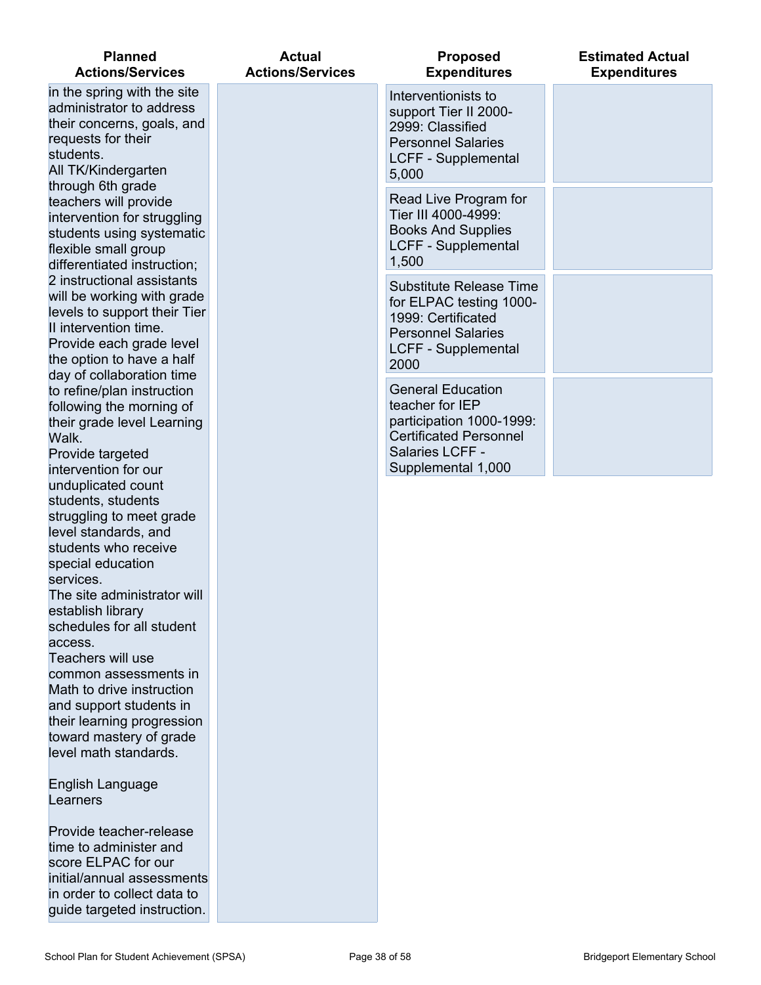| <b>Planned</b><br><b>Actions/Services</b>                                                                                                                                                                                                                                                                                     | <b>Actual</b><br><b>Actions/Services</b> | <b>Proposed</b><br><b>Expenditures</b>                                                                                                            | <b>Estimated Actual</b><br><b>Expenditures</b> |
|-------------------------------------------------------------------------------------------------------------------------------------------------------------------------------------------------------------------------------------------------------------------------------------------------------------------------------|------------------------------------------|---------------------------------------------------------------------------------------------------------------------------------------------------|------------------------------------------------|
| in the spring with the site<br>administrator to address<br>their concerns, goals, and<br>requests for their<br>students.<br>All TK/Kindergarten                                                                                                                                                                               |                                          | Interventionists to<br>support Tier II 2000-<br>2999: Classified<br><b>Personnel Salaries</b><br>LCFF - Supplemental<br>5,000                     |                                                |
| through 6th grade<br>teachers will provide<br>intervention for struggling<br>students using systematic<br>flexible small group<br>differentiated instruction;                                                                                                                                                                 |                                          | Read Live Program for<br>Tier III 4000-4999:<br><b>Books And Supplies</b><br><b>LCFF - Supplemental</b><br>1,500                                  |                                                |
| 2 instructional assistants<br>will be working with grade<br>levels to support their Tier<br>II intervention time.<br>Provide each grade level<br>the option to have a half<br>day of collaboration time                                                                                                                       |                                          | <b>Substitute Release Time</b><br>for ELPAC testing 1000-<br>1999: Certificated<br><b>Personnel Salaries</b><br>LCFF - Supplemental<br>2000       |                                                |
| to refine/plan instruction<br>following the morning of<br>their grade level Learning<br>Walk.<br>Provide targeted<br>intervention for our                                                                                                                                                                                     |                                          | <b>General Education</b><br>teacher for IEP<br>participation 1000-1999:<br><b>Certificated Personnel</b><br>Salaries LCFF -<br>Supplemental 1,000 |                                                |
| unduplicated count<br>students, students<br>struggling to meet grade<br>level standards, and<br>students who receive<br>special education<br>services.<br>The site administrator will<br>establish library<br>schedules for all student<br>access.<br>Teachers will use<br>common assessments in<br>Math to drive instruction |                                          |                                                                                                                                                   |                                                |
| and support students in<br>their learning progression<br>toward mastery of grade<br>level math standards.                                                                                                                                                                                                                     |                                          |                                                                                                                                                   |                                                |
| English Language<br>Learners                                                                                                                                                                                                                                                                                                  |                                          |                                                                                                                                                   |                                                |
| Provide teacher-release<br>time to administer and<br>score ELPAC for our<br>initial/annual assessments<br>in order to collect data to<br>guide targeted instruction.                                                                                                                                                          |                                          |                                                                                                                                                   |                                                |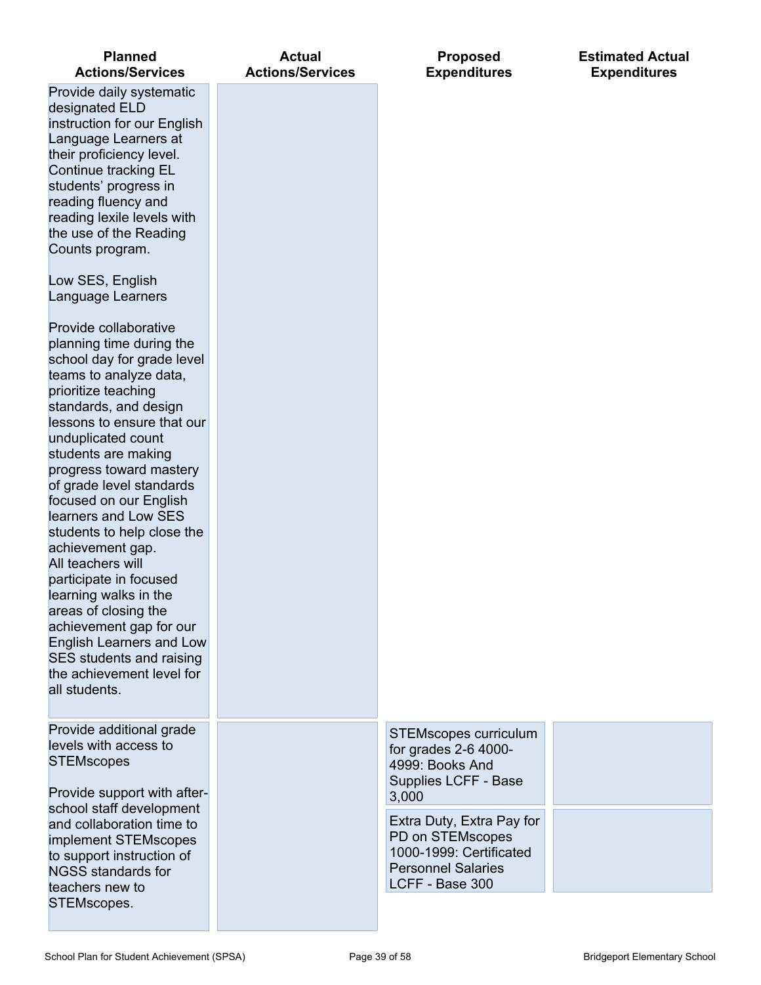| <b>Planned</b><br><b>Actions/Services</b>                                                                                                                                                                                                                                                                                                                                                                                                                                                                                                                                                                                                                    | <b>Actual</b><br><b>Actions/Services</b> | <b>Proposed</b><br><b>Expenditures</b>                                                                                                                                               | <b>Estimated Actual</b><br><b>Expenditures</b> |
|--------------------------------------------------------------------------------------------------------------------------------------------------------------------------------------------------------------------------------------------------------------------------------------------------------------------------------------------------------------------------------------------------------------------------------------------------------------------------------------------------------------------------------------------------------------------------------------------------------------------------------------------------------------|------------------------------------------|--------------------------------------------------------------------------------------------------------------------------------------------------------------------------------------|------------------------------------------------|
| Provide daily systematic<br>designated ELD<br>instruction for our English<br>Language Learners at<br>their proficiency level.<br>Continue tracking EL<br>students' progress in<br>reading fluency and<br>reading lexile levels with<br>the use of the Reading<br>Counts program.<br>Low SES, English                                                                                                                                                                                                                                                                                                                                                         |                                          |                                                                                                                                                                                      |                                                |
| Language Learners<br>Provide collaborative<br>planning time during the<br>school day for grade level<br>teams to analyze data,<br>prioritize teaching<br>standards, and design<br>lessons to ensure that our<br>unduplicated count<br>students are making<br>progress toward mastery<br>of grade level standards<br>focused on our English<br>learners and Low SES<br>students to help close the<br>achievement gap.<br>All teachers will<br>participate in focused<br>learning walks in the<br>areas of closing the<br>achievement gap for our<br><b>English Learners and Low</b><br>SES students and raising<br>the achievement level for<br>all students. |                                          |                                                                                                                                                                                      |                                                |
| Provide additional grade<br>levels with access to<br><b>STEMscopes</b><br>Provide support with after-<br>school staff development<br>and collaboration time to<br>implement STEMscopes<br>to support instruction of                                                                                                                                                                                                                                                                                                                                                                                                                                          |                                          | <b>STEMscopes curriculum</b><br>for grades 2-6 4000-<br>4999: Books And<br>Supplies LCFF - Base<br>3,000<br>Extra Duty, Extra Pay for<br>PD on STEMscopes<br>1000-1999: Certificated |                                                |
| <b>NGSS standards for</b><br>teachers new to<br>STEMscopes.                                                                                                                                                                                                                                                                                                                                                                                                                                                                                                                                                                                                  |                                          | <b>Personnel Salaries</b><br>LCFF - Base 300                                                                                                                                         |                                                |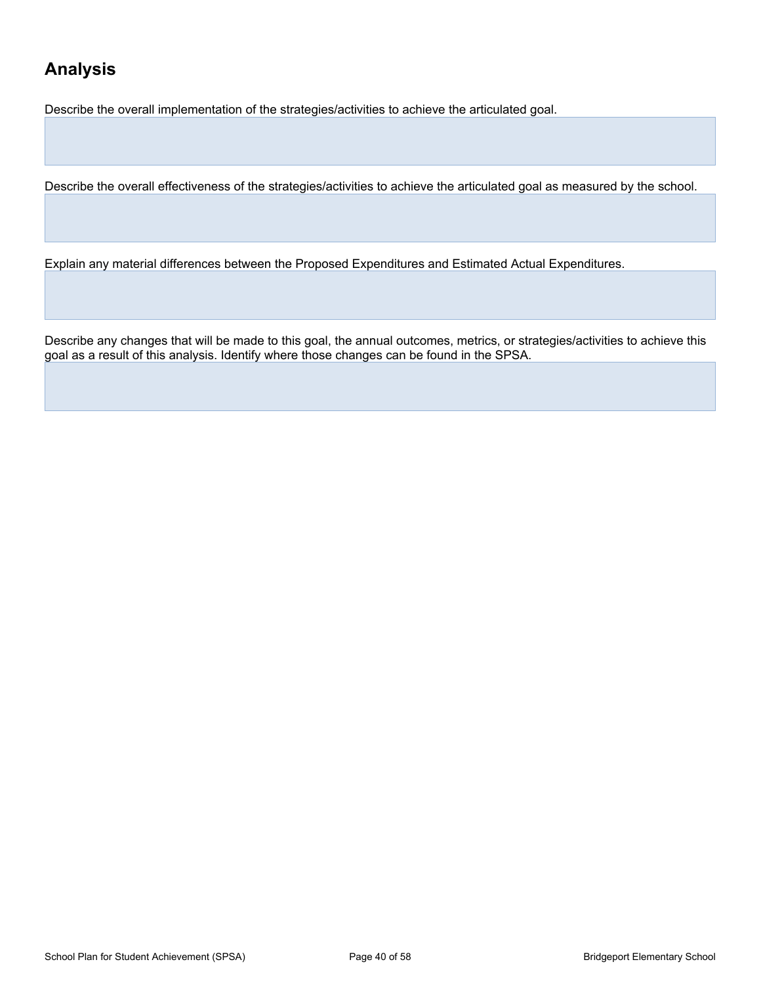# **Analysis**

Describe the overall implementation of the strategies/activities to achieve the articulated goal.

Describe the overall effectiveness of the strategies/activities to achieve the articulated goal as measured by the school.

Explain any material differences between the Proposed Expenditures and Estimated Actual Expenditures.

Describe any changes that will be made to this goal, the annual outcomes, metrics, or strategies/activities to achieve this goal as a result of this analysis. Identify where those changes can be found in the SPSA.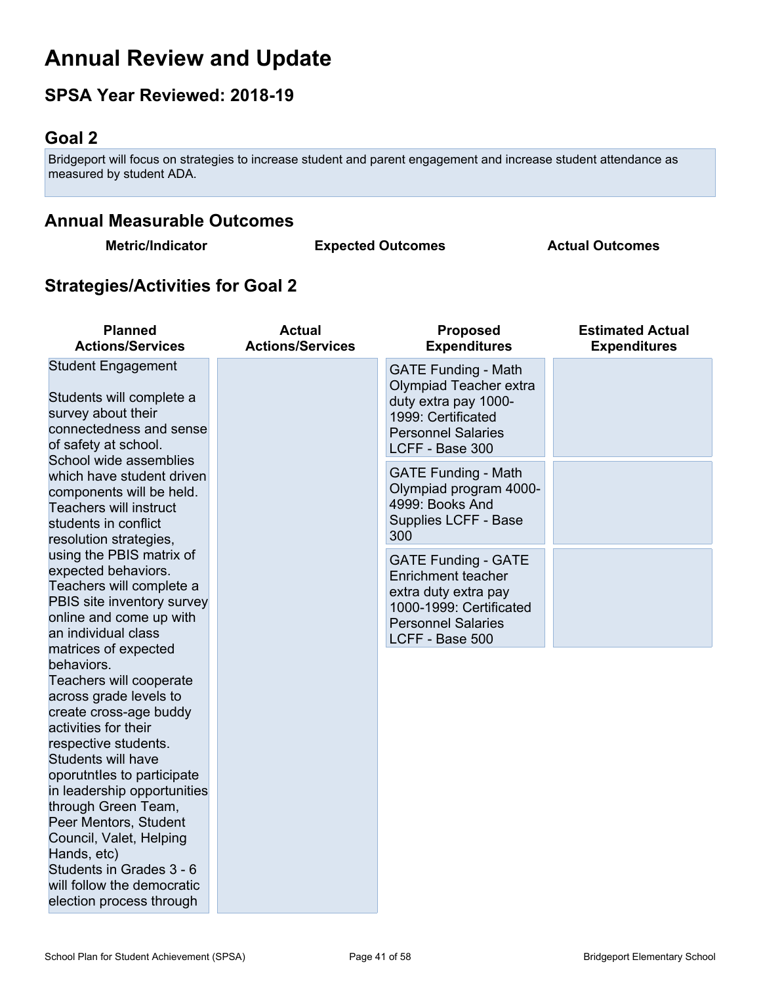# **Annual Review and Update**

# **SPSA Year Reviewed: 2018-19**

# <span id="page-40-0"></span>**Goal 2**

Bridgeport will focus on strategies to increase student and parent engagement and increase student attendance as measured by student ADA.

# **Annual Measurable Outcomes**

**Metric/Indicator Expected Outcomes Actual Outcomes**

# **Strategies/Activities for Goal 2**

| <b>Planned</b><br><b>Actions/Services</b>                                                                                                                                                                                                                                                                                                                                                                                            | <b>Actual</b><br><b>Actions/Services</b> | <b>Proposed</b><br><b>Expenditures</b>                                                                                                              | <b>Estimated Actual</b><br><b>Expenditures</b> |
|--------------------------------------------------------------------------------------------------------------------------------------------------------------------------------------------------------------------------------------------------------------------------------------------------------------------------------------------------------------------------------------------------------------------------------------|------------------------------------------|-----------------------------------------------------------------------------------------------------------------------------------------------------|------------------------------------------------|
| <b>Student Engagement</b><br>Students will complete a<br>survey about their<br>connectedness and sense<br>of safety at school.                                                                                                                                                                                                                                                                                                       |                                          | <b>GATE Funding - Math</b><br>Olympiad Teacher extra<br>duty extra pay 1000-<br>1999: Certificated<br><b>Personnel Salaries</b><br>LCFF - Base 300  |                                                |
| School wide assemblies<br>which have student driven<br>components will be held.<br>Teachers will instruct<br>students in conflict<br>resolution strategies,                                                                                                                                                                                                                                                                          |                                          | <b>GATE Funding - Math</b><br>Olympiad program 4000-<br>4999: Books And<br>Supplies LCFF - Base<br>300                                              |                                                |
| using the PBIS matrix of<br>expected behaviors.<br>Teachers will complete a<br>PBIS site inventory survey<br>online and come up with<br>an individual class                                                                                                                                                                                                                                                                          |                                          | <b>GATE Funding - GATE</b><br>Enrichment teacher<br>extra duty extra pay<br>1000-1999: Certificated<br><b>Personnel Salaries</b><br>LCFF - Base 500 |                                                |
| matrices of expected<br>behaviors.<br>Teachers will cooperate<br>across grade levels to<br>create cross-age buddy<br>activities for their<br>respective students.<br>Students will have<br>oporutntles to participate<br>in leadership opportunities<br>through Green Team,<br>Peer Mentors, Student<br>Council, Valet, Helping<br>Hands, etc)<br>Students in Grades 3 - 6<br>will follow the democratic<br>election process through |                                          |                                                                                                                                                     |                                                |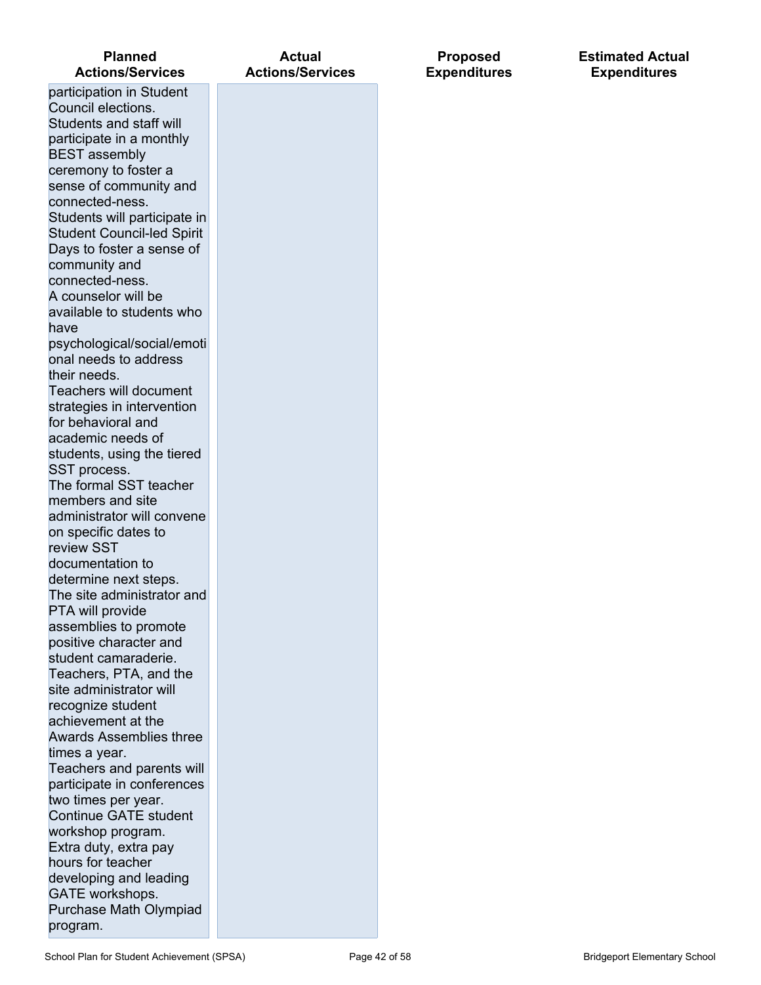| <b>Planned</b><br><b>Actions/Services</b>        | Actual<br><b>Actions/Services</b> |
|--------------------------------------------------|-----------------------------------|
| participation in Student                         |                                   |
| Council elections.                               |                                   |
| Students and staff will                          |                                   |
| participate in a monthly                         |                                   |
| <b>BEST</b> assembly                             |                                   |
| ceremony to foster a                             |                                   |
| sense of community and                           |                                   |
| connected-ness.                                  |                                   |
| Students will participate in                     |                                   |
| <b>Student Council-led Spirit</b>                |                                   |
| Days to foster a sense of                        |                                   |
| community and                                    |                                   |
| connected-ness.                                  |                                   |
| A counselor will be                              |                                   |
| available to students who                        |                                   |
| have                                             |                                   |
| psychological/social/emoti                       |                                   |
| onal needs to address                            |                                   |
| their needs.                                     |                                   |
| Teachers will document                           |                                   |
|                                                  |                                   |
| strategies in intervention<br>for behavioral and |                                   |
| academic needs of                                |                                   |
|                                                  |                                   |
| students, using the tiered                       |                                   |
| SST process.<br>The formal SST teacher           |                                   |
| members and site                                 |                                   |
| administrator will convene                       |                                   |
| on specific dates to                             |                                   |
| review SST                                       |                                   |
| documentation to                                 |                                   |
| determine next steps.                            |                                   |
| The site administrator and                       |                                   |
| PTA will provide                                 |                                   |
| assemblies to promote                            |                                   |
| positive character and                           |                                   |
| student camaraderie.                             |                                   |
| Teachers, PTA, and the                           |                                   |
| site administrator will                          |                                   |
| recognize student                                |                                   |
| achievement at the                               |                                   |
| <b>Awards Assemblies three</b>                   |                                   |
| times a year.                                    |                                   |
| Teachers and parents will                        |                                   |
| participate in conferences                       |                                   |
| two times per year.                              |                                   |
| <b>Continue GATE student</b>                     |                                   |
| workshop program.                                |                                   |
| Extra duty, extra pay                            |                                   |
| hours for teacher                                |                                   |
| developing and leading                           |                                   |
| <b>GATE</b> workshops.                           |                                   |
| Purchase Math Olympiad                           |                                   |
| program.                                         |                                   |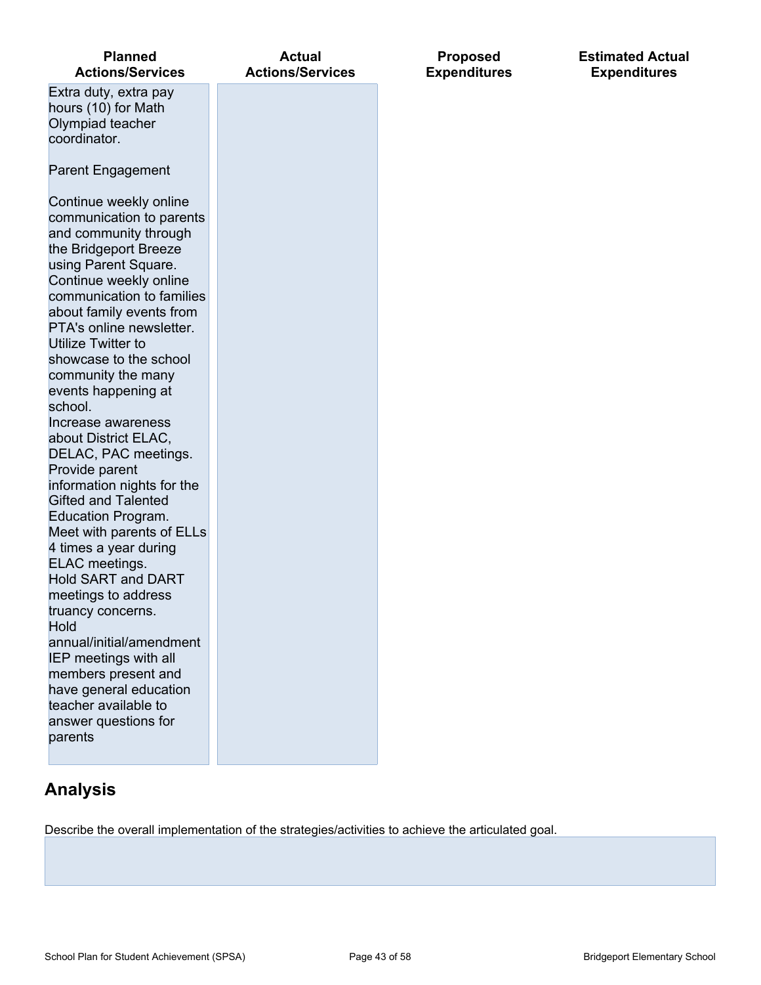| <b>Planned</b><br><b>Actions/Services</b>                                                                                                                                                                                                                                                                                                                                                                                                                                                                                                                                                                                                                                                                                                                                                           | <b>Actual</b><br><b>Actions/Services</b> | <b>Proposed</b><br><b>Expenditures</b> |
|-----------------------------------------------------------------------------------------------------------------------------------------------------------------------------------------------------------------------------------------------------------------------------------------------------------------------------------------------------------------------------------------------------------------------------------------------------------------------------------------------------------------------------------------------------------------------------------------------------------------------------------------------------------------------------------------------------------------------------------------------------------------------------------------------------|------------------------------------------|----------------------------------------|
| Extra duty, extra pay<br>hours (10) for Math<br>Olympiad teacher<br>coordinator.                                                                                                                                                                                                                                                                                                                                                                                                                                                                                                                                                                                                                                                                                                                    |                                          |                                        |
| <b>Parent Engagement</b>                                                                                                                                                                                                                                                                                                                                                                                                                                                                                                                                                                                                                                                                                                                                                                            |                                          |                                        |
| Continue weekly online<br>communication to parents<br>and community through<br>the Bridgeport Breeze<br>using Parent Square.<br>Continue weekly online<br>communication to families<br>about family events from<br>PTA's online newsletter.<br>Utilize Twitter to<br>showcase to the school<br>community the many<br>events happening at<br>school.<br>Increase awareness<br>about District ELAC,<br>DELAC, PAC meetings.<br>Provide parent<br>information nights for the<br><b>Gifted and Talented</b><br><b>Education Program.</b><br>Meet with parents of ELLs<br>4 times a year during<br>ELAC meetings.<br><b>Hold SART and DART</b><br>meetings to address<br>truancy concerns.<br>Hold<br>annual/initial/amendment<br>IEP meetings with all<br>members present and<br>have general education |                                          |                                        |
| teacher available to<br>answer questions for<br>parents                                                                                                                                                                                                                                                                                                                                                                                                                                                                                                                                                                                                                                                                                                                                             |                                          |                                        |

# **Analysis**

Describe the overall implementation of the strategies/activities to achieve the articulated goal.

**Estimated Actual Expenditures**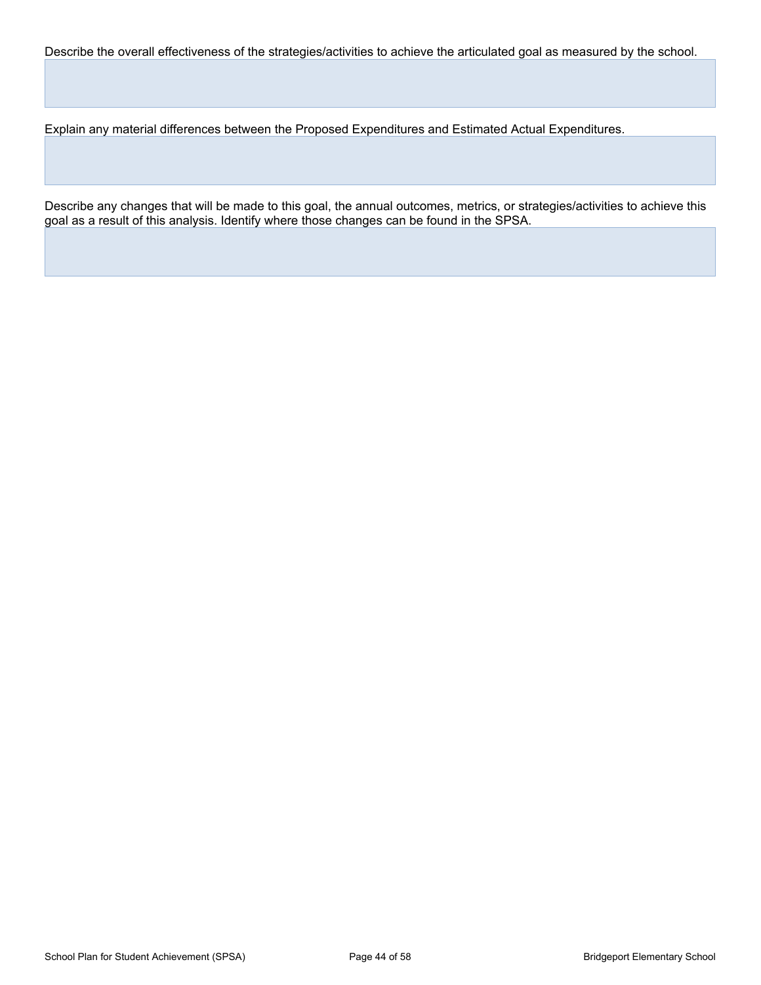Describe the overall effectiveness of the strategies/activities to achieve the articulated goal as measured by the school.

Explain any material differences between the Proposed Expenditures and Estimated Actual Expenditures.

Describe any changes that will be made to this goal, the annual outcomes, metrics, or strategies/activities to achieve this goal as a result of this analysis. Identify where those changes can be found in the SPSA.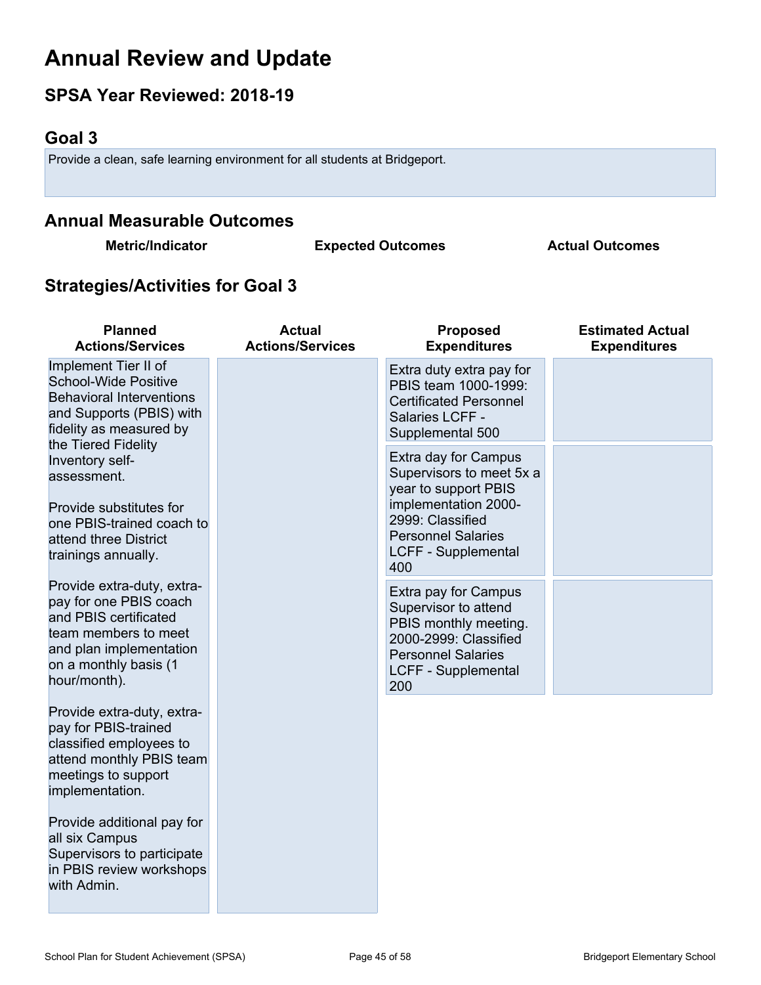# **Annual Review and Update**

# **SPSA Year Reviewed: 2018-19**

# <span id="page-44-0"></span>**Goal 3**

Provide a clean, safe learning environment for all students at Bridgeport.

# **Annual Measurable Outcomes**

**Metric/Indicator Expected Outcomes Actual Outcomes**

# **Strategies/Activities for Goal 3**

| <b>Planned</b><br><b>Actions/Services</b>                                                                                                                                 | <b>Actual</b><br><b>Actions/Services</b> | <b>Proposed</b><br><b>Expenditures</b>                                                                                                                                                 | <b>Estimated Actual</b><br><b>Expenditures</b> |
|---------------------------------------------------------------------------------------------------------------------------------------------------------------------------|------------------------------------------|----------------------------------------------------------------------------------------------------------------------------------------------------------------------------------------|------------------------------------------------|
| Implement Tier II of<br><b>School-Wide Positive</b><br><b>Behavioral Interventions</b><br>and Supports (PBIS) with<br>fidelity as measured by<br>the Tiered Fidelity      |                                          | Extra duty extra pay for<br>PBIS team 1000-1999:<br><b>Certificated Personnel</b><br>Salaries LCFF -<br>Supplemental 500                                                               |                                                |
| Inventory self-<br>assessment.<br>Provide substitutes for<br>one PBIS-trained coach to<br>attend three District<br>trainings annually.                                    |                                          | Extra day for Campus<br>Supervisors to meet 5x a<br>year to support PBIS<br>implementation 2000-<br>2999: Classified<br><b>Personnel Salaries</b><br><b>LCFF - Supplemental</b><br>400 |                                                |
| Provide extra-duty, extra-<br>pay for one PBIS coach<br>and PBIS certificated<br>team members to meet<br>and plan implementation<br>on a monthly basis (1<br>hour/month). |                                          | Extra pay for Campus<br>Supervisor to attend<br>PBIS monthly meeting.<br>2000-2999: Classified<br><b>Personnel Salaries</b><br><b>LCFF - Supplemental</b><br>200                       |                                                |
| Provide extra-duty, extra-<br>pay for PBIS-trained<br>classified employees to<br>attend monthly PBIS team<br>meetings to support<br>implementation.                       |                                          |                                                                                                                                                                                        |                                                |
| Provide additional pay for<br>all six Campus<br>Supervisors to participate<br>in PBIS review workshops<br>with Admin.                                                     |                                          |                                                                                                                                                                                        |                                                |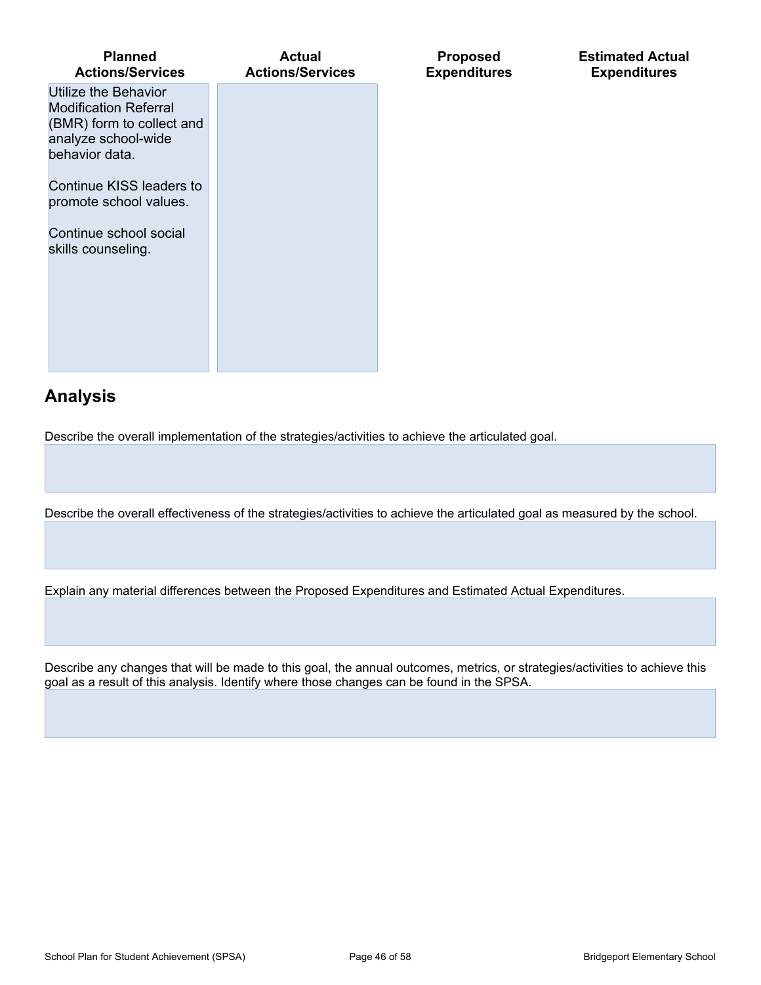| Planned<br><b>Actions/Services</b>                                                                                         | Actual<br><b>Actions/Services</b> |
|----------------------------------------------------------------------------------------------------------------------------|-----------------------------------|
| Utilize the Behavior<br><b>Modification Referral</b><br>(BMR) form to collect and<br>analyze school-wide<br>behavior data. |                                   |
| Continue KISS leaders to<br>promote school values.                                                                         |                                   |
| Continue school social<br>skills counseling.                                                                               |                                   |
|                                                                                                                            |                                   |

# **Analysis**

Describe the overall implementation of the strategies/activities to achieve the articulated goal.

Describe the overall effectiveness of the strategies/activities to achieve the articulated goal as measured by the school.

**Proposed Expenditures** **Estimated Actual Expenditures**

Explain any material differences between the Proposed Expenditures and Estimated Actual Expenditures.

Describe any changes that will be made to this goal, the annual outcomes, metrics, or strategies/activities to achieve this goal as a result of this analysis. Identify where those changes can be found in the SPSA.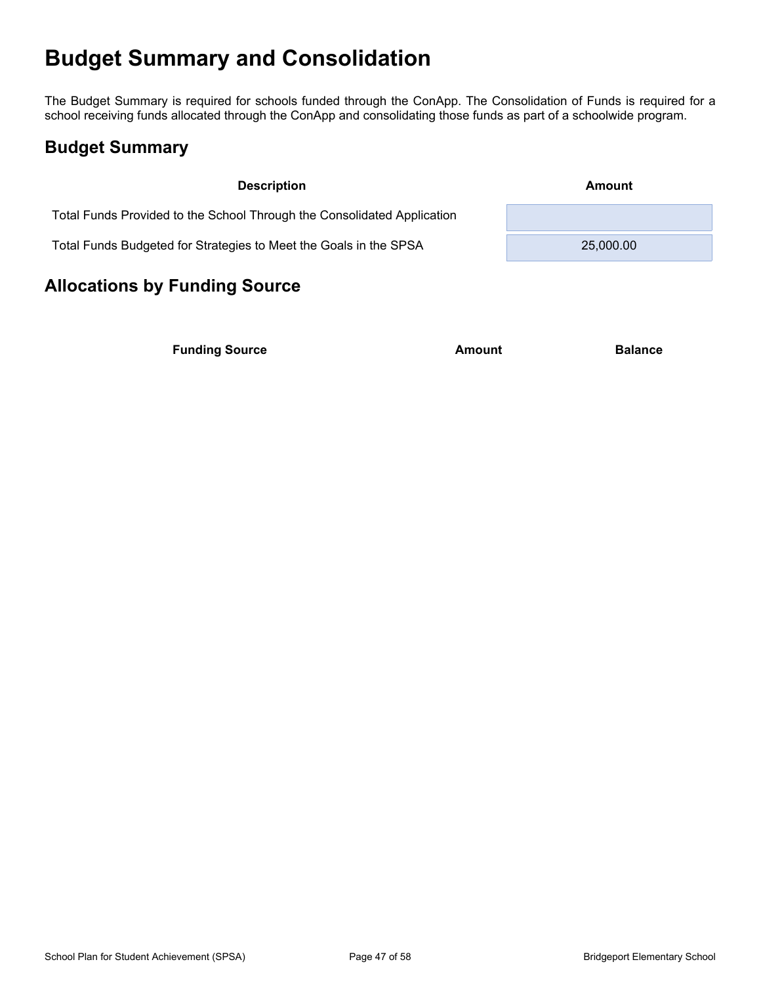# <span id="page-46-0"></span>**Budget Summary and Consolidation**

The Budget Summary is required for schools funded through the ConApp. The Consolidation of Funds is required for a school receiving funds allocated through the ConApp and consolidating those funds as part of a schoolwide program.

### <span id="page-46-1"></span>**Budget Summary**

| <b>Description</b>                                                      | Amount    |
|-------------------------------------------------------------------------|-----------|
| Total Funds Provided to the School Through the Consolidated Application |           |
| Total Funds Budgeted for Strategies to Meet the Goals in the SPSA       | 25,000.00 |

# <span id="page-46-2"></span>**Allocations by Funding Source**

**Funding Source Amount Balance Balance**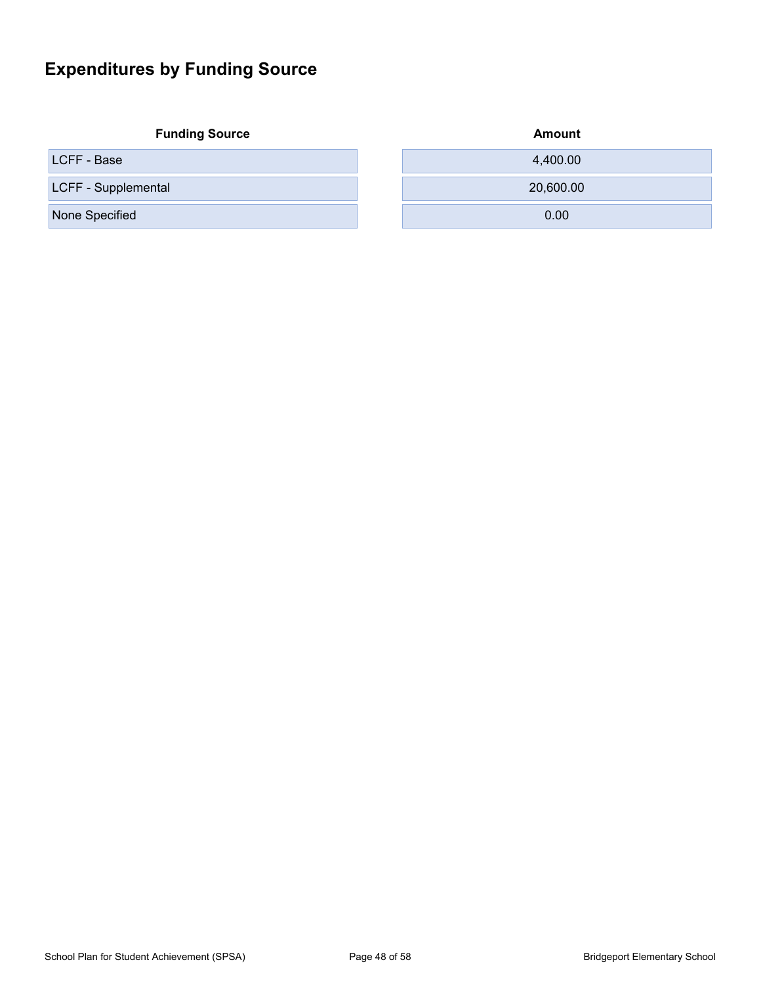# <span id="page-47-0"></span>**Expenditures by Funding Source**

**Funding Source** 

| LCFF - Base         | 4.400.00  |
|---------------------|-----------|
| LCFF - Supplemental | 20,600.00 |
| None Specified      | 0.00      |

| <b>Amount</b> |  |
|---------------|--|
| 4,400.00      |  |
| 20,600.00     |  |
| 0.00          |  |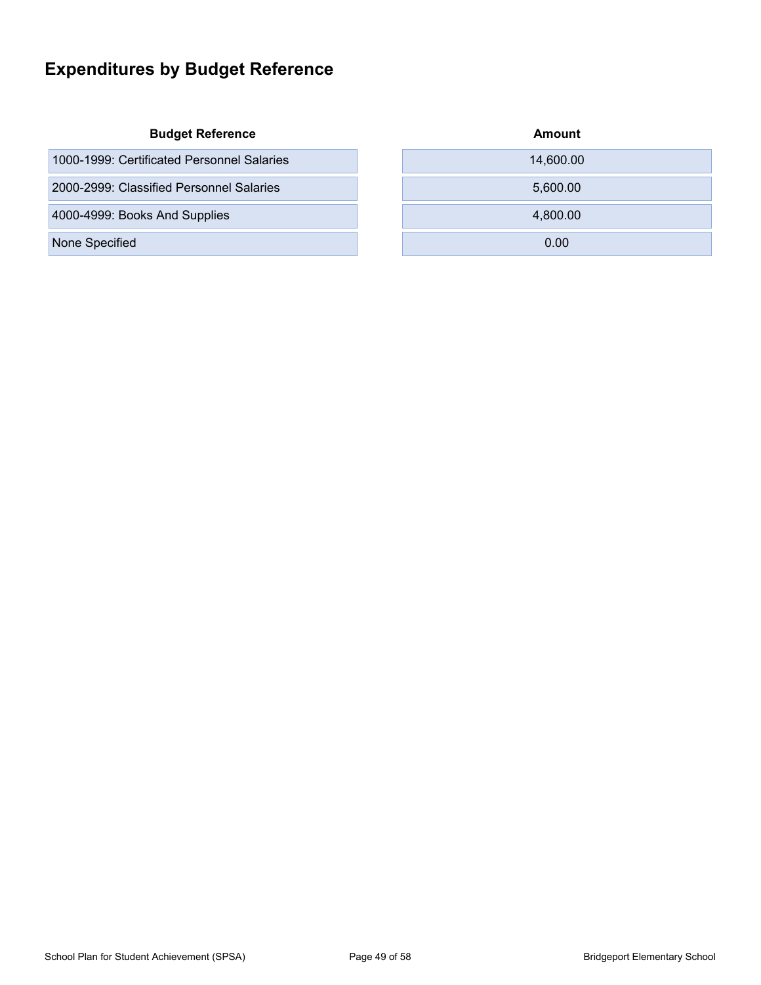# <span id="page-48-0"></span>**Expenditures by Budget Reference**

#### **Budget Reference**

| 1000-1999: Certificated Personnel Salaries | 14.600.00 |
|--------------------------------------------|-----------|
| 2000-2999: Classified Personnel Salaries   | 5.600.00  |
| 4000-4999: Books And Supplies              | 4.800.00  |

None Specified

| Amount    |  |
|-----------|--|
| 14,600.00 |  |
| 5,600.00  |  |
| 4,800.00  |  |
| 0.00      |  |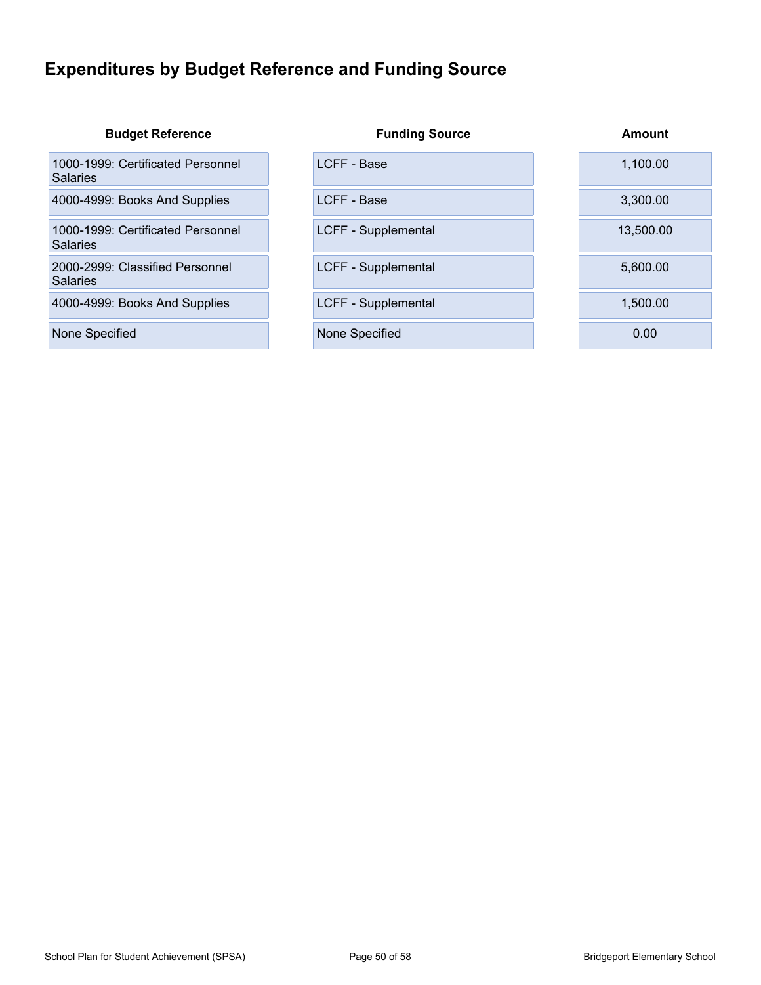# <span id="page-49-0"></span>**Expenditures by Budget Reference and Funding Source**

| <b>Budget Reference</b>                              | <b>Funding Source</b> | Amount    |
|------------------------------------------------------|-----------------------|-----------|
| 1000-1999: Certificated Personnel<br><b>Salaries</b> | LCFF - Base           | 1,100.00  |
| 4000-4999: Books And Supplies                        | LCFF - Base           | 3,300.00  |
| 1000-1999: Certificated Personnel<br><b>Salaries</b> | LCFF - Supplemental   | 13,500.00 |
| 2000-2999: Classified Personnel<br><b>Salaries</b>   | LCFF - Supplemental   | 5,600.00  |
| 4000-4999: Books And Supplies                        | LCFF - Supplemental   | 1.500.00  |
| None Specified                                       | None Specified        | 0.00      |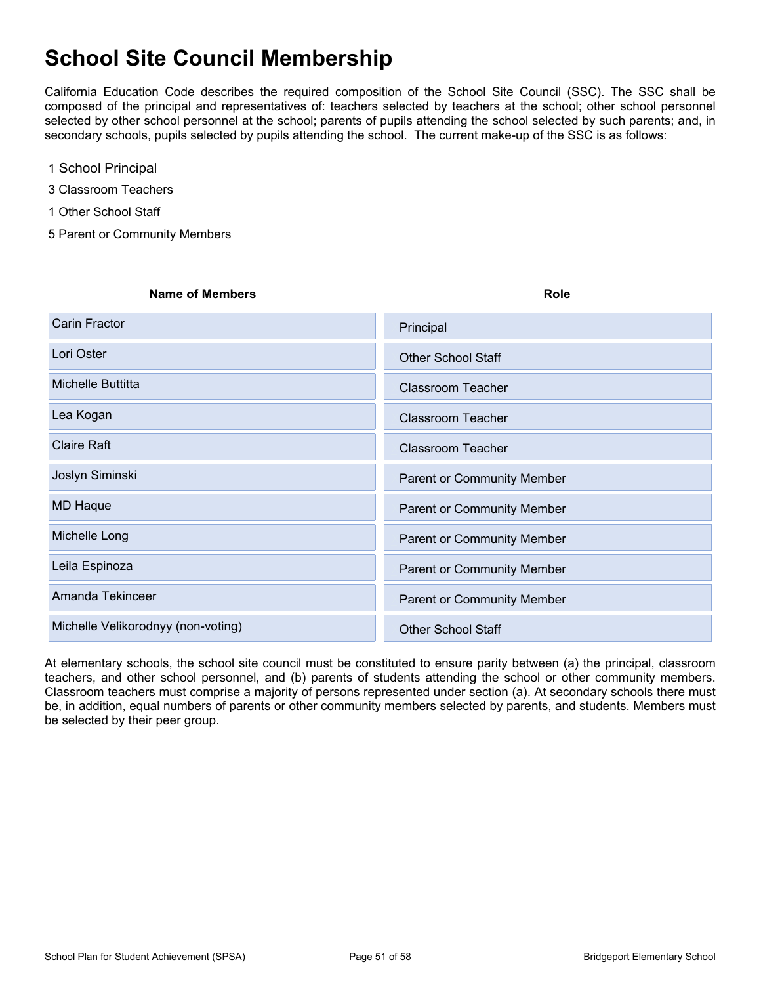# <span id="page-50-0"></span>**School Site Council Membership**

California Education Code describes the required composition of the School Site Council (SSC). The SSC shall be composed of the principal and representatives of: teachers selected by teachers at the school; other school personnel selected by other school personnel at the school; parents of pupils attending the school selected by such parents; and, in secondary schools, pupils selected by pupils attending the school. The current make-up of the SSC is as follows:

- 1 School Principal
- 3 Classroom Teachers
- 1 Other School Staff
- 5 Parent or Community Members

| <b>Name of Members</b>             | Role                              |
|------------------------------------|-----------------------------------|
| Carin Fractor                      | Principal                         |
| Lori Oster                         | <b>Other School Staff</b>         |
| Michelle Buttitta                  | <b>Classroom Teacher</b>          |
| Lea Kogan                          | <b>Classroom Teacher</b>          |
| <b>Claire Raft</b>                 | <b>Classroom Teacher</b>          |
| Joslyn Siminski                    | <b>Parent or Community Member</b> |
| <b>MD Haque</b>                    | Parent or Community Member        |
| Michelle Long                      | Parent or Community Member        |
| Leila Espinoza                     | Parent or Community Member        |
| Amanda Tekinceer                   | Parent or Community Member        |
| Michelle Velikorodnyy (non-voting) | <b>Other School Staff</b>         |

At elementary schools, the school site council must be constituted to ensure parity between (a) the principal, classroom teachers, and other school personnel, and (b) parents of students attending the school or other community members. Classroom teachers must comprise a majority of persons represented under section (a). At secondary schools there must be, in addition, equal numbers of parents or other community members selected by parents, and students. Members must be selected by their peer group.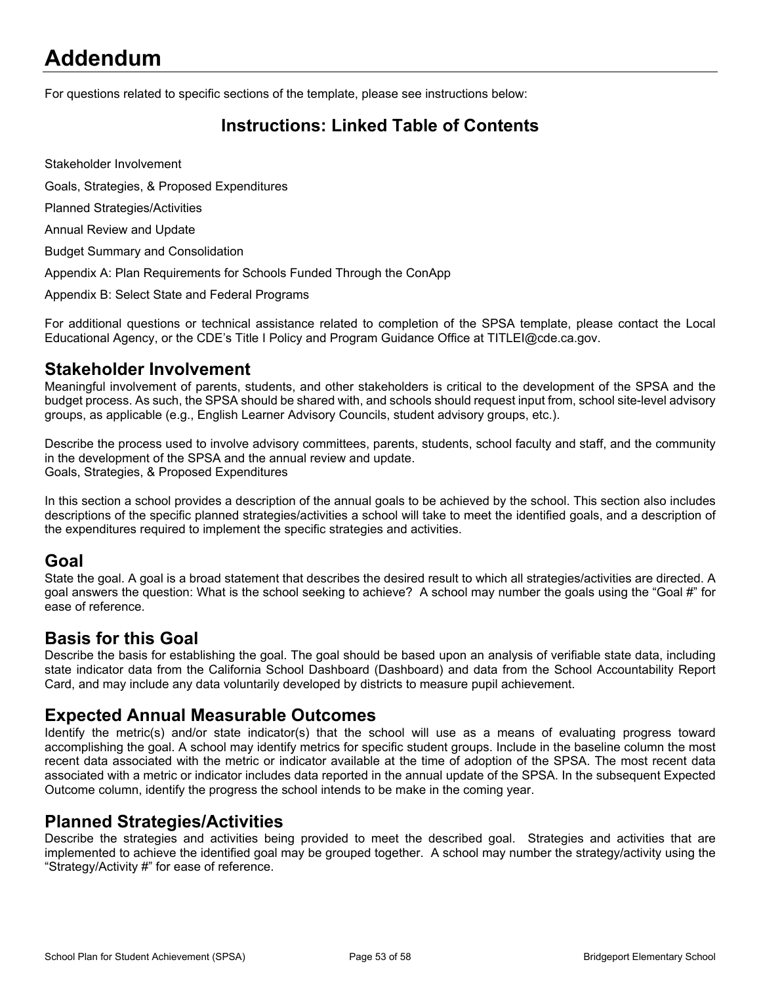# <span id="page-51-0"></span>**Addendum**

For questions related to specific sections of the template, please see instructions below:

### <span id="page-51-1"></span>**Instructions: Linked Table of Contents**

Stakeholder Involvement

Goals, Strategies, & Proposed Expenditures

Planned Strategies/Activities

Annual Review and Update

Budget Summary and Consolidation

Appendix A: Plan Requirements for Schools Funded Through the ConApp

Appendix B: Select State and Federal Programs

For additional questions or technical assistance related to completion of the SPSA template, please contact the Local Educational Agency, or the CDE's Title I Policy and Program Guidance Office at TITLEI@cde.ca.gov.

#### **Stakeholder Involvement**

Meaningful involvement of parents, students, and other stakeholders is critical to the development of the SPSA and the budget process. As such, the SPSA should be shared with, and schools should request input from, school site-level advisory groups, as applicable (e.g., English Learner Advisory Councils, student advisory groups, etc.).

Describe the process used to involve advisory committees, parents, students, school faculty and staff, and the community in the development of the SPSA and the annual review and update. Goals, Strategies, & Proposed Expenditures

In this section a school provides a description of the annual goals to be achieved by the school. This section also includes descriptions of the specific planned strategies/activities a school will take to meet the identified goals, and a description of the expenditures required to implement the specific strategies and activities.

#### **Goal**

State the goal. A goal is a broad statement that describes the desired result to which all strategies/activities are directed. A goal answers the question: What is the school seeking to achieve? A school may number the goals using the "Goal #" for ease of reference.

#### **Basis for this Goal**

Describe the basis for establishing the goal. The goal should be based upon an analysis of verifiable state data, including state indicator data from the California School Dashboard (Dashboard) and data from the School Accountability Report Card, and may include any data voluntarily developed by districts to measure pupil achievement.

#### **Expected Annual Measurable Outcomes**

Identify the metric(s) and/or state indicator(s) that the school will use as a means of evaluating progress toward accomplishing the goal. A school may identify metrics for specific student groups. Include in the baseline column the most recent data associated with the metric or indicator available at the time of adoption of the SPSA. The most recent data associated with a metric or indicator includes data reported in the annual update of the SPSA. In the subsequent Expected Outcome column, identify the progress the school intends to be make in the coming year.

#### **Planned Strategies/Activities**

Describe the strategies and activities being provided to meet the described goal. Strategies and activities that are implemented to achieve the identified goal may be grouped together. A school may number the strategy/activity using the "Strategy/Activity #" for ease of reference.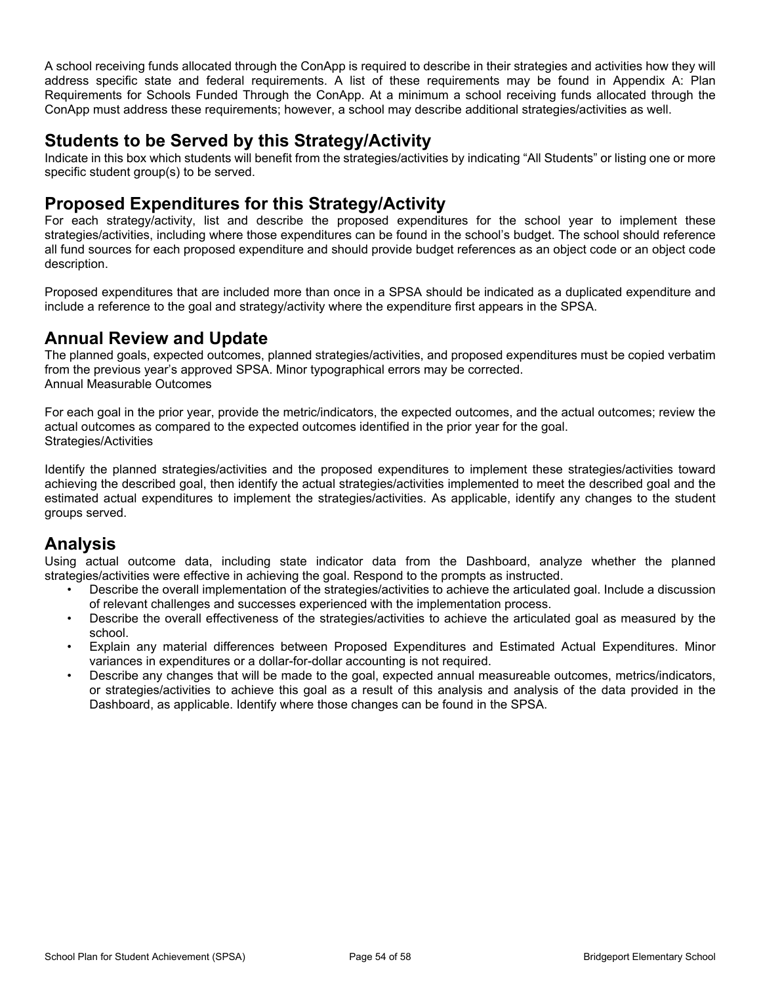A school receiving funds allocated through the ConApp is required to describe in their strategies and activities how they will address specific state and federal requirements. A list of these requirements may be found in Appendix A: Plan Requirements for Schools Funded Through the ConApp. At a minimum a school receiving funds allocated through the ConApp must address these requirements; however, a school may describe additional strategies/activities as well.

### **Students to be Served by this Strategy/Activity**

Indicate in this box which students will benefit from the strategies/activities by indicating "All Students" or listing one or more specific student group(s) to be served.

### **Proposed Expenditures for this Strategy/Activity**

For each strategy/activity, list and describe the proposed expenditures for the school year to implement these strategies/activities, including where those expenditures can be found in the school's budget. The school should reference all fund sources for each proposed expenditure and should provide budget references as an object code or an object code description.

Proposed expenditures that are included more than once in a SPSA should be indicated as a duplicated expenditure and include a reference to the goal and strategy/activity where the expenditure first appears in the SPSA.

### **Annual Review and Update**

The planned goals, expected outcomes, planned strategies/activities, and proposed expenditures must be copied verbatim from the previous year's approved SPSA. Minor typographical errors may be corrected. Annual Measurable Outcomes

For each goal in the prior year, provide the metric/indicators, the expected outcomes, and the actual outcomes; review the actual outcomes as compared to the expected outcomes identified in the prior year for the goal. Strategies/Activities

Identify the planned strategies/activities and the proposed expenditures to implement these strategies/activities toward achieving the described goal, then identify the actual strategies/activities implemented to meet the described goal and the estimated actual expenditures to implement the strategies/activities. As applicable, identify any changes to the student groups served.

### **Analysis**

Using actual outcome data, including state indicator data from the Dashboard, analyze whether the planned strategies/activities were effective in achieving the goal. Respond to the prompts as instructed.

- Describe the overall implementation of the strategies/activities to achieve the articulated goal. Include a discussion of relevant challenges and successes experienced with the implementation process.
- Describe the overall effectiveness of the strategies/activities to achieve the articulated goal as measured by the school.
- Explain any material differences between Proposed Expenditures and Estimated Actual Expenditures. Minor variances in expenditures or a dollar-for-dollar accounting is not required.
- Describe any changes that will be made to the goal, expected annual measureable outcomes, metrics/indicators, or strategies/activities to achieve this goal as a result of this analysis and analysis of the data provided in the Dashboard, as applicable. Identify where those changes can be found in the SPSA.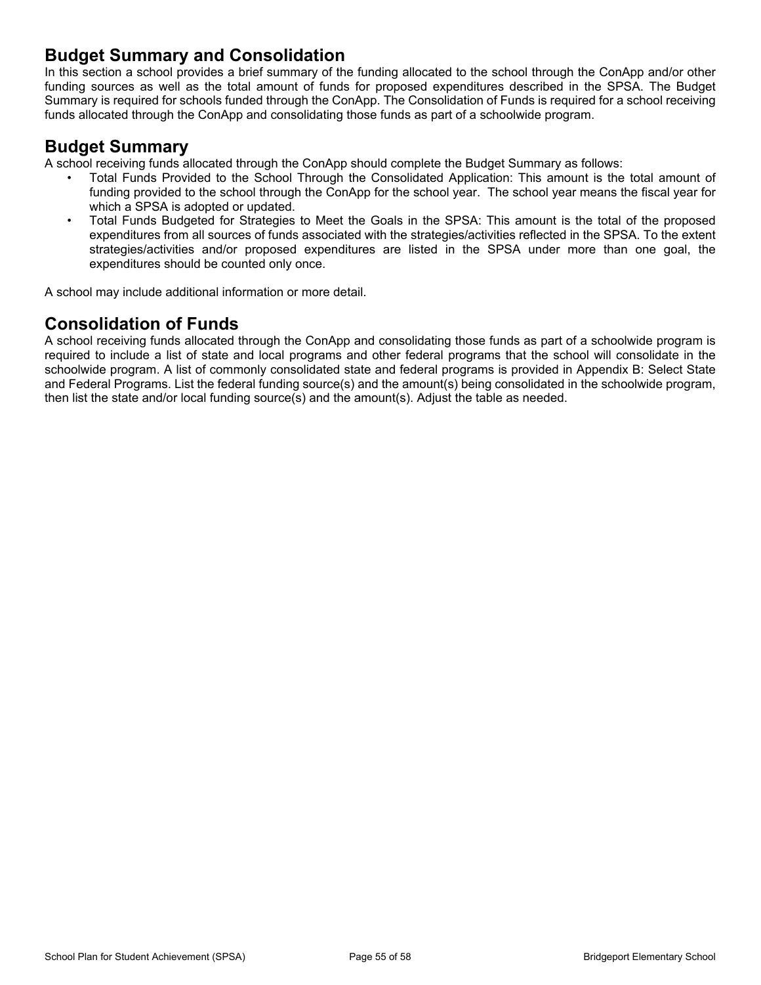### **Budget Summary and Consolidation**

In this section a school provides a brief summary of the funding allocated to the school through the ConApp and/or other funding sources as well as the total amount of funds for proposed expenditures described in the SPSA. The Budget Summary is required for schools funded through the ConApp. The Consolidation of Funds is required for a school receiving funds allocated through the ConApp and consolidating those funds as part of a schoolwide program.

### **Budget Summary**

A school receiving funds allocated through the ConApp should complete the Budget Summary as follows:

- Total Funds Provided to the School Through the Consolidated Application: This amount is the total amount of funding provided to the school through the ConApp for the school year. The school year means the fiscal year for which a SPSA is adopted or updated.
- Total Funds Budgeted for Strategies to Meet the Goals in the SPSA: This amount is the total of the proposed expenditures from all sources of funds associated with the strategies/activities reflected in the SPSA. To the extent strategies/activities and/or proposed expenditures are listed in the SPSA under more than one goal, the expenditures should be counted only once.

A school may include additional information or more detail.

### **Consolidation of Funds**

A school receiving funds allocated through the ConApp and consolidating those funds as part of a schoolwide program is required to include a list of state and local programs and other federal programs that the school will consolidate in the schoolwide program. A list of commonly consolidated state and federal programs is provided in Appendix B: Select State and Federal Programs. List the federal funding source(s) and the amount(s) being consolidated in the schoolwide program, then list the state and/or local funding source(s) and the amount(s). Adjust the table as needed.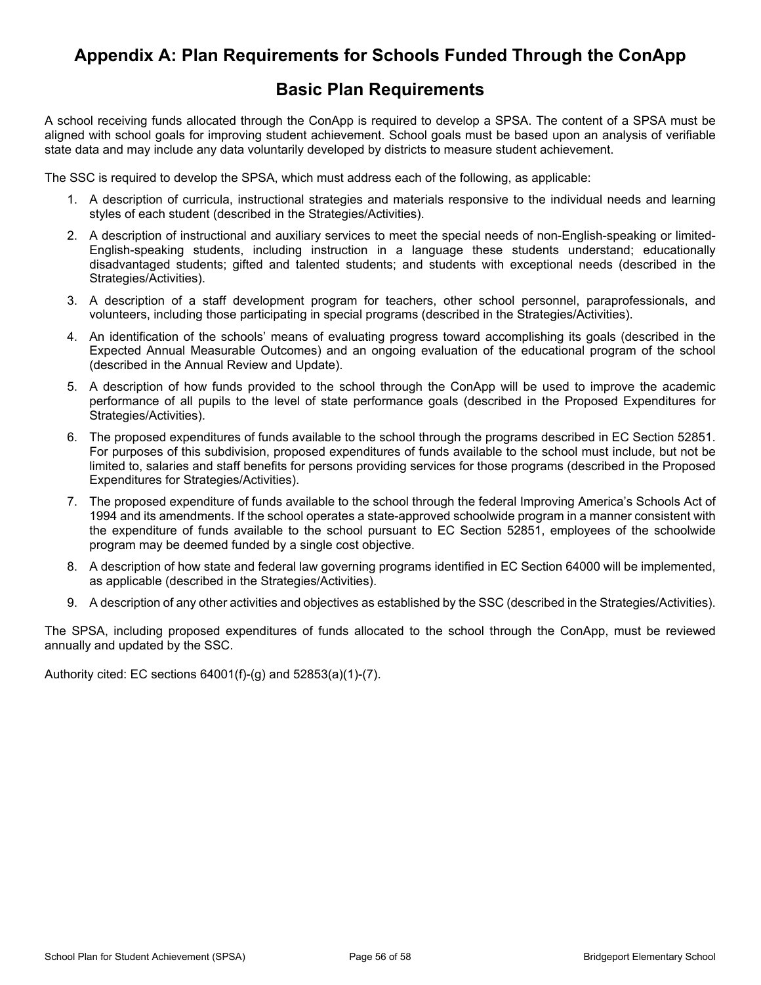### <span id="page-54-0"></span>**Appendix A: Plan Requirements for Schools Funded Through the ConApp**

### **Basic Plan Requirements**

A school receiving funds allocated through the ConApp is required to develop a SPSA. The content of a SPSA must be aligned with school goals for improving student achievement. School goals must be based upon an analysis of verifiable state data and may include any data voluntarily developed by districts to measure student achievement.

The SSC is required to develop the SPSA, which must address each of the following, as applicable:

- 1. A description of curricula, instructional strategies and materials responsive to the individual needs and learning styles of each student (described in the Strategies/Activities).
- 2. A description of instructional and auxiliary services to meet the special needs of non-English-speaking or limited-English-speaking students, including instruction in a language these students understand; educationally disadvantaged students; gifted and talented students; and students with exceptional needs (described in the Strategies/Activities).
- 3. A description of a staff development program for teachers, other school personnel, paraprofessionals, and volunteers, including those participating in special programs (described in the Strategies/Activities).
- 4. An identification of the schools' means of evaluating progress toward accomplishing its goals (described in the Expected Annual Measurable Outcomes) and an ongoing evaluation of the educational program of the school (described in the Annual Review and Update).
- 5. A description of how funds provided to the school through the ConApp will be used to improve the academic performance of all pupils to the level of state performance goals (described in the Proposed Expenditures for Strategies/Activities).
- 6. The proposed expenditures of funds available to the school through the programs described in EC Section 52851. For purposes of this subdivision, proposed expenditures of funds available to the school must include, but not be limited to, salaries and staff benefits for persons providing services for those programs (described in the Proposed Expenditures for Strategies/Activities).
- 7. The proposed expenditure of funds available to the school through the federal Improving America's Schools Act of 1994 and its amendments. If the school operates a state-approved schoolwide program in a manner consistent with the expenditure of funds available to the school pursuant to EC Section 52851, employees of the schoolwide program may be deemed funded by a single cost objective.
- 8. A description of how state and federal law governing programs identified in EC Section 64000 will be implemented, as applicable (described in the Strategies/Activities).
- 9. A description of any other activities and objectives as established by the SSC (described in the Strategies/Activities).

The SPSA, including proposed expenditures of funds allocated to the school through the ConApp, must be reviewed annually and updated by the SSC.

Authority cited: EC sections 64001(f)-(g) and 52853(a)(1)-(7).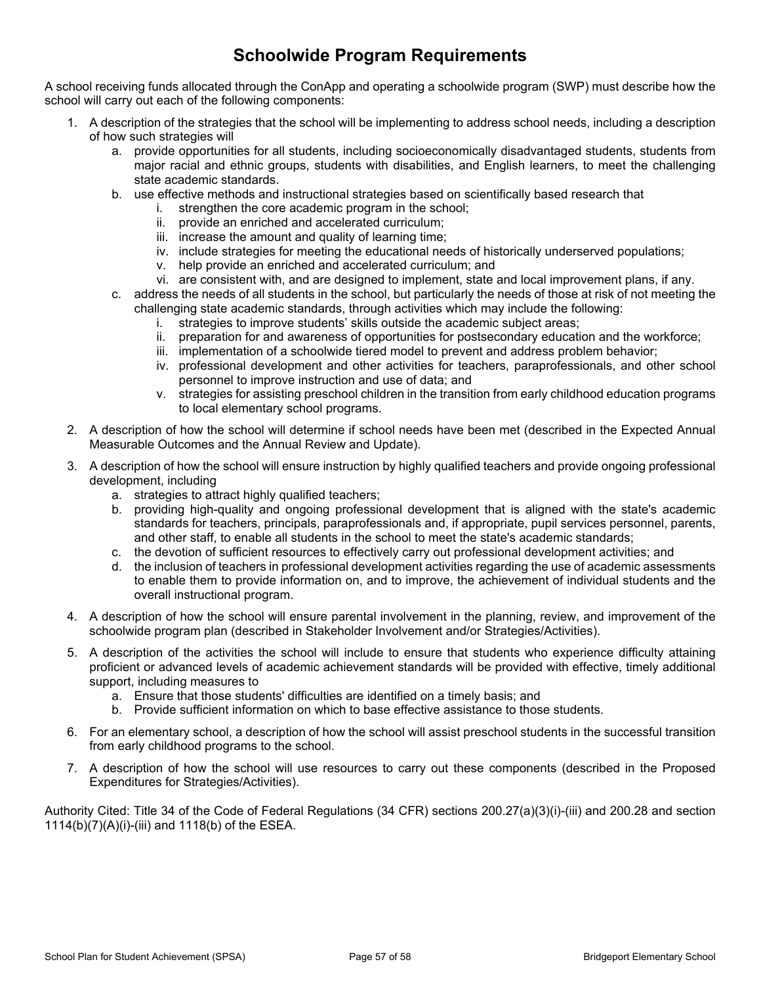# **Schoolwide Program Requirements**

A school receiving funds allocated through the ConApp and operating a schoolwide program (SWP) must describe how the school will carry out each of the following components:

- 1. A description of the strategies that the school will be implementing to address school needs, including a description of how such strategies will
	- a. provide opportunities for all students, including socioeconomically disadvantaged students, students from major racial and ethnic groups, students with disabilities, and English learners, to meet the challenging state academic standards.
	- b. use effective methods and instructional strategies based on scientifically based research that
		- i. strengthen the core academic program in the school;
		- ii. provide an enriched and accelerated curriculum;
		- iii. increase the amount and quality of learning time;
		- iv. include strategies for meeting the educational needs of historically underserved populations;
		- v. help provide an enriched and accelerated curriculum; and
		- vi. are consistent with, and are designed to implement, state and local improvement plans, if any.
	- c. address the needs of all students in the school, but particularly the needs of those at risk of not meeting the challenging state academic standards, through activities which may include the following:
		- i. strategies to improve students' skills outside the academic subject areas;
		- ii. preparation for and awareness of opportunities for postsecondary education and the workforce;
		- iii. implementation of a schoolwide tiered model to prevent and address problem behavior;
		- iv. professional development and other activities for teachers, paraprofessionals, and other school personnel to improve instruction and use of data; and
		- v. strategies for assisting preschool children in the transition from early childhood education programs to local elementary school programs.
- 2. A description of how the school will determine if school needs have been met (described in the Expected Annual Measurable Outcomes and the Annual Review and Update).
- 3. A description of how the school will ensure instruction by highly qualified teachers and provide ongoing professional development, including
	- a. strategies to attract highly qualified teachers;
	- b. providing high-quality and ongoing professional development that is aligned with the state's academic standards for teachers, principals, paraprofessionals and, if appropriate, pupil services personnel, parents, and other staff, to enable all students in the school to meet the state's academic standards;
	- c. the devotion of sufficient resources to effectively carry out professional development activities; and
	- d. the inclusion of teachers in professional development activities regarding the use of academic assessments to enable them to provide information on, and to improve, the achievement of individual students and the overall instructional program.
- 4. A description of how the school will ensure parental involvement in the planning, review, and improvement of the schoolwide program plan (described in Stakeholder Involvement and/or Strategies/Activities).
- 5. A description of the activities the school will include to ensure that students who experience difficulty attaining proficient or advanced levels of academic achievement standards will be provided with effective, timely additional support, including measures to
	- a. Ensure that those students' difficulties are identified on a timely basis; and
	- b. Provide sufficient information on which to base effective assistance to those students.
- 6. For an elementary school, a description of how the school will assist preschool students in the successful transition from early childhood programs to the school.
- 7. A description of how the school will use resources to carry out these components (described in the Proposed Expenditures for Strategies/Activities).

Authority Cited: Title 34 of the Code of Federal Regulations (34 CFR) sections 200.27(a)(3)(i)-(iii) and 200.28 and section 1114(b)(7)(A)(i)-(iii) and 1118(b) of the ESEA.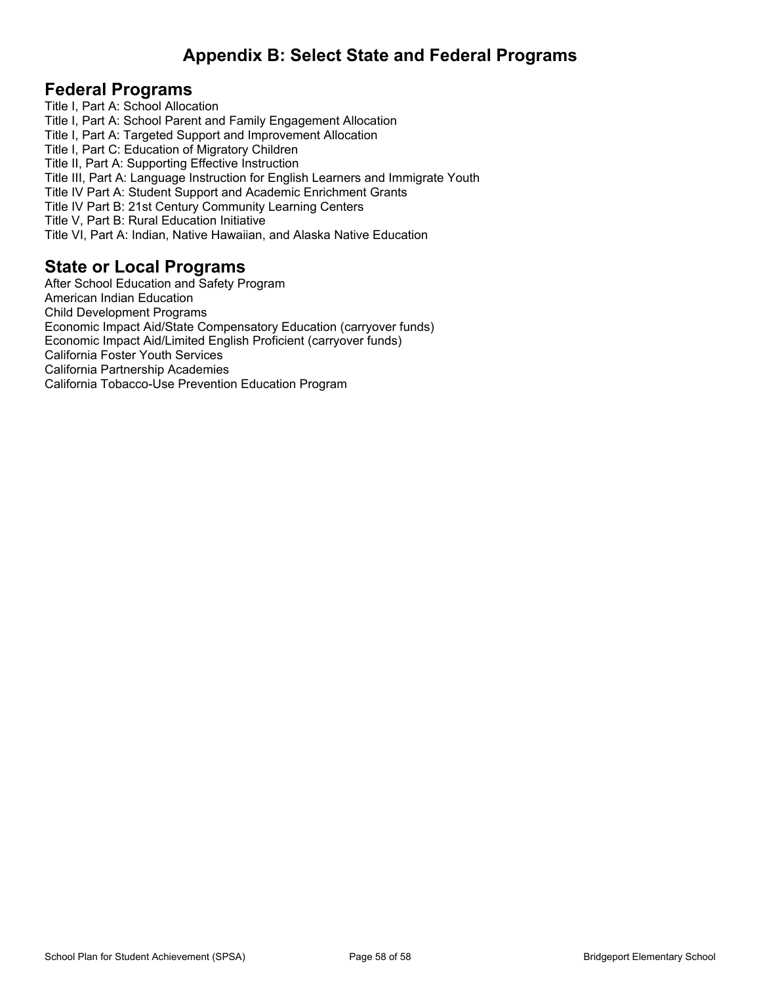# <span id="page-56-0"></span>**Appendix B: Select State and Federal Programs**

### **Federal Programs**

Title I, Part A: School Allocation Title I, Part A: School Parent and Family Engagement Allocation Title I, Part A: Targeted Support and Improvement Allocation Title I, Part C: Education of Migratory Children Title II, Part A: Supporting Effective Instruction Title III, Part A: Language Instruction for English Learners and Immigrate Youth Title IV Part A: Student Support and Academic Enrichment Grants Title IV Part B: 21st Century Community Learning Centers Title V, Part B: Rural Education Initiative Title VI, Part A: Indian, Native Hawaiian, and Alaska Native Education

### **State or Local Programs**

After School Education and Safety Program American Indian Education Child Development Programs Economic Impact Aid/State Compensatory Education (carryover funds) Economic Impact Aid/Limited English Proficient (carryover funds) California Foster Youth Services California Partnership Academies California Tobacco-Use Prevention Education Program